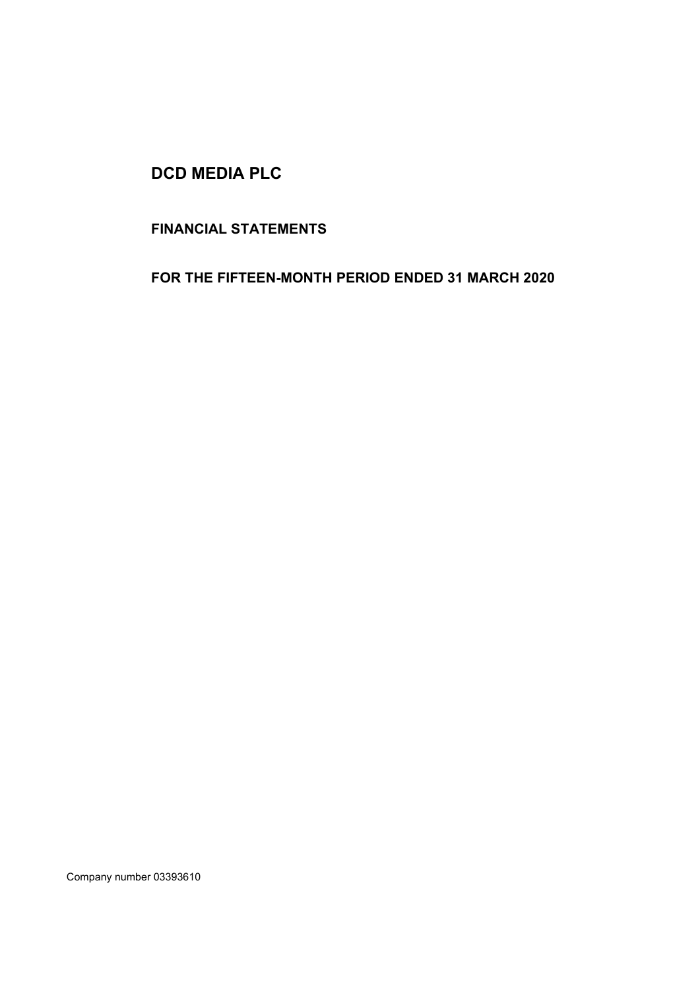# **DCD MEDIA PLC**

# **FINANCIAL STATEMENTS**

**FOR THE FIFTEEN-MONTH PERIOD ENDED 31 MARCH 2020**

Company number 03393610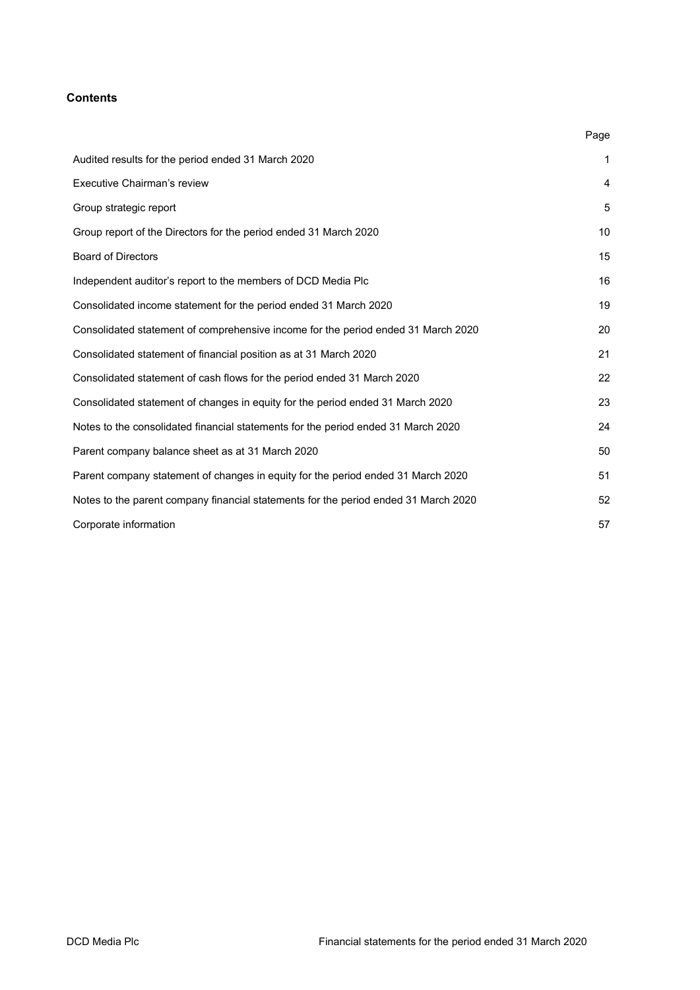## **Contents**

|                                                                                     | Page |
|-------------------------------------------------------------------------------------|------|
| Audited results for the period ended 31 March 2020                                  | 1    |
| Executive Chairman's review                                                         | 4    |
| Group strategic report                                                              | 5    |
| Group report of the Directors for the period ended 31 March 2020                    | 10   |
| <b>Board of Directors</b>                                                           | 15   |
| Independent auditor's report to the members of DCD Media Plc                        | 16   |
| Consolidated income statement for the period ended 31 March 2020                    | 19   |
| Consolidated statement of comprehensive income for the period ended 31 March 2020   | 20   |
| Consolidated statement of financial position as at 31 March 2020                    | 21   |
| Consolidated statement of cash flows for the period ended 31 March 2020             | 22   |
| Consolidated statement of changes in equity for the period ended 31 March 2020      | 23   |
| Notes to the consolidated financial statements for the period ended 31 March 2020   | 24   |
| Parent company balance sheet as at 31 March 2020                                    | 50   |
| Parent company statement of changes in equity for the period ended 31 March 2020    | 51   |
| Notes to the parent company financial statements for the period ended 31 March 2020 | 52   |
| Corporate information                                                               | 57   |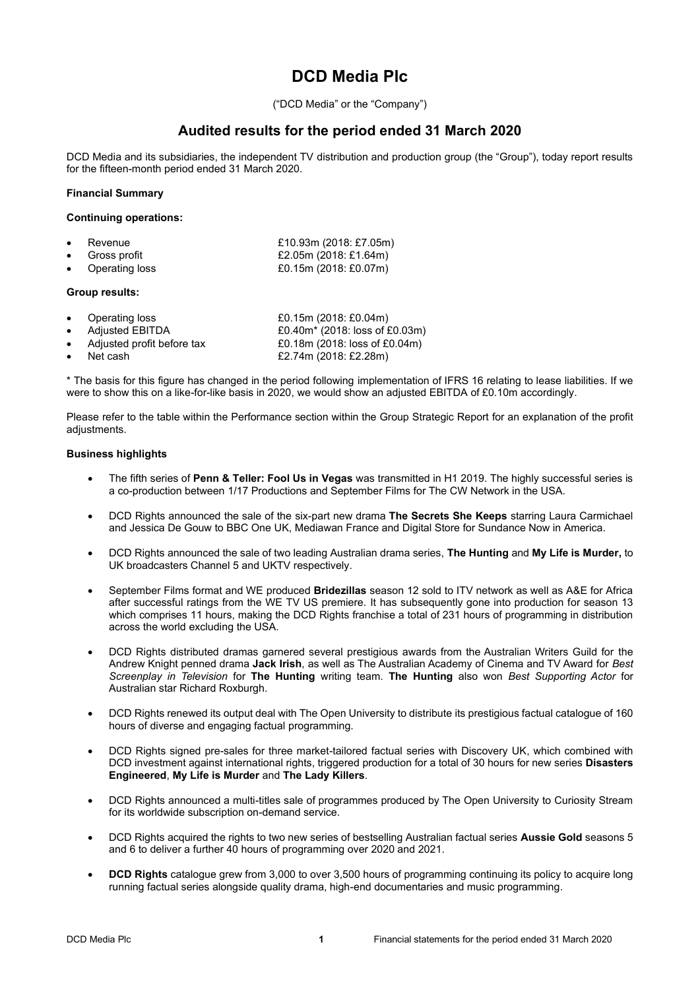# **DCD Media Plc**

("DCD Media" or the "Company")

# **Audited results for the period ended 31 March 2020**

DCD Media and its subsidiaries, the independent TV distribution and production group (the "Group"), today report results for the fifteen-month period ended 31 March 2020.

## **Financial Summary**

## **Continuing operations:**

|           | $\bullet$ Revenue | £10.93m (2018: £7.05m) |
|-----------|-------------------|------------------------|
|           | • Gross profit    | £2.05m (2018: £1.64m)  |
| $\bullet$ | Operating loss    | £0.15m (2018: £0.07m)  |

## **Group results:**

| • Operating loss             | £0.15m (2018: £0.04m)          |
|------------------------------|--------------------------------|
| • Adjusted EBITDA            | £0.40m* (2018: loss of £0.03m) |
| • Adjusted profit before tax | £0.18m (2018: loss of £0.04m)  |
| $\bullet$ Net cash           | £2.74m (2018: £2.28m)          |

\* The basis for this figure has changed in the period following implementation of IFRS 16 relating to lease liabilities. If we were to show this on a like-for-like basis in 2020, we would show an adjusted EBITDA of £0.10m accordingly.

Please refer to the table within the Performance section within the Group Strategic Report for an explanation of the profit adjustments.

## **Business highlights**

- x The fifth series of **Penn & Teller: Fool Us in Vegas** was transmitted in H1 2019. The highly successful series is a co-production between 1/17 Productions and September Films for The CW Network in the USA.
- x DCD Rights announced the sale of the six-part new drama **The Secrets She Keeps** starring Laura Carmichael and Jessica De Gouw to BBC One UK, Mediawan France and Digital Store for Sundance Now in America.
- x DCD Rights announced the sale of two leading Australian drama series, **The Hunting** and **My Life is Murder,** to UK broadcasters Channel 5 and UKTV respectively.
- x September Films format and WE produced **Bridezillas** season 12 sold to ITV network as well as A&E for Africa after successful ratings from the WE TV US premiere. It has subsequently gone into production for season 13 which comprises 11 hours, making the DCD Rights franchise a total of 231 hours of programming in distribution across the world excluding the USA.
- DCD Rights distributed dramas garnered several prestigious awards from the Australian Writers Guild for the Andrew Knight penned drama **Jack Irish**, as well as The Australian Academy of Cinema and TV Award for *Best Screenplay in Television* for **The Hunting** writing team. **The Hunting** also won *Best Supporting Actor* for Australian star Richard Roxburgh.
- DCD Rights renewed its output deal with The Open University to distribute its prestigious factual catalogue of 160 hours of diverse and engaging factual programming.
- DCD Rights signed pre-sales for three market-tailored factual series with Discovery UK, which combined with DCD investment against international rights, triggered production for a total of 30 hours for new series **Disasters Engineered**, **My Life is Murder** and **The Lady Killers**.
- DCD Rights announced a multi-titles sale of programmes produced by The Open University to Curiosity Stream for its worldwide subscription on-demand service.
- **•** DCD Rights acquired the rights to two new series of bestselling Australian factual series **Aussie Gold** seasons 5 and 6 to deliver a further 40 hours of programming over 2020 and 2021.
- **DCD Rights** catalogue grew from 3,000 to over 3,500 hours of programming continuing its policy to acquire long running factual series alongside quality drama, high-end documentaries and music programming.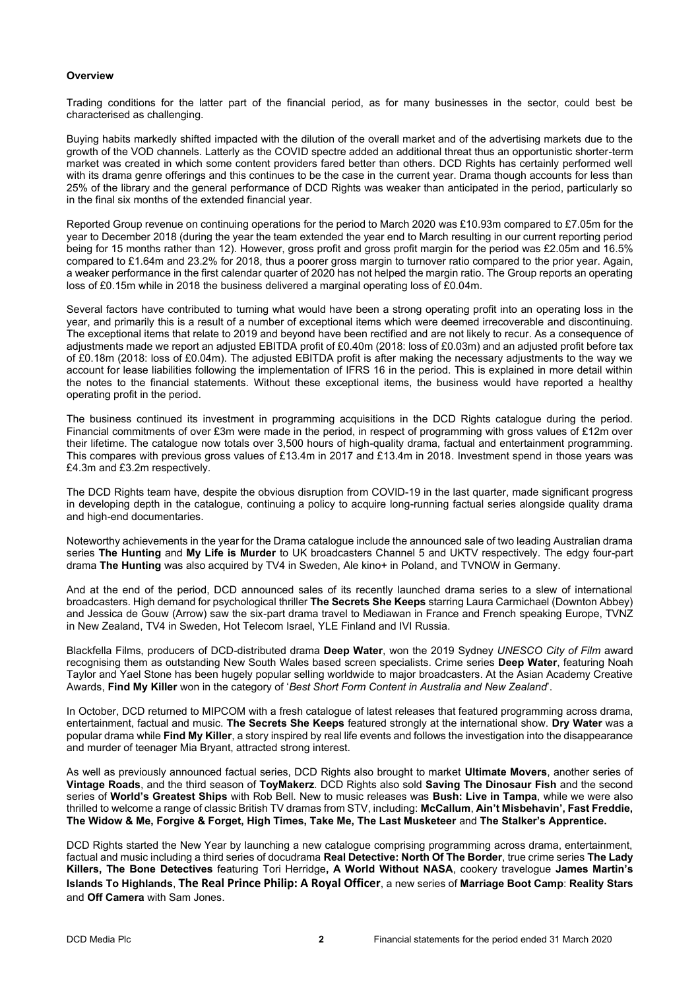#### **Overview**

Trading conditions for the latter part of the financial period, as for many businesses in the sector, could best be characterised as challenging.

Buying habits markedly shifted impacted with the dilution of the overall market and of the advertising markets due to the growth of the VOD channels. Latterly as the COVID spectre added an additional threat thus an opportunistic shorter-term market was created in which some content providers fared better than others. DCD Rights has certainly performed well with its drama genre offerings and this continues to be the case in the current year. Drama though accounts for less than 25% of the library and the general performance of DCD Rights was weaker than anticipated in the period, particularly so in the final six months of the extended financial year.

Reported Group revenue on continuing operations for the period to March 2020 was £10.93m compared to £7.05m for the year to December 2018 (during the year the team extended the year end to March resulting in our current reporting period being for 15 months rather than 12). However, gross profit and gross profit margin for the period was £2.05m and 16.5% compared to £1.64m and 23.2% for 2018, thus a poorer gross margin to turnover ratio compared to the prior year. Again, a weaker performance in the first calendar quarter of 2020 has not helped the margin ratio. The Group reports an operating loss of £0.15m while in 2018 the business delivered a marginal operating loss of £0.04m.

Several factors have contributed to turning what would have been a strong operating profit into an operating loss in the year, and primarily this is a result of a number of exceptional items which were deemed irrecoverable and discontinuing. The exceptional items that relate to 2019 and beyond have been rectified and are not likely to recur. As a consequence of adjustments made we report an adjusted EBITDA profit of £0.40m (2018: loss of £0.03m) and an adjusted profit before tax of £0.18m (2018: loss of £0.04m). The adjusted EBITDA profit is after making the necessary adjustments to the way we account for lease liabilities following the implementation of IFRS 16 in the period. This is explained in more detail within the notes to the financial statements. Without these exceptional items, the business would have reported a healthy operating profit in the period.

The business continued its investment in programming acquisitions in the DCD Rights catalogue during the period. Financial commitments of over £3m were made in the period, in respect of programming with gross values of £12m over their lifetime. The catalogue now totals over 3,500 hours of high-quality drama, factual and entertainment programming. This compares with previous gross values of £13.4m in 2017 and £13.4m in 2018. Investment spend in those years was £4.3m and £3.2m respectively.

The DCD Rights team have, despite the obvious disruption from COVID-19 in the last quarter, made significant progress in developing depth in the catalogue, continuing a policy to acquire long-running factual series alongside quality drama and high-end documentaries.

Noteworthy achievements in the year for the Drama catalogue include the announced sale of two leading Australian drama series **The Hunting** and **My Life is Murder** to UK broadcasters Channel 5 and UKTV respectively. The edgy four-part drama **The Hunting** was also acquired by TV4 in Sweden, Ale kino+ in Poland, and TVNOW in Germany.

And at the end of the period, DCD announced sales of its recently launched drama series to a slew of international broadcasters. High demand for psychological thriller **The Secrets She Keeps** starring Laura Carmichael (Downton Abbey) and Jessica de Gouw (Arrow) saw the six-part drama travel to Mediawan in France and French speaking Europe, TVNZ in New Zealand, TV4 in Sweden, Hot Telecom Israel, YLE Finland and IVI Russia.

Blackfella Films, producers of DCD-distributed drama **Deep Water**, won the 2019 Sydney *UNESCO City of Film* award recognising them as outstanding New South Wales based screen specialists. Crime series **Deep Water**, featuring Noah Taylor and Yael Stone has been hugely popular selling worldwide to major broadcasters. At the Asian Academy Creative Awards, Find My Killer won in the category of 'Best Short Form Content in Australia and New Zealand'.

In October, DCD returned to MIPCOM with a fresh catalogue of latest releases that featured programming across drama, entertainment, factual and music. **The Secrets She Keeps** featured strongly at the international show. **Dry Water** was a popular drama while **Find My Killer**, a story inspired by real life events and follows the investigation into the disappearance and murder of teenager Mia Bryant, attracted strong interest.

As well as previously announced factual series, DCD Rights also brought to market **Ultimate Movers**, another series of **Vintage Roads**, and the third season of **ToyMakerz**. DCD Rights also sold **Saving The Dinosaur Fish** and the second series of World's Greatest Ships with Rob Bell. New to music releases was Bush: Live in Tampa, while we were also thrilled to welcome a range of classic British TV dramas from STV, including: McCallum, Ain't Misbehavin', Fast Freddie, **The Widow & Me, Forgive & Forget, High Times, Take Me, The Last Musketeer and The Stalker's Apprentice.** 

DCD Rights started the New Year by launching a new catalogue comprising programming across drama, entertainment, factual and music including a third series of docudrama **Real Detective: North Of The Border**, true crime series **The Lady**  Killers, The Bone Detectives featuring Tori Herridge, A World Without NASA, cookery travelogue James Martin's **Islands To Highlands**, **The Real Prince Philip: A Royal Officer**, a new series of **Marriage Boot Camp**: **Reality Stars** and **Off Camera** with Sam Jones.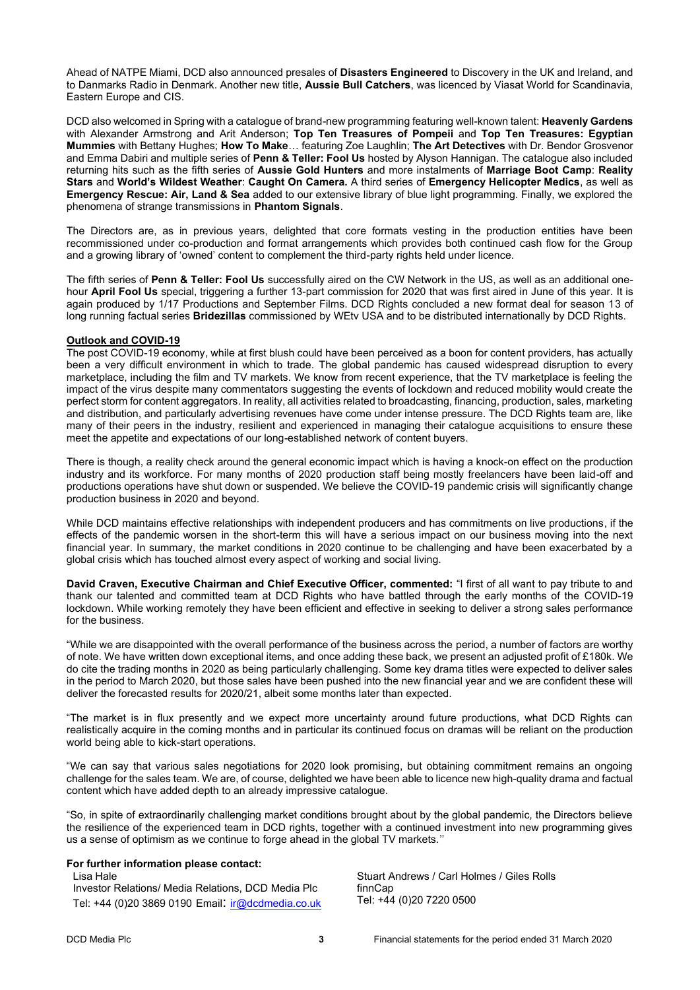Ahead of NATPE Miami, DCD also announced presales of **Disasters Engineered** to Discovery in the UK and Ireland, and to Danmarks Radio in Denmark. Another new title, **Aussie Bull Catchers**, was licenced by Viasat World for Scandinavia, Eastern Europe and CIS.

DCD also welcomed in Spring with a catalogue of brand-new programming featuring well-known talent: **Heavenly Gardens**  with Alexander Armstrong and Arit Anderson; **Top Ten Treasures of Pompeii** and **Top Ten Treasures: Egyptian**  Mummies with Bettany Hughes; How To Make... featuring Zoe Laughlin; The Art Detectives with Dr. Bendor Grosvenor and Emma Dabiri and multiple series of **Penn & Teller: Fool Us** hosted by Alyson Hannigan. The catalogue also included returning hits such as the fifth series of **Aussie Gold Hunters** and more instalments of **Marriage Boot Camp**: **Reality Stars** and World's Wildest Weather: Caught On Camera. A third series of Emergency Helicopter Medics, as well as **Emergency Rescue: Air, Land & Sea** added to our extensive library of blue light programming. Finally, we explored the phenomena of strange transmissions in **Phantom Signals**.

The Directors are, as in previous years, delighted that core formats vesting in the production entities have been recommissioned under co-production and format arrangements which provides both continued cash flow for the Group and a growing library of 'owned' content to complement the third-party rights held under licence.

The fifth series of **Penn & Teller: Fool Us** successfully aired on the CW Network in the US, as well as an additional onehour **April Fool Us** special, triggering a further 13-part commission for 2020 that was first aired in June of this year. It is again produced by 1/17 Productions and September Films. DCD Rights concluded a new format deal for season 13 of long running factual series **Bridezillas** commissioned by WEtv USA and to be distributed internationally by DCD Rights.

## **Outlook and COVID-19**

The post COVID-19 economy, while at first blush could have been perceived as a boon for content providers, has actually been a very difficult environment in which to trade. The global pandemic has caused widespread disruption to every marketplace, including the film and TV markets. We know from recent experience, that the TV marketplace is feeling the impact of the virus despite many commentators suggesting the events of lockdown and reduced mobility would create the perfect storm for content aggregators. In reality, all activities related to broadcasting, financing, production, sales, marketing and distribution, and particularly advertising revenues have come under intense pressure. The DCD Rights team are, like many of their peers in the industry, resilient and experienced in managing their catalogue acquisitions to ensure these meet the appetite and expectations of our long-established network of content buyers.

There is though, a reality check around the general economic impact which is having a knock-on effect on the production industry and its workforce. For many months of 2020 production staff being mostly freelancers have been laid-off and productions operations have shut down or suspended. We believe the COVID-19 pandemic crisis will significantly change production business in 2020 and beyond.

While DCD maintains effective relationships with independent producers and has commitments on live productions, if the effects of the pandemic worsen in the short-term this will have a serious impact on our business moving into the next financial year. In summary, the market conditions in 2020 continue to be challenging and have been exacerbated by a global crisis which has touched almost every aspect of working and social living.

**David Craven, Executive Chairman and Chief Executive Officer, commented:** "I first of all want to pay tribute to and thank our talented and committed team at DCD Rights who have battled through the early months of the COVID-19 lockdown. While working remotely they have been efficient and effective in seeking to deliver a strong sales performance for the business.

"While we are disappointed with the overall performance of the business across the period, a number of factors are worthy of note. We have written down exceptional items, and once adding these back, we present an adjusted profit of £180k. We do cite the trading months in 2020 as being particularly challenging. Some key drama titles were expected to deliver sales in the period to March 2020, but those sales have been pushed into the new financial year and we are confident these will deliver the forecasted results for 2020/21, albeit some months later than expected.

"The market is in flux presently and we expect more uncertainty around future productions, what DCD Rights can realistically acquire in the coming months and in particular its continued focus on dramas will be reliant on the production world being able to kick-start operations.

"We can say that various sales negotiations for 2020 look promising, but obtaining commitment remains an ongoing challenge for the sales team. We are, of course, delighted we have been able to licence new high-quality drama and factual content which have added depth to an already impressive catalogue.

"So, in spite of extraordinarily challenging market conditions brought about by the global pandemic, the Directors believe the resilience of the experienced team in DCD rights, together with a continued investment into new programming gives us a sense of optimism as we continue to forge ahead in the global TV markets."

#### **For further information please contact:**

Lisa Hale Investor Relations/ Media Relations, DCD Media Plc Tel: +44 (0)20 3869 0190 Email: ir@dcdmedia.co.uk

Stuart Andrews / Carl Holmes / Giles Rolls finnCap Tel: +44 (0)20 7220 0500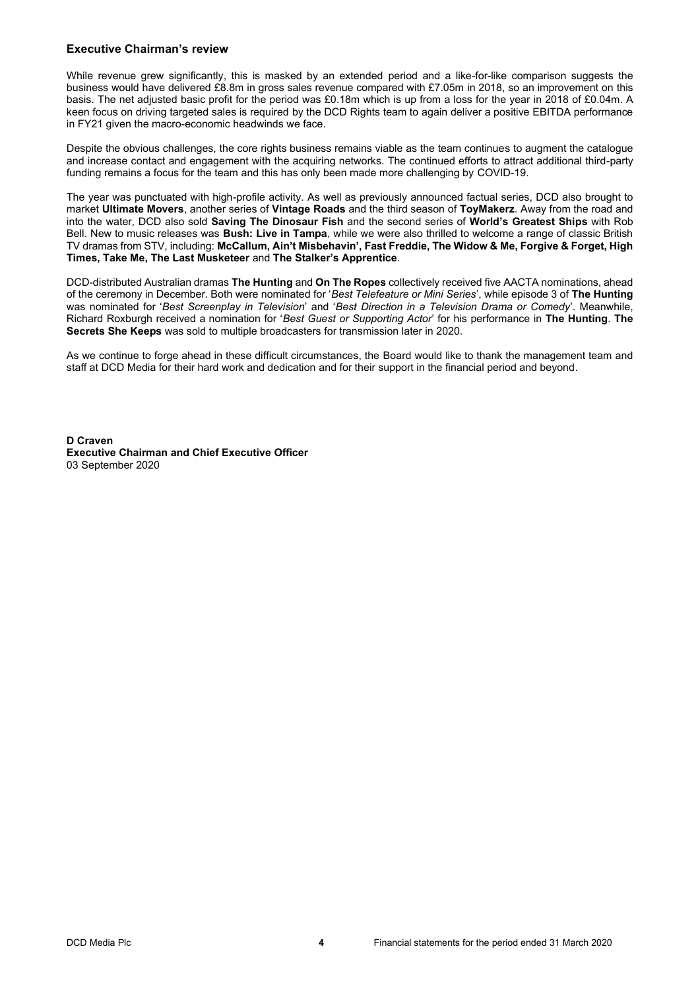## **Executive Chairman's review**

While revenue grew significantly, this is masked by an extended period and a like-for-like comparison suggests the business would have delivered £8.8m in gross sales revenue compared with £7.05m in 2018, so an improvement on this basis. The net adjusted basic profit for the period was £0.18m which is up from a loss for the year in 2018 of £0.04m. A keen focus on driving targeted sales is required by the DCD Rights team to again deliver a positive EBITDA performance in FY21 given the macro-economic headwinds we face.

Despite the obvious challenges, the core rights business remains viable as the team continues to augment the catalogue and increase contact and engagement with the acquiring networks. The continued efforts to attract additional third-party funding remains a focus for the team and this has only been made more challenging by COVID-19.

The year was punctuated with high-profile activity. As well as previously announced factual series, DCD also brought to market **Ultimate Movers**, another series of **Vintage Roads** and the third season of **ToyMakerz**. Away from the road and into the water, DCD also sold **Saving The Dinosaur Fish** and the second series of World's Greatest Ships with Rob Bell. New to music releases was **Bush: Live in Tampa**, while we were also thrilled to welcome a range of classic British TV dramas from STV, including: McCallum, Ain't Misbehavin', Fast Freddie, The Widow & Me, Forgive & Forget, High **Times, Take Me, The Last Musketeer and The Stalker's Apprentice.** 

DCD-distributed Australian dramas **The Hunting** and **On The Ropes** collectively received five AACTA nominations, ahead of the ceremony in December. Both were nominated for 'Best Telefeature or Mini Series', while episode 3 of The Hunting was nominated for 'Best Screenplay in Television' and 'Best Direction in a Television Drama or Comedy'. Meanwhile, Richard Roxburgh received a nomination for 'Best Guest or Supporting Actor' for his performance in The Hunting. The **Secrets She Keeps** was sold to multiple broadcasters for transmission later in 2020.

As we continue to forge ahead in these difficult circumstances, the Board would like to thank the management team and staff at DCD Media for their hard work and dedication and for their support in the financial period and beyond.

**D Craven Executive Chairman and Chief Executive Officer** 03 September 2020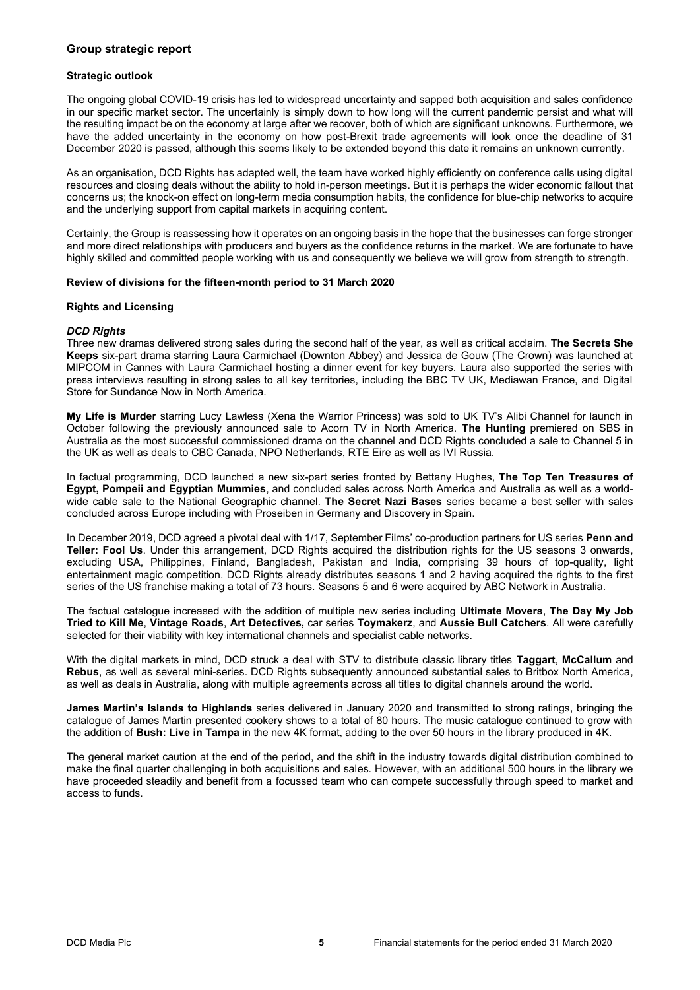## **Group strategic report**

#### **Strategic outlook**

The ongoing global COVID-19 crisis has led to widespread uncertainty and sapped both acquisition and sales confidence in our specific market sector. The uncertainly is simply down to how long will the current pandemic persist and what will the resulting impact be on the economy at large after we recover, both of which are significant unknowns. Furthermore, we have the added uncertainty in the economy on how post-Brexit trade agreements will look once the deadline of 31 December 2020 is passed, although this seems likely to be extended beyond this date it remains an unknown currently.

As an organisation, DCD Rights has adapted well, the team have worked highly efficiently on conference calls using digital resources and closing deals without the ability to hold in-person meetings. But it is perhaps the wider economic fallout that concerns us; the knock-on effect on long-term media consumption habits, the confidence for blue-chip networks to acquire and the underlying support from capital markets in acquiring content.

Certainly, the Group is reassessing how it operates on an ongoing basis in the hope that the businesses can forge stronger and more direct relationships with producers and buyers as the confidence returns in the market. We are fortunate to have highly skilled and committed people working with us and consequently we believe we will grow from strength to strength.

#### **Review of divisions for the fifteen-month period to 31 March 2020**

## **Rights and Licensing**

## *DCD Rights*

Three new dramas delivered strong sales during the second half of the year, as well as critical acclaim. **The Secrets She Keeps** six-part drama starring Laura Carmichael (Downton Abbey) and Jessica de Gouw (The Crown) was launched at MIPCOM in Cannes with Laura Carmichael hosting a dinner event for key buyers. Laura also supported the series with press interviews resulting in strong sales to all key territories, including the BBC TV UK, Mediawan France, and Digital Store for Sundance Now in North America.

**My Life is Murder** starring Lucy Lawless (Xena the Warrior Princess) was sold to UK TV's Alibi Channel for launch in October following the previously announced sale to Acorn TV in North America. **The Hunting** premiered on SBS in Australia as the most successful commissioned drama on the channel and DCD Rights concluded a sale to Channel 5 in the UK as well as deals to CBC Canada, NPO Netherlands, RTE Eire as well as IVI Russia.

In factual programming, DCD launched a new six-part series fronted by Bettany Hughes, **The Top Ten Treasures of Egypt, Pompeii and Egyptian Mummies**, and concluded sales across North America and Australia as well as a worldwide cable sale to the National Geographic channel. **The Secret Nazi Bases** series became a best seller with sales concluded across Europe including with Proseiben in Germany and Discovery in Spain.

In December 2019, DCD agreed a pivotal deal with 1/17, September Films' co-production partners for US series Penn and **Teller: Fool Us**. Under this arrangement, DCD Rights acquired the distribution rights for the US seasons 3 onwards, excluding USA, Philippines, Finland, Bangladesh, Pakistan and India, comprising 39 hours of top-quality, light entertainment magic competition. DCD Rights already distributes seasons 1 and 2 having acquired the rights to the first series of the US franchise making a total of 73 hours. Seasons 5 and 6 were acquired by ABC Network in Australia.

The factual catalogue increased with the addition of multiple new series including **Ultimate Movers**, **The Day My Job Tried to Kill Me**, **Vintage Roads**, **Art Detectives,** car series **Toymakerz**, and **Aussie Bull Catchers**. All were carefully selected for their viability with key international channels and specialist cable networks.

With the digital markets in mind, DCD struck a deal with STV to distribute classic library titles **Taggart**, **McCallum** and **Rebus**, as well as several mini-series. DCD Rights subsequently announced substantial sales to Britbox North America, as well as deals in Australia, along with multiple agreements across all titles to digital channels around the world.

James Martin's Islands to Highlands series delivered in January 2020 and transmitted to strong ratings, bringing the catalogue of James Martin presented cookery shows to a total of 80 hours. The music catalogue continued to grow with the addition of **Bush: Live in Tampa** in the new 4K format, adding to the over 50 hours in the library produced in 4K.

The general market caution at the end of the period, and the shift in the industry towards digital distribution combined to make the final quarter challenging in both acquisitions and sales. However, with an additional 500 hours in the library we have proceeded steadily and benefit from a focussed team who can compete successfully through speed to market and access to funds.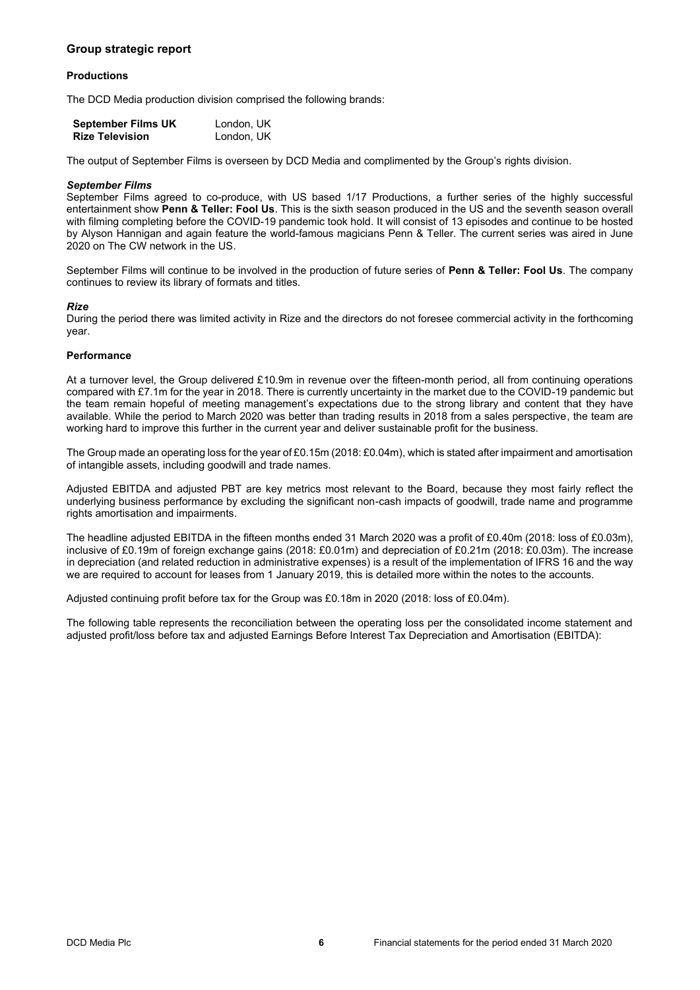## **Group strategic report**

#### **Productions**

The DCD Media production division comprised the following brands:

| <b>September Films UK</b> | London, UK |
|---------------------------|------------|
| <b>Rize Television</b>    | London, UK |

The output of September Films is overseen by DCD Media and complimented by the Group's rights division.

#### *September Films*

September Films agreed to co-produce, with US based 1/17 Productions, a further series of the highly successful entertainment show **Penn & Teller: Fool Us**. This is the sixth season produced in the US and the seventh season overall with filming completing before the COVID-19 pandemic took hold. It will consist of 13 episodes and continue to be hosted by Alyson Hannigan and again feature the world-famous magicians Penn & Teller. The current series was aired in June 2020 on The CW network in the US.

September Films will continue to be involved in the production of future series of **Penn & Teller: Fool Us**. The company continues to review its library of formats and titles.

#### *Rize*

During the period there was limited activity in Rize and the directors do not foresee commercial activity in the forthcoming year.

#### **Performance**

At a turnover level, the Group delivered £10.9m in revenue over the fifteen-month period, all from continuing operations compared with £7.1m for the year in 2018. There is currently uncertainty in the market due to the COVID-19 pandemic but the team remain hopeful of meeting management's expectations due to the strong library and content that they have available. While the period to March 2020 was better than trading results in 2018 from a sales perspective, the team are working hard to improve this further in the current year and deliver sustainable profit for the business.

The Group made an operating loss for the year of £0.15m (2018: £0.04m), which is stated after impairment and amortisation of intangible assets, including goodwill and trade names.

Adjusted EBITDA and adjusted PBT are key metrics most relevant to the Board, because they most fairly reflect the underlying business performance by excluding the significant non-cash impacts of goodwill, trade name and programme rights amortisation and impairments.

The headline adjusted EBITDA in the fifteen months ended 31 March 2020 was a profit of £0.40m (2018: loss of £0.03m), inclusive of £0.19m of foreign exchange gains (2018: £0.01m) and depreciation of £0.21m (2018: £0.03m). The increase in depreciation (and related reduction in administrative expenses) is a result of the implementation of IFRS 16 and the way we are required to account for leases from 1 January 2019, this is detailed more within the notes to the accounts.

Adjusted continuing profit before tax for the Group was £0.18m in 2020 (2018: loss of £0.04m).

The following table represents the reconciliation between the operating loss per the consolidated income statement and adjusted profit/loss before tax and adjusted Earnings Before Interest Tax Depreciation and Amortisation (EBITDA):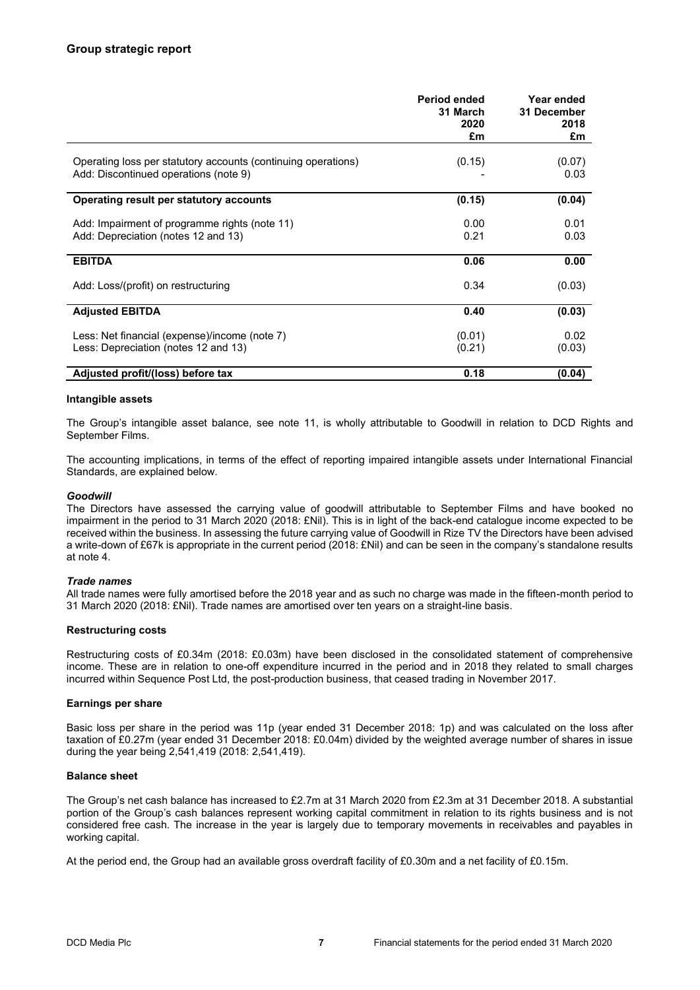|                                                                                                        | Period ended<br>31 March<br>2020<br>£m | Year ended<br>31 December<br>2018<br>£m |
|--------------------------------------------------------------------------------------------------------|----------------------------------------|-----------------------------------------|
| Operating loss per statutory accounts (continuing operations)<br>Add: Discontinued operations (note 9) | (0.15)                                 | (0.07)<br>0.03                          |
| Operating result per statutory accounts                                                                | (0.15)                                 | (0.04)                                  |
| Add: Impairment of programme rights (note 11)<br>Add: Depreciation (notes 12 and 13)                   | 0.00<br>0.21                           | 0.01<br>0.03                            |
| <b>EBITDA</b>                                                                                          | 0.06                                   | 0.00                                    |
| Add: Loss/(profit) on restructuring                                                                    | 0.34                                   | (0.03)                                  |
| <b>Adjusted EBITDA</b>                                                                                 | 0.40                                   | (0.03)                                  |
| Less: Net financial (expense)/income (note 7)<br>Less: Depreciation (notes 12 and 13)                  | (0.01)<br>(0.21)                       | 0.02<br>(0.03)                          |
| Adjusted profit/(loss) before tax                                                                      | 0.18                                   | (0.04)                                  |

#### **Intangible assets**

The Group's intangible asset balance, see note 11, is wholly attributable to Goodwill in relation to DCD Rights and September Films.

The accounting implications, in terms of the effect of reporting impaired intangible assets under International Financial Standards, are explained below.

#### *Goodwill*

The Directors have assessed the carrying value of goodwill attributable to September Films and have booked no impairment in the period to 31 March 2020 (2018: £Nil). This is in light of the back-end catalogue income expected to be received within the business. In assessing the future carrying value of Goodwill in Rize TV the Directors have been advised a write-down of £67k is appropriate in the current period (2018: £Nil) and can be seen in the company's standalone results at note 4.

#### *Trade names*

All trade names were fully amortised before the 2018 year and as such no charge was made in the fifteen-month period to 31 March 2020 (2018: £Nil). Trade names are amortised over ten years on a straight-line basis.

#### **Restructuring costs**

Restructuring costs of £0.34m (2018: £0.03m) have been disclosed in the consolidated statement of comprehensive income. These are in relation to one-off expenditure incurred in the period and in 2018 they related to small charges incurred within Sequence Post Ltd, the post-production business, that ceased trading in November 2017.

#### **Earnings per share**

Basic loss per share in the period was 11p (year ended 31 December 2018: 1p) and was calculated on the loss after taxation of £0.27m (year ended 31 December 2018: £0.04m) divided by the weighted average number of shares in issue during the year being 2,541,419 (2018: 2,541,419).

#### **Balance sheet**

The Group's net cash balance has increased to £2.7m at 31 March 2020 from £2.3m at 31 December 2018. A substantial portion of the Group's cash balances represent working capital commitment in relation to its rights business and is not considered free cash. The increase in the year is largely due to temporary movements in receivables and payables in working capital.

At the period end, the Group had an available gross overdraft facility of £0.30m and a net facility of £0.15m.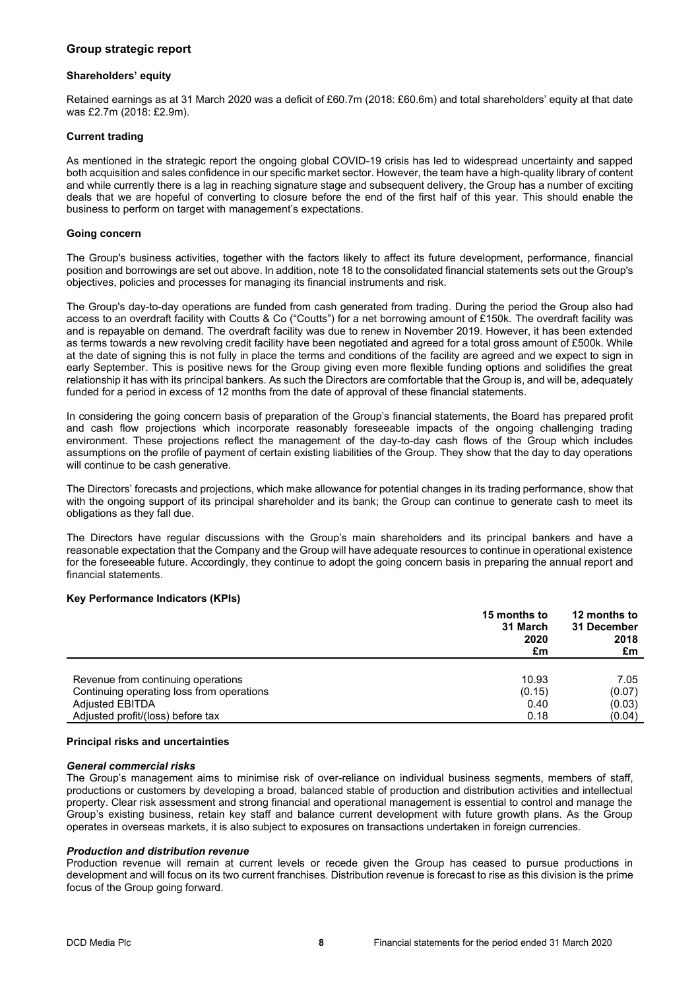## **Group strategic report**

#### **Shareholders' equity**

Retained earnings as at 31 March 2020 was a deficit of £60.7m (2018: £60.6m) and total shareholders' equity at that date was £2.7m (2018: £2.9m).

## **Current trading**

As mentioned in the strategic report the ongoing global COVID-19 crisis has led to widespread uncertainty and sapped both acquisition and sales confidence in our specific market sector. However, the team have a high-quality library of content and while currently there is a lag in reaching signature stage and subsequent delivery, the Group has a number of exciting deals that we are hopeful of converting to closure before the end of the first half of this year. This should enable the business to perform on target with management's expectations.

#### **Going concern**

The Group's business activities, together with the factors likely to affect its future development, performance, financial position and borrowings are set out above. In addition, note 18 to the consolidated financial statements sets out the Group's objectives, policies and processes for managing its financial instruments and risk.

The Group's day-to-day operations are funded from cash generated from trading. During the period the Group also had access to an overdraft facility with Coutts & Co ("Coutts") for a net borrowing amount of £150k. The overdraft facility was and is repayable on demand. The overdraft facility was due to renew in November 2019. However, it has been extended as terms towards a new revolving credit facility have been negotiated and agreed for a total gross amount of £500k. While at the date of signing this is not fully in place the terms and conditions of the facility are agreed and we expect to sign in early September. This is positive news for the Group giving even more flexible funding options and solidifies the great relationship it has with its principal bankers. As such the Directors are comfortable that the Group is, and will be, adequately funded for a period in excess of 12 months from the date of approval of these financial statements.

In considering the going concern basis of preparation of the Group's financial statements, the Board has prepared profit and cash flow projections which incorporate reasonably foreseeable impacts of the ongoing challenging trading environment. These projections reflect the management of the day-to-day cash flows of the Group which includes assumptions on the profile of payment of certain existing liabilities of the Group. They show that the day to day operations will continue to be cash generative.

The Directors' forecasts and projections, which make allowance for potential changes in its trading performance, show that with the ongoing support of its principal shareholder and its bank; the Group can continue to generate cash to meet its obligations as they fall due.

The Directors have regular discussions with the Group's main shareholders and its principal bankers and have a reasonable expectation that the Company and the Group will have adequate resources to continue in operational existence for the foreseeable future. Accordingly, they continue to adopt the going concern basis in preparing the annual report and financial statements.

## **Key Performance Indicators (KPIs)**

|                                           | 15 months to<br>31 March<br>2020<br>£m | 12 months to<br>31 December<br>2018<br>£m |
|-------------------------------------------|----------------------------------------|-------------------------------------------|
| Revenue from continuing operations        | 10.93                                  | 7.05                                      |
| Continuing operating loss from operations | (0.15)                                 | (0.07)                                    |
| <b>Adjusted EBITDA</b>                    | 0.40                                   | (0.03)                                    |
| Adjusted profit/(loss) before tax         | 0.18                                   | (0.04)                                    |

#### **Principal risks and uncertainties**

#### *General commercial risks*

The Group's management aims to minimise risk of over-reliance on individual business segments, members of staff, productions or customers by developing a broad, balanced stable of production and distribution activities and intellectual property. Clear risk assessment and strong financial and operational management is essential to control and manage the Group's existing business, retain key staff and balance current development with future growth plans. As the Group operates in overseas markets, it is also subject to exposures on transactions undertaken in foreign currencies.

#### *Production and distribution revenue*

Production revenue will remain at current levels or recede given the Group has ceased to pursue productions in development and will focus on its two current franchises. Distribution revenue is forecast to rise as this division is the prime focus of the Group going forward.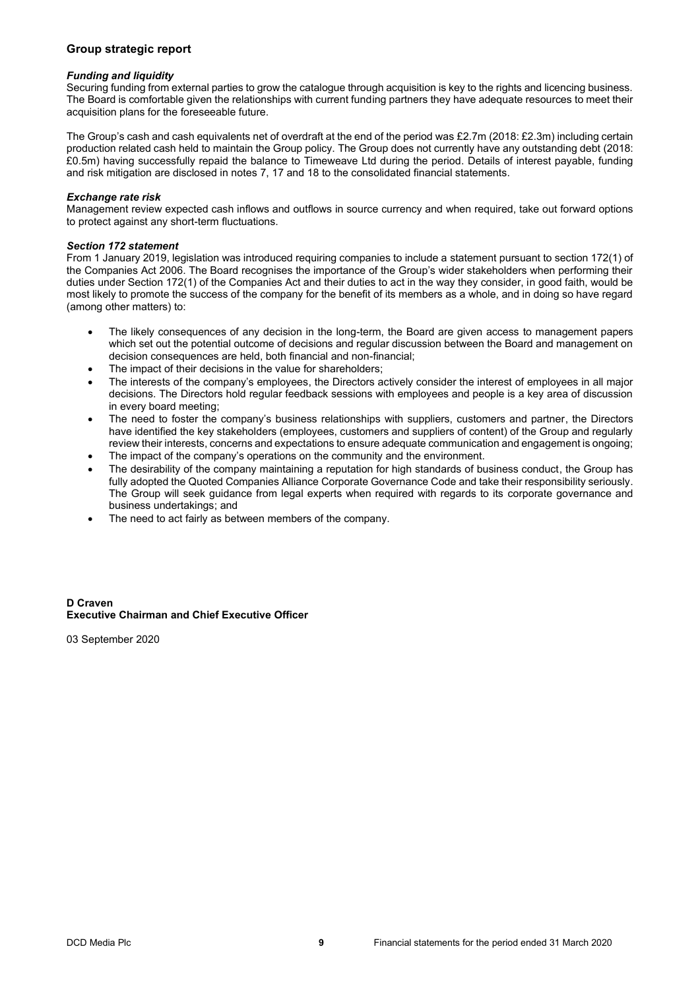## **Group strategic report**

#### *Funding and liquidity*

Securing funding from external parties to grow the catalogue through acquisition is key to the rights and licencing business. The Board is comfortable given the relationships with current funding partners they have adequate resources to meet their acquisition plans for the foreseeable future.

The Group's cash and cash equivalents net of overdraft at the end of the period was £2.7m (2018: £2.3m) including certain production related cash held to maintain the Group policy. The Group does not currently have any outstanding debt (2018: £0.5m) having successfully repaid the balance to Timeweave Ltd during the period. Details of interest payable, funding and risk mitigation are disclosed in notes 7, 17 and 18 to the consolidated financial statements.

#### *Exchange rate risk*

Management review expected cash inflows and outflows in source currency and when required, take out forward options to protect against any short-term fluctuations.

#### *Section 172 statement*

From 1 January 2019, legislation was introduced requiring companies to include a statement pursuant to section 172(1) of the Companies Act 2006. The Board recognises the importance of the Group's wider stakeholders when performing their duties under Section 172(1) of the Companies Act and their duties to act in the way they consider, in good faith, would be most likely to promote the success of the company for the benefit of its members as a whole, and in doing so have regard (among other matters) to:

- The likely consequences of any decision in the long-term, the Board are given access to management papers which set out the potential outcome of decisions and regular discussion between the Board and management on decision consequences are held, both financial and non-financial;
- The impact of their decisions in the value for shareholders;
- The interests of the company's employees, the Directors actively consider the interest of employees in all major decisions. The Directors hold regular feedback sessions with employees and people is a key area of discussion in every board meeting;
- The need to foster the company's business relationships with suppliers, customers and partner, the Directors have identified the key stakeholders (employees, customers and suppliers of content) of the Group and regularly review their interests, concerns and expectations to ensure adequate communication and engagement is ongoing;
- The impact of the company's operations on the community and the environment.
- The desirability of the company maintaining a reputation for high standards of business conduct, the Group has fully adopted the Quoted Companies Alliance Corporate Governance Code and take their responsibility seriously. The Group will seek guidance from legal experts when required with regards to its corporate governance and business undertakings; and
- The need to act fairly as between members of the company.

## **D Craven Executive Chairman and Chief Executive Officer**

03 September 2020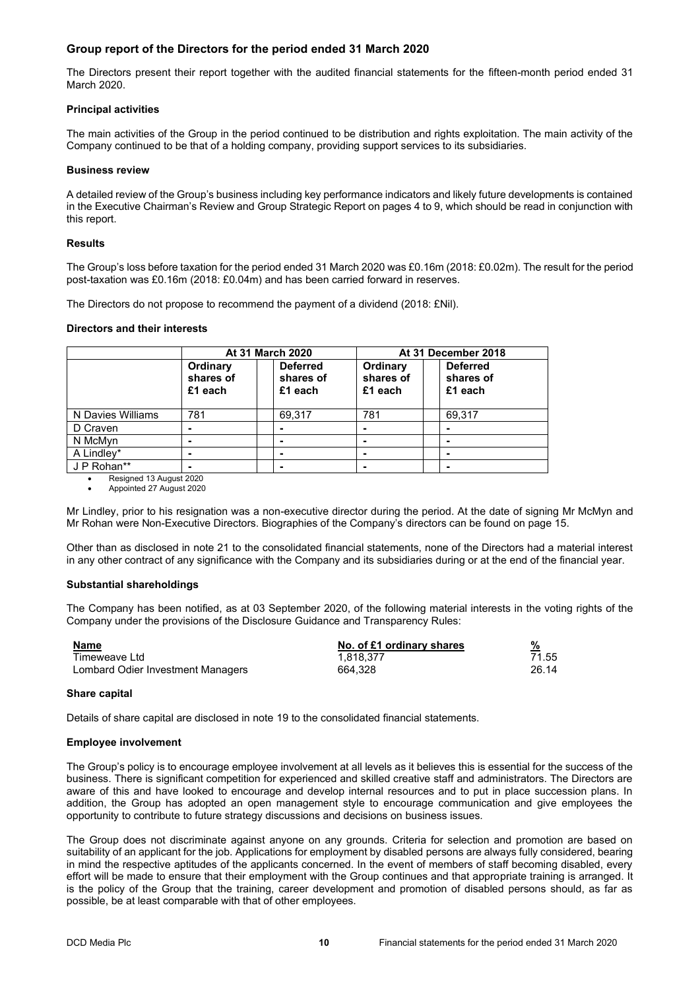The Directors present their report together with the audited financial statements for the fifteen-month period ended 31 March 2020.

## **Principal activities**

The main activities of the Group in the period continued to be distribution and rights exploitation. The main activity of the Company continued to be that of a holding company, providing support services to its subsidiaries.

#### **Business review**

A detailed review of the Group's business including key performance indicators and likely future developments is contained in the Executive Chairman's Review and Group Strategic Report on pages 4 to 9, which should be read in conjunction with this report.

#### **Results**

The Group's loss before taxation for the period ended 31 March 2020 was £0.16m (2018: £0.02m). The result for the period post-taxation was £0.16m (2018: £0.04m) and has been carried forward in reserves.

The Directors do not propose to recommend the payment of a dividend (2018: £Nil).

## **Directors and their interests**

|                   | <b>At 31 March 2020</b>          |                                         |                                  | At 31 December 2018                     |
|-------------------|----------------------------------|-----------------------------------------|----------------------------------|-----------------------------------------|
|                   | Ordinary<br>shares of<br>£1 each | <b>Deferred</b><br>shares of<br>£1 each | Ordinary<br>shares of<br>£1 each | <b>Deferred</b><br>shares of<br>£1 each |
| N Davies Williams | 781                              | 69.317                                  | 781                              | 69.317                                  |
| D Craven          |                                  | -                                       |                                  |                                         |
| N McMvn           | -                                | -                                       |                                  |                                         |
| A Lindlev*        |                                  |                                         | -                                |                                         |
| J P Rohan**       | -                                | -                                       | ۰                                |                                         |

Resigned 13 August 2020 x Appointed 27 August 2020

Mr Lindley, prior to his resignation was a non-executive director during the period. At the date of signing Mr McMyn and Mr Rohan were Non-Executive Directors. Biographies of the Company's directors can be found on page 15.

Other than as disclosed in note 21 to the consolidated financial statements, none of the Directors had a material interest in any other contract of any significance with the Company and its subsidiaries during or at the end of the financial year.

#### **Substantial shareholdings**

The Company has been notified, as at 03 September 2020, of the following material interests in the voting rights of the Company under the provisions of the Disclosure Guidance and Transparency Rules:

| <u>Name</u>                       | No. of £1 ordinary shares | <u>%</u> |
|-----------------------------------|---------------------------|----------|
| Timeweave Ltd                     | 1.818.377                 | 71.55    |
| Lombard Odier Investment Managers | 664.328                   | 26.14    |

#### **Share capital**

Details of share capital are disclosed in note 19 to the consolidated financial statements.

#### **Employee involvement**

The Group's policy is to encourage employee involvement at all levels as it believes this is essential for the success of the business. There is significant competition for experienced and skilled creative staff and administrators. The Directors are aware of this and have looked to encourage and develop internal resources and to put in place succession plans. In addition, the Group has adopted an open management style to encourage communication and give employees the opportunity to contribute to future strategy discussions and decisions on business issues.

The Group does not discriminate against anyone on any grounds. Criteria for selection and promotion are based on suitability of an applicant for the job. Applications for employment by disabled persons are always fully considered, bearing in mind the respective aptitudes of the applicants concerned. In the event of members of staff becoming disabled, every effort will be made to ensure that their employment with the Group continues and that appropriate training is arranged. It is the policy of the Group that the training, career development and promotion of disabled persons should, as far as possible, be at least comparable with that of other employees.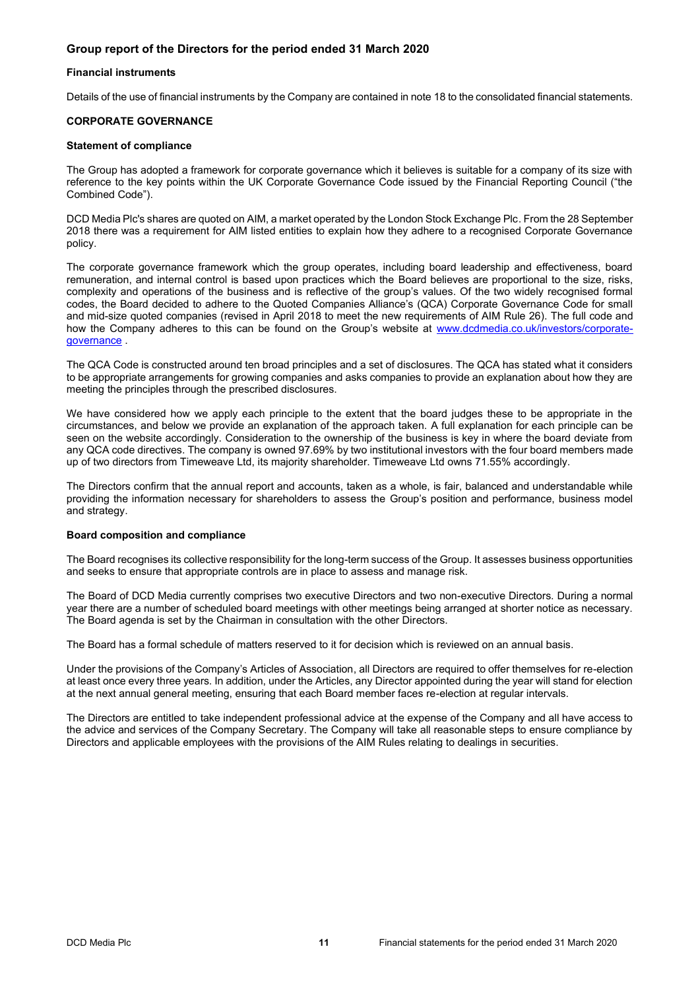## **Financial instruments**

Details of the use of financial instruments by the Company are contained in note 18 to the consolidated financial statements.

## **CORPORATE GOVERNANCE**

#### **Statement of compliance**

The Group has adopted a framework for corporate governance which it believes is suitable for a company of its size with reference to the key points within the UK Corporate Governance Code issued by the Financial Reporting Council ("the Combined Code").

DCD Media Plc's shares are quoted on AIM, a market operated by the London Stock Exchange Plc. From the 28 September 2018 there was a requirement for AIM listed entities to explain how they adhere to a recognised Corporate Governance policy.

The corporate governance framework which the group operates, including board leadership and effectiveness, board remuneration, and internal control is based upon practices which the Board believes are proportional to the size, risks, complexity and operations of the business and is reflective of the group's values. Of the two widely recognised formal codes, the Board decided to adhere to the Quoted Companies Alliance's (QCA) Corporate Governance Code for small and mid-size quoted companies (revised in April 2018 to meet the new requirements of AIM Rule 26). The full code and how the Company adheres to this can be found on the Group's website at www.dcdmedia.co.uk/investors/corporategovernance

The QCA Code is constructed around ten broad principles and a set of disclosures. The QCA has stated what it considers to be appropriate arrangements for growing companies and asks companies to provide an explanation about how they are meeting the principles through the prescribed disclosures.

We have considered how we apply each principle to the extent that the board judges these to be appropriate in the circumstances, and below we provide an explanation of the approach taken. A full explanation for each principle can be seen on the website accordingly. Consideration to the ownership of the business is key in where the board deviate from any QCA code directives. The company is owned 97.69% by two institutional investors with the four board members made up of two directors from Timeweave Ltd, its majority shareholder. Timeweave Ltd owns 71.55% accordingly.

The Directors confirm that the annual report and accounts, taken as a whole, is fair, balanced and understandable while providing the information necessary for shareholders to assess the Group's position and performance, business model and strategy.

## **Board composition and compliance**

The Board recognises its collective responsibility for the long-term success of the Group. It assesses business opportunities and seeks to ensure that appropriate controls are in place to assess and manage risk.

The Board of DCD Media currently comprises two executive Directors and two non-executive Directors. During a normal year there are a number of scheduled board meetings with other meetings being arranged at shorter notice as necessary. The Board agenda is set by the Chairman in consultation with the other Directors.

The Board has a formal schedule of matters reserved to it for decision which is reviewed on an annual basis.

Under the provisions of the Company's Articles of Association, all Directors are required to offer themselves for re-election at least once every three years. In addition, under the Articles, any Director appointed during the year will stand for election at the next annual general meeting, ensuring that each Board member faces re-election at regular intervals.

The Directors are entitled to take independent professional advice at the expense of the Company and all have access to the advice and services of the Company Secretary. The Company will take all reasonable steps to ensure compliance by Directors and applicable employees with the provisions of the AIM Rules relating to dealings in securities.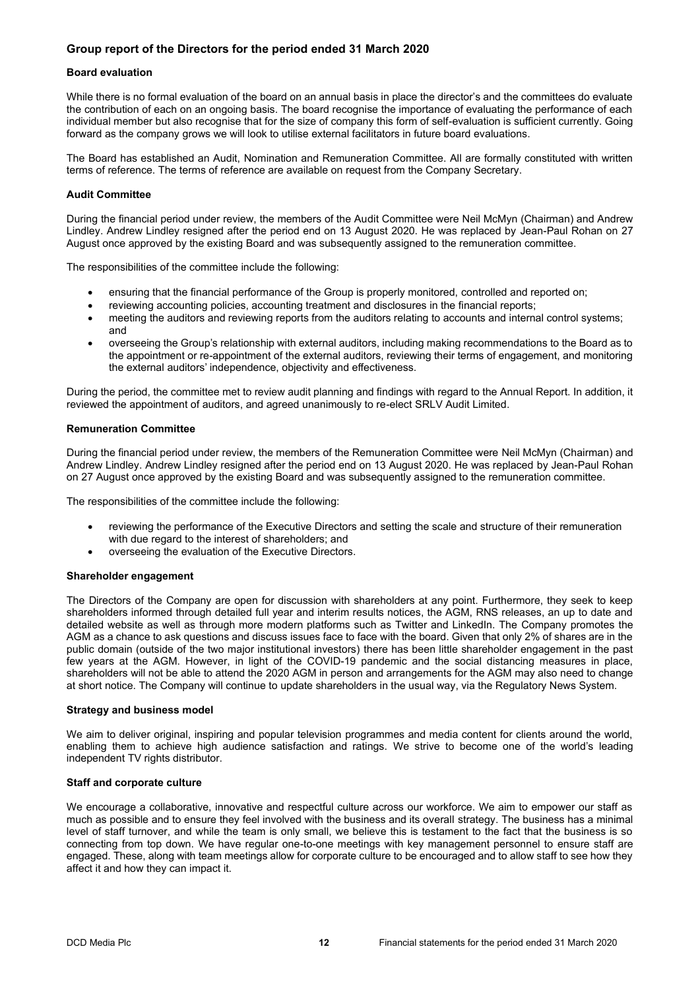#### **Board evaluation**

While there is no formal evaluation of the board on an annual basis in place the director's and the committees do evaluate the contribution of each on an ongoing basis. The board recognise the importance of evaluating the performance of each individual member but also recognise that for the size of company this form of self-evaluation is sufficient currently. Going forward as the company grows we will look to utilise external facilitators in future board evaluations.

The Board has established an Audit, Nomination and Remuneration Committee. All are formally constituted with written terms of reference. The terms of reference are available on request from the Company Secretary.

## **Audit Committee**

During the financial period under review, the members of the Audit Committee were Neil McMyn (Chairman) and Andrew Lindley. Andrew Lindley resigned after the period end on 13 August 2020. He was replaced by Jean-Paul Rohan on 27 August once approved by the existing Board and was subsequently assigned to the remuneration committee.

The responsibilities of the committee include the following:

- ensuring that the financial performance of the Group is properly monitored, controlled and reported on;
- reviewing accounting policies, accounting treatment and disclosures in the financial reports;
- meeting the auditors and reviewing reports from the auditors relating to accounts and internal control systems; and
- overseeing the Group's relationship with external auditors, including making recommendations to the Board as to the appointment or re-appointment of the external auditors, reviewing their terms of engagement, and monitoring the external auditors' independence, objectivity and effectiveness.

During the period, the committee met to review audit planning and findings with regard to the Annual Report. In addition, it reviewed the appointment of auditors, and agreed unanimously to re-elect SRLV Audit Limited.

## **Remuneration Committee**

During the financial period under review, the members of the Remuneration Committee were Neil McMyn (Chairman) and Andrew Lindley. Andrew Lindley resigned after the period end on 13 August 2020. He was replaced by Jean-Paul Rohan on 27 August once approved by the existing Board and was subsequently assigned to the remuneration committee.

The responsibilities of the committee include the following:

- reviewing the performance of the Executive Directors and setting the scale and structure of their remuneration with due regard to the interest of shareholders; and
- overseeing the evaluation of the Executive Directors.

#### **Shareholder engagement**

The Directors of the Company are open for discussion with shareholders at any point. Furthermore, they seek to keep shareholders informed through detailed full year and interim results notices, the AGM, RNS releases, an up to date and detailed website as well as through more modern platforms such as Twitter and LinkedIn. The Company promotes the AGM as a chance to ask questions and discuss issues face to face with the board. Given that only 2% of shares are in the public domain (outside of the two major institutional investors) there has been little shareholder engagement in the past few years at the AGM. However, in light of the COVID-19 pandemic and the social distancing measures in place, shareholders will not be able to attend the 2020 AGM in person and arrangements for the AGM may also need to change at short notice. The Company will continue to update shareholders in the usual way, via the Regulatory News System.

#### **Strategy and business model**

We aim to deliver original, inspiring and popular television programmes and media content for clients around the world, enabling them to achieve high audience satisfaction and ratings. We strive to become one of the world's leading independent TV rights distributor.

#### **Staff and corporate culture**

We encourage a collaborative, innovative and respectful culture across our workforce. We aim to empower our staff as much as possible and to ensure they feel involved with the business and its overall strategy. The business has a minimal level of staff turnover, and while the team is only small, we believe this is testament to the fact that the business is so connecting from top down. We have regular one-to-one meetings with key management personnel to ensure staff are engaged. These, along with team meetings allow for corporate culture to be encouraged and to allow staff to see how they affect it and how they can impact it.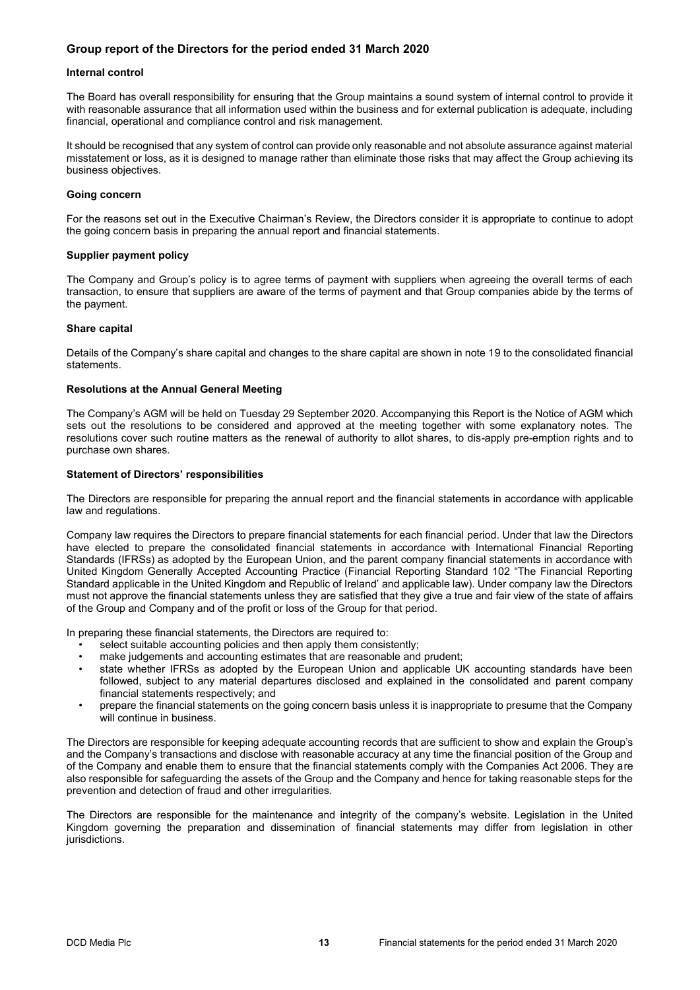#### **Internal control**

The Board has overall responsibility for ensuring that the Group maintains a sound system of internal control to provide it with reasonable assurance that all information used within the business and for external publication is adequate, including financial, operational and compliance control and risk management.

It should be recognised that any system of control can provide only reasonable and not absolute assurance against material misstatement or loss, as it is designed to manage rather than eliminate those risks that may affect the Group achieving its business objectives.

## **Going concern**

For the reasons set out in the Executive Chairman's Review, the Directors consider it is appropriate to continue to adopt the going concern basis in preparing the annual report and financial statements.

## **Supplier payment policy**

The Company and Group's policy is to agree terms of payment with suppliers when agreeing the overall terms of each transaction, to ensure that suppliers are aware of the terms of payment and that Group companies abide by the terms of the payment.

## **Share capital**

Details of the Company's share capital and changes to the share capital are shown in note 19 to the consolidated financial **statements** 

## **Resolutions at the Annual General Meeting**

The Company's AGM will be held on Tuesday 29 September 2020. Accompanying this Report is the Notice of AGM which sets out the resolutions to be considered and approved at the meeting together with some explanatory notes. The resolutions cover such routine matters as the renewal of authority to allot shares, to dis-apply pre-emption rights and to purchase own shares.

## **Statement of Directors' responsibilities**

The Directors are responsible for preparing the annual report and the financial statements in accordance with applicable law and regulations.

Company law requires the Directors to prepare financial statements for each financial period. Under that law the Directors have elected to prepare the consolidated financial statements in accordance with International Financial Reporting Standards (IFRSs) as adopted by the European Union, and the parent company financial statements in accordance with United Kingdom Generally Accepted Accounting Practice (Financial Reporting Standard 102 "The Financial Reporting Standard applicable in the United Kingdom and Republic of Ireland' and applicable law). Under company law the Directors must not approve the financial statements unless they are satisfied that they give a true and fair view of the state of affairs of the Group and Company and of the profit or loss of the Group for that period.

In preparing these financial statements, the Directors are required to:

- select suitable accounting policies and then apply them consistently;
- make judgements and accounting estimates that are reasonable and prudent;
- state whether IFRSs as adopted by the European Union and applicable UK accounting standards have been followed, subject to any material departures disclosed and explained in the consolidated and parent company financial statements respectively; and
- prepare the financial statements on the going concern basis unless it is inappropriate to presume that the Company will continue in business.

The Directors are responsible for keeping adequate accounting records that are sufficient to show and explain the Group's and the Company's transactions and disclose with reasonable accuracy at any time the financial position of the Group and of the Company and enable them to ensure that the financial statements comply with the Companies Act 2006. They are also responsible for safeguarding the assets of the Group and the Company and hence for taking reasonable steps for the prevention and detection of fraud and other irregularities.

The Directors are responsible for the maintenance and integrity of the company's website. Legislation in the United Kingdom governing the preparation and dissemination of financial statements may differ from legislation in other jurisdictions.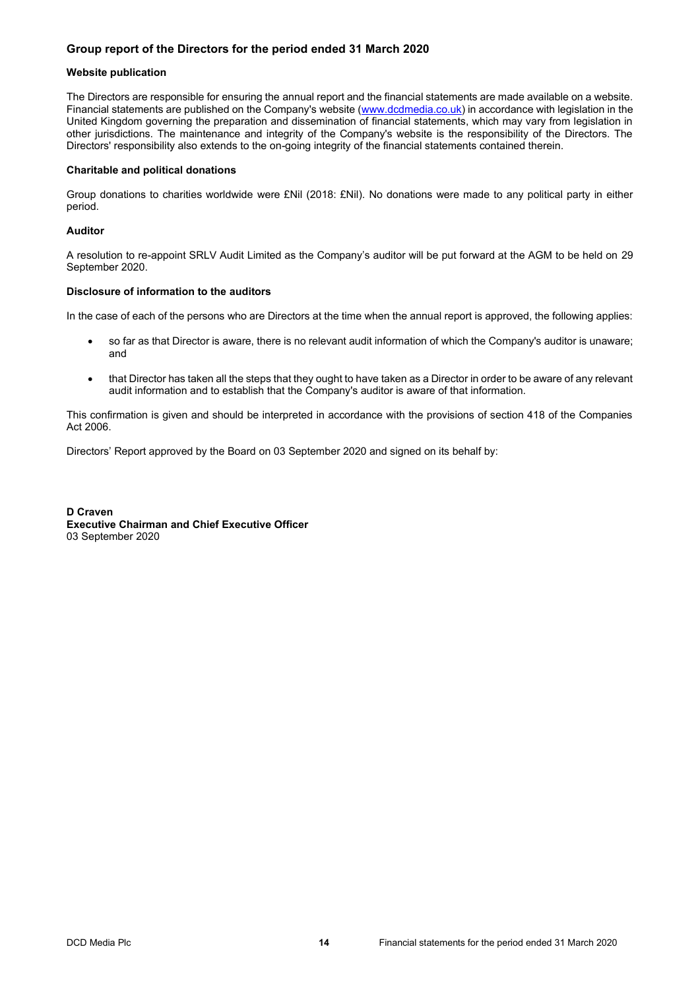### **Website publication**

The Directors are responsible for ensuring the annual report and the financial statements are made available on a website. Financial statements are published on the Company's website (www.dcdmedia.co.uk) in accordance with legislation in the United Kingdom governing the preparation and dissemination of financial statements, which may vary from legislation in other jurisdictions. The maintenance and integrity of the Company's website is the responsibility of the Directors. The Directors' responsibility also extends to the on-going integrity of the financial statements contained therein.

## **Charitable and political donations**

Group donations to charities worldwide were £Nil (2018: £Nil). No donations were made to any political party in either period.

## **Auditor**

A resolution to re-appoint SRLV Audit Limited as the Company's auditor will be put forward at the AGM to be held on 29 September 2020.

## **Disclosure of information to the auditors**

In the case of each of the persons who are Directors at the time when the annual report is approved, the following applies:

- so far as that Director is aware, there is no relevant audit information of which the Company's auditor is unaware; and
- that Director has taken all the steps that they ought to have taken as a Director in order to be aware of any relevant audit information and to establish that the Company's auditor is aware of that information.

This confirmation is given and should be interpreted in accordance with the provisions of section 418 of the Companies Act 2006.

Directors' Report approved by the Board on 03 September 2020 and signed on its behalf by:

**D Craven Executive Chairman and Chief Executive Officer** 03 September 2020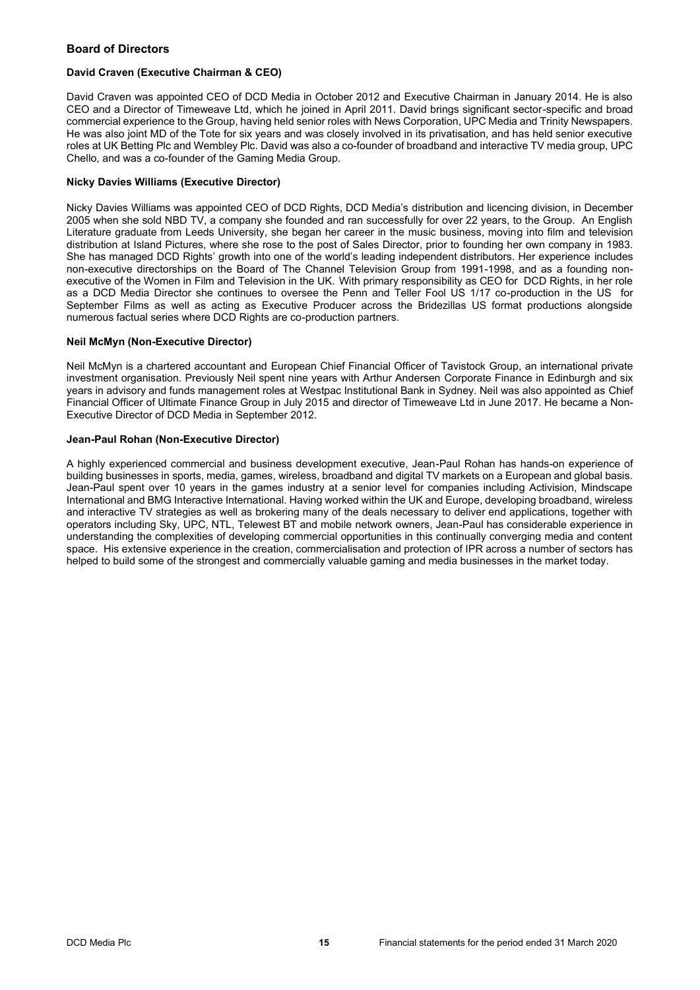## **Board of Directors**

## **David Craven (Executive Chairman & CEO)**

David Craven was appointed CEO of DCD Media in October 2012 and Executive Chairman in January 2014. He is also CEO and a Director of Timeweave Ltd, which he joined in April 2011. David brings significant sector-specific and broad commercial experience to the Group, having held senior roles with News Corporation, UPC Media and Trinity Newspapers. He was also joint MD of the Tote for six years and was closely involved in its privatisation, and has held senior executive roles at UK Betting Plc and Wembley Plc. David was also a co-founder of broadband and interactive TV media group, UPC Chello, and was a co-founder of the Gaming Media Group.

## **Nicky Davies Williams (Executive Director)**

Nicky Davies Williams was appointed CEO of DCD Rights, DCD Media's distribution and licencing division, in December 2005 when she sold NBD TV, a company she founded and ran successfully for over 22 years, to the Group. An English Literature graduate from Leeds University, she began her career in the music business, moving into film and television distribution at Island Pictures, where she rose to the post of Sales Director, prior to founding her own company in 1983. She has managed DCD Rights' growth into one of the world's leading independent distributors. Her experience includes non-executive directorships on the Board of The Channel Television Group from 1991-1998, and as a founding nonexecutive of the Women in Film and Television in the UK. With primary responsibility as CEO for DCD Rights, in her role as a DCD Media Director she continues to oversee the Penn and Teller Fool US 1/17 co-production in the US for September Films as well as acting as Executive Producer across the Bridezillas US format productions alongside numerous factual series where DCD Rights are co-production partners.

## **Neil McMyn (Non-Executive Director)**

Neil McMyn is a chartered accountant and European Chief Financial Officer of Tavistock Group, an international private investment organisation. Previously Neil spent nine years with Arthur Andersen Corporate Finance in Edinburgh and six years in advisory and funds management roles at Westpac Institutional Bank in Sydney. Neil was also appointed as Chief Financial Officer of Ultimate Finance Group in July 2015 and director of Timeweave Ltd in June 2017. He became a Non-Executive Director of DCD Media in September 2012.

## **Jean-Paul Rohan (Non-Executive Director)**

A highly experienced commercial and business development executive, Jean-Paul Rohan has hands-on experience of building businesses in sports, media, games, wireless, broadband and digital TV markets on a European and global basis. Jean-Paul spent over 10 years in the games industry at a senior level for companies including Activision, Mindscape International and BMG Interactive International. Having worked within the UK and Europe, developing broadband, wireless and interactive TV strategies as well as brokering many of the deals necessary to deliver end applications, together with operators including Sky, UPC, NTL, Telewest BT and mobile network owners, Jean-Paul has considerable experience in understanding the complexities of developing commercial opportunities in this continually converging media and content space. His extensive experience in the creation, commercialisation and protection of IPR across a number of sectors has helped to build some of the strongest and commercially valuable gaming and media businesses in the market today.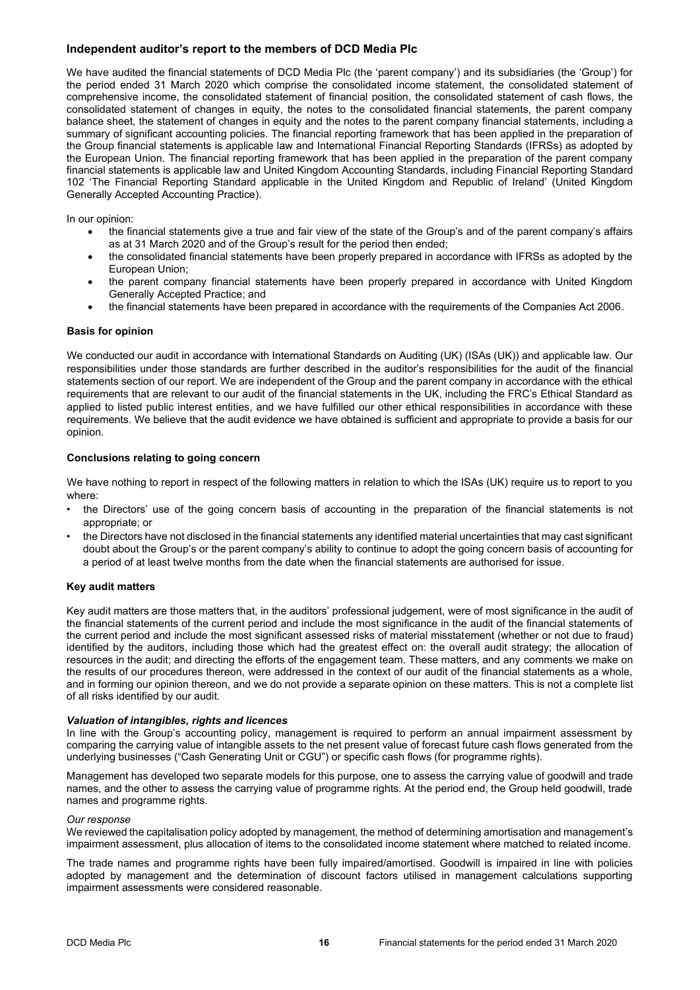## Independent auditor's report to the members of DCD Media Plc

We have audited the financial statements of DCD Media Plc (the 'parent company') and its subsidiaries (the 'Group') for the period ended 31 March 2020 which comprise the consolidated income statement, the consolidated statement of comprehensive income, the consolidated statement of financial position, the consolidated statement of cash flows, the consolidated statement of changes in equity, the notes to the consolidated financial statements, the parent company balance sheet, the statement of changes in equity and the notes to the parent company financial statements, including a summary of significant accounting policies. The financial reporting framework that has been applied in the preparation of the Group financial statements is applicable law and International Financial Reporting Standards (IFRSs) as adopted by the European Union. The financial reporting framework that has been applied in the preparation of the parent company financial statements is applicable law and United Kingdom Accounting Standards, including Financial Reporting Standard 102 'The Financial Reporting Standard applicable in the United Kingdom and Republic of Ireland' (United Kingdom Generally Accepted Accounting Practice).

In our opinion:

- the financial statements give a true and fair view of the state of the Group's and of the parent company's affairs as at 31 March 2020 and of the Group's result for the period then ended;
- the consolidated financial statements have been properly prepared in accordance with IFRSs as adopted by the European Union;
- the parent company financial statements have been properly prepared in accordance with United Kingdom Generally Accepted Practice; and
- the financial statements have been prepared in accordance with the requirements of the Companies Act 2006.

#### **Basis for opinion**

We conducted our audit in accordance with International Standards on Auditing (UK) (ISAs (UK)) and applicable law. Our responsibilities under those standards are further described in the auditor's responsibilities for the audit of the financial statements section of our report. We are independent of the Group and the parent company in accordance with the ethical requirements that are relevant to our audit of the financial statements in the UK, including the FRC's Ethical Standard as applied to listed public interest entities, and we have fulfilled our other ethical responsibilities in accordance with these requirements. We believe that the audit evidence we have obtained is sufficient and appropriate to provide a basis for our opinion.

## **Conclusions relating to going concern**

We have nothing to report in respect of the following matters in relation to which the ISAs (UK) require us to report to you where:

- the Directors' use of the going concern basis of accounting in the preparation of the financial statements is not appropriate; or
- the Directors have not disclosed in the financial statements any identified material uncertainties that may cast significant doubt about the Group's or the parent company's ability to continue to adopt the going concern basis of accounting for a period of at least twelve months from the date when the financial statements are authorised for issue.

#### **Key audit matters**

Key audit matters are those matters that, in the auditors' professional judgement, were of most significance in the audit of the financial statements of the current period and include the most significance in the audit of the financial statements of the current period and include the most significant assessed risks of material misstatement (whether or not due to fraud) identified by the auditors, including those which had the greatest effect on: the overall audit strategy; the allocation of resources in the audit; and directing the efforts of the engagement team. These matters, and any comments we make on the results of our procedures thereon, were addressed in the context of our audit of the financial statements as a whole, and in forming our opinion thereon, and we do not provide a separate opinion on these matters. This is not a complete list of all risks identified by our audit.

#### *Valuation of intangibles, rights and licences*

In line with the Group's accounting policy, management is required to perform an annual impairment assessment by comparing the carrying value of intangible assets to the net present value of forecast future cash flows generated from the underlying businesses ("Cash Generating Unit or CGU") or specific cash flows (for programme rights).

Management has developed two separate models for this purpose, one to assess the carrying value of goodwill and trade names, and the other to assess the carrying value of programme rights. At the period end, the Group held goodwill, trade names and programme rights.

#### *Our response*

We reviewed the capitalisation policy adopted by management, the method of determining amortisation and management's impairment assessment, plus allocation of items to the consolidated income statement where matched to related income.

The trade names and programme rights have been fully impaired/amortised. Goodwill is impaired in line with policies adopted by management and the determination of discount factors utilised in management calculations supporting impairment assessments were considered reasonable.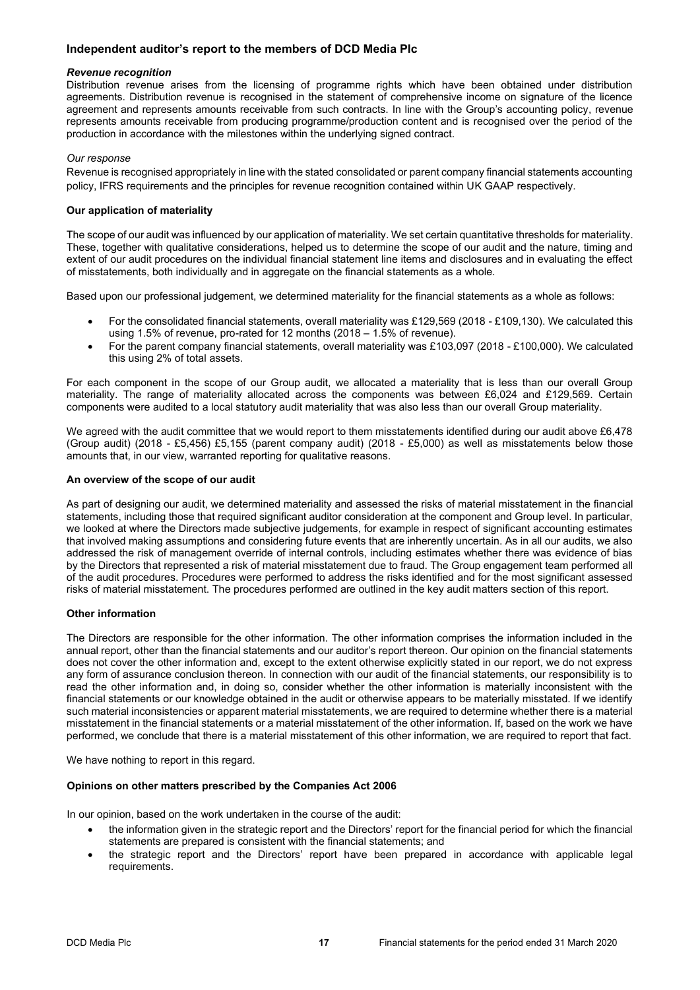## Independent auditor's report to the members of DCD Media Plc

#### *Revenue recognition*

Distribution revenue arises from the licensing of programme rights which have been obtained under distribution agreements. Distribution revenue is recognised in the statement of comprehensive income on signature of the licence agreement and represents amounts receivable from such contracts. In line with the Group's accounting policy, revenue represents amounts receivable from producing programme/production content and is recognised over the period of the production in accordance with the milestones within the underlying signed contract.

#### *Our response*

Revenue is recognised appropriately in line with the stated consolidated or parent company financial statements accounting policy, IFRS requirements and the principles for revenue recognition contained within UK GAAP respectively.

## **Our application of materiality**

The scope of our audit was influenced by our application of materiality. We set certain quantitative thresholds for materiality. These, together with qualitative considerations, helped us to determine the scope of our audit and the nature, timing and extent of our audit procedures on the individual financial statement line items and disclosures and in evaluating the effect of misstatements, both individually and in aggregate on the financial statements as a whole.

Based upon our professional judgement, we determined materiality for the financial statements as a whole as follows:

- For the consolidated financial statements, overall materiality was  $£129,569$  (2018  $£109,130$ ). We calculated this using 1.5% of revenue, pro-rated for 12 months (2018  $-$  1.5% of revenue).
- For the parent company financial statements, overall materiality was £103,097 (2018 £100,000). We calculated this using 2% of total assets.

For each component in the scope of our Group audit, we allocated a materiality that is less than our overall Group materiality. The range of materiality allocated across the components was between £6,024 and £129,569. Certain components were audited to a local statutory audit materiality that was also less than our overall Group materiality.

We agreed with the audit committee that we would report to them misstatements identified during our audit above £6,478 (Group audit) (2018 - £5,456) £5,155 (parent company audit) (2018 - £5,000) as well as misstatements below those amounts that, in our view, warranted reporting for qualitative reasons.

## **An overview of the scope of our audit**

As part of designing our audit, we determined materiality and assessed the risks of material misstatement in the financial statements, including those that required significant auditor consideration at the component and Group level. In particular, we looked at where the Directors made subjective judgements, for example in respect of significant accounting estimates that involved making assumptions and considering future events that are inherently uncertain. As in all our audits, we also addressed the risk of management override of internal controls, including estimates whether there was evidence of bias by the Directors that represented a risk of material misstatement due to fraud. The Group engagement team performed all of the audit procedures. Procedures were performed to address the risks identified and for the most significant assessed risks of material misstatement. The procedures performed are outlined in the key audit matters section of this report.

#### **Other information**

The Directors are responsible for the other information. The other information comprises the information included in the annual report, other than the financial statements and our auditor's report thereon. Our opinion on the financial statements does not cover the other information and, except to the extent otherwise explicitly stated in our report, we do not express any form of assurance conclusion thereon. In connection with our audit of the financial statements, our responsibility is to read the other information and, in doing so, consider whether the other information is materially inconsistent with the financial statements or our knowledge obtained in the audit or otherwise appears to be materially misstated. If we identify such material inconsistencies or apparent material misstatements, we are required to determine whether there is a material misstatement in the financial statements or a material misstatement of the other information. If, based on the work we have performed, we conclude that there is a material misstatement of this other information, we are required to report that fact.

We have nothing to report in this regard.

#### **Opinions on other matters prescribed by the Companies Act 2006**

In our opinion, based on the work undertaken in the course of the audit:

- the information given in the strategic report and the Directors' report for the financial period for which the financial statements are prepared is consistent with the financial statements; and
- the strategic report and the Directors' report have been prepared in accordance with applicable legal requirements.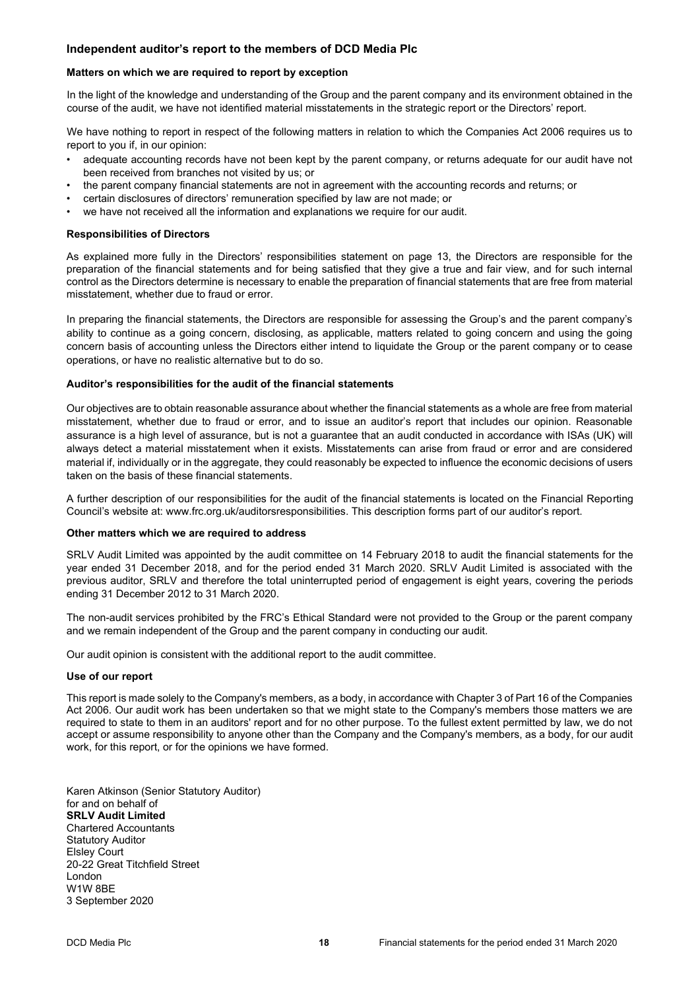## Independent auditor's report to the members of DCD Media Plc

#### **Matters on which we are required to report by exception**

In the light of the knowledge and understanding of the Group and the parent company and its environment obtained in the course of the audit, we have not identified material misstatements in the strategic report or the Directors' report.

We have nothing to report in respect of the following matters in relation to which the Companies Act 2006 requires us to report to you if, in our opinion:

- adequate accounting records have not been kept by the parent company, or returns adequate for our audit have not been received from branches not visited by us; or
- the parent company financial statements are not in agreement with the accounting records and returns; or
- certain disclosures of directors' remuneration specified by law are not made; or
- we have not received all the information and explanations we require for our audit.

## **Responsibilities of Directors**

As explained more fully in the Directors' responsibilities statement on page 13, the Directors are responsible for the preparation of the financial statements and for being satisfied that they give a true and fair view, and for such internal control as the Directors determine is necessary to enable the preparation of financial statements that are free from material misstatement, whether due to fraud or error.

In preparing the financial statements, the Directors are responsible for assessing the Group's and the parent company's ability to continue as a going concern, disclosing, as applicable, matters related to going concern and using the going concern basis of accounting unless the Directors either intend to liquidate the Group or the parent company or to cease operations, or have no realistic alternative but to do so.

#### Auditor's responsibilities for the audit of the financial statements

Our objectives are to obtain reasonable assurance about whether the financial statements as a whole are free from material misstatement, whether due to fraud or error, and to issue an auditor's report that includes our opinion. Reasonable assurance is a high level of assurance, but is not a guarantee that an audit conducted in accordance with ISAs (UK) will always detect a material misstatement when it exists. Misstatements can arise from fraud or error and are considered material if, individually or in the aggregate, they could reasonably be expected to influence the economic decisions of users taken on the basis of these financial statements.

A further description of our responsibilities for the audit of the financial statements is located on the Financial Reporting Council's website at: www.frc.org.uk/auditorsresponsibilities. This description forms part of our auditor's report.

#### **Other matters which we are required to address**

SRLV Audit Limited was appointed by the audit committee on 14 February 2018 to audit the financial statements for the year ended 31 December 2018, and for the period ended 31 March 2020. SRLV Audit Limited is associated with the previous auditor, SRLV and therefore the total uninterrupted period of engagement is eight years, covering the periods ending 31 December 2012 to 31 March 2020.

The non-audit services prohibited by the FRC's Ethical Standard were not provided to the Group or the parent company and we remain independent of the Group and the parent company in conducting our audit.

Our audit opinion is consistent with the additional report to the audit committee.

#### **Use of our report**

This report is made solely to the Company's members, as a body, in accordance with Chapter 3 of Part 16 of the Companies Act 2006. Our audit work has been undertaken so that we might state to the Company's members those matters we are required to state to them in an auditors' report and for no other purpose. To the fullest extent permitted by law, we do not accept or assume responsibility to anyone other than the Company and the Company's members, as a body, for our audit work, for this report, or for the opinions we have formed.

Karen Atkinson (Senior Statutory Auditor) for and on behalf of **SRLV Audit Limited** Chartered Accountants Statutory Auditor Elsley Court 20-22 Great Titchfield Street London W1W 8BE 3 September 2020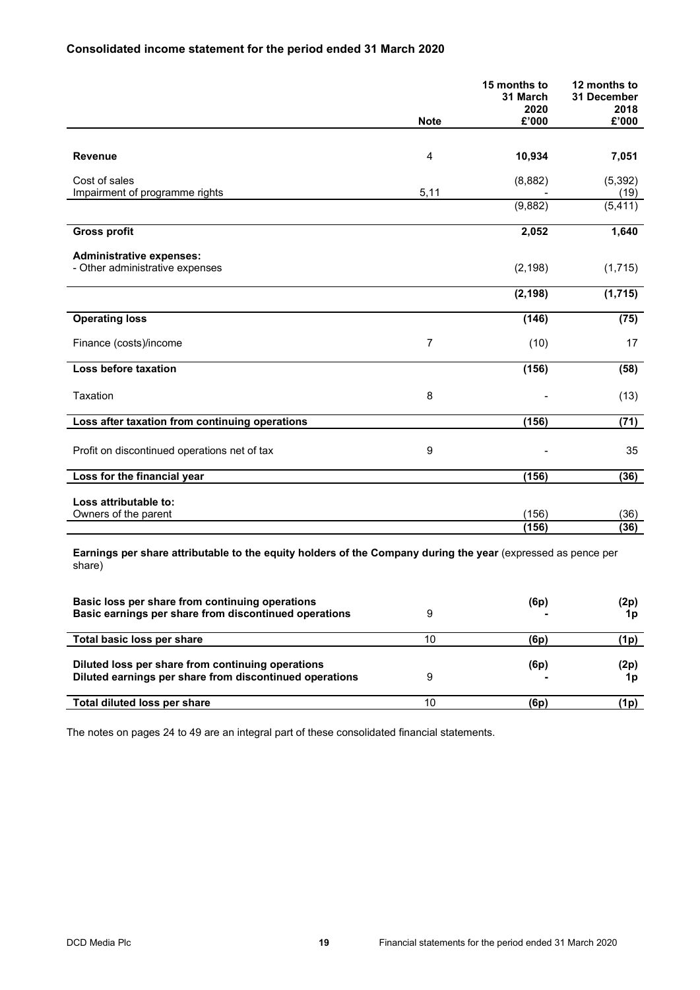## **Consolidated income statement for the period ended 31 March 2020**

|                                                                                                                        | <b>Note</b>    | 15 months to<br>31 March<br>2020<br>£'000 | 12 months to<br>31 December<br>2018<br>£'000 |
|------------------------------------------------------------------------------------------------------------------------|----------------|-------------------------------------------|----------------------------------------------|
|                                                                                                                        |                |                                           |                                              |
| <b>Revenue</b>                                                                                                         | 4              | 10,934                                    | 7,051                                        |
| Cost of sales<br>Impairment of programme rights                                                                        | 5,11           | (8,882)                                   | (5, 392)<br>(19)                             |
|                                                                                                                        |                | (9,882)                                   | (5, 411)                                     |
| <b>Gross profit</b>                                                                                                    |                | 2,052                                     | 1,640                                        |
| <b>Administrative expenses:</b><br>- Other administrative expenses                                                     |                | (2, 198)                                  | (1,715)                                      |
|                                                                                                                        |                | (2, 198)                                  | (1,715)                                      |
| <b>Operating loss</b>                                                                                                  |                | (146)                                     | (75)                                         |
| Finance (costs)/income                                                                                                 | $\overline{7}$ | (10)                                      | 17                                           |
| Loss before taxation                                                                                                   |                | (156)                                     | (58)                                         |
| Taxation                                                                                                               | 8              |                                           | (13)                                         |
| Loss after taxation from continuing operations                                                                         |                | (156)                                     | (71)                                         |
| Profit on discontinued operations net of tax                                                                           | 9              |                                           | 35                                           |
| Loss for the financial year                                                                                            |                | (156)                                     | (36)                                         |
| Loss attributable to:                                                                                                  |                |                                           |                                              |
| Owners of the parent                                                                                                   |                | (156)                                     | (36)                                         |
|                                                                                                                        |                | (156)                                     | (36)                                         |
| Earnings per share attributable to the equity holders of the Company during the year (expressed as pence per<br>share) |                |                                           |                                              |
| Basic loss per share from continuing operations<br>Basic earnings per share from discontinued operations               | 9              | (6p)                                      | (2p)<br>1p                                   |
| Total basic loss per share                                                                                             | 10             | (6p)                                      | (1p)                                         |
| Diluted loss per share from continuing operations<br>Diluted earnings per share from discontinued operations           | 9              | (6p)                                      | (2p)<br>1p                                   |

Total diluted loss per share **10 (6p) (1p) (1p)** 

The notes on pages 24 to 49 are an integral part of these consolidated financial statements.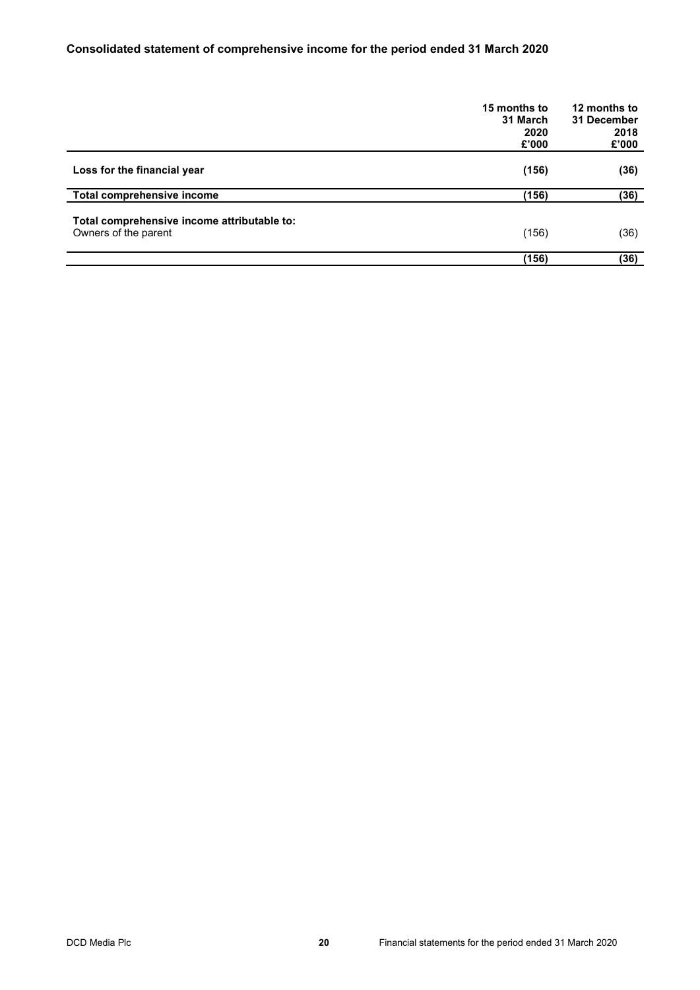# **Consolidated statement of comprehensive income for the period ended 31 March 2020**

|                                                                     | 15 months to<br>31 March | 12 months to<br>31 December |
|---------------------------------------------------------------------|--------------------------|-----------------------------|
|                                                                     | 2020<br>£'000            | 2018<br>£'000               |
| Loss for the financial year                                         | (156)                    | (36)                        |
| <b>Total comprehensive income</b>                                   | (156)                    | (36)                        |
| Total comprehensive income attributable to:<br>Owners of the parent | (156)                    | (36)                        |
|                                                                     | (156)                    | (36)                        |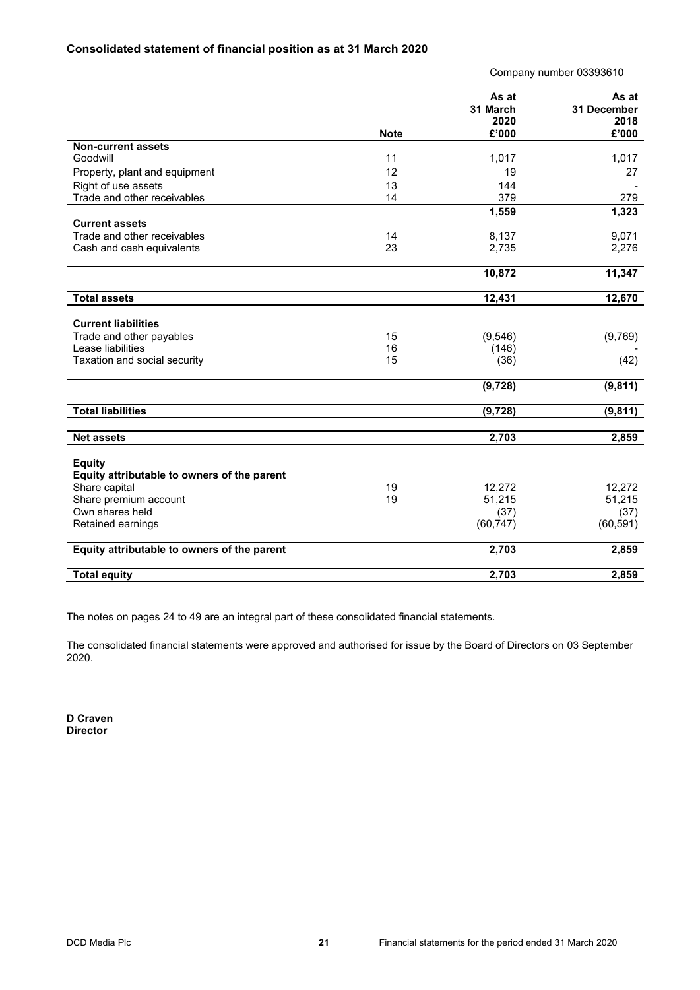## **Consolidated statement of financial position as at 31 March 2020**

Company number 03393610

|                                             |             | As at<br>31 March<br>2020 | As at<br>31 December<br>2018 |
|---------------------------------------------|-------------|---------------------------|------------------------------|
|                                             | <b>Note</b> | £'000                     | £'000                        |
| <b>Non-current assets</b>                   |             |                           |                              |
| Goodwill                                    | 11          | 1,017                     | 1,017                        |
| Property, plant and equipment               | 12          | 19                        | 27                           |
| Right of use assets                         | 13          | 144                       |                              |
| Trade and other receivables                 | 14          | 379                       | 279                          |
|                                             |             | 1,559                     | 1,323                        |
| <b>Current assets</b>                       |             |                           |                              |
| Trade and other receivables                 | 14          | 8,137                     | 9,071                        |
| Cash and cash equivalents                   | 23          | 2,735                     | 2,276                        |
|                                             |             | 10,872                    | 11,347                       |
|                                             |             |                           |                              |
| <b>Total assets</b>                         |             | 12,431                    | 12,670                       |
|                                             |             |                           |                              |
| <b>Current liabilities</b>                  |             |                           |                              |
| Trade and other payables                    | 15          | (9, 546)                  | (9,769)                      |
| Lease liabilities                           | 16          | (146)                     |                              |
| Taxation and social security                | 15          | (36)                      | (42)                         |
|                                             |             | (9, 728)                  | (9, 811)                     |
|                                             |             |                           |                              |
| <b>Total liabilities</b>                    |             | (9, 728)                  | (9, 811)                     |
|                                             |             |                           |                              |
| <b>Net assets</b>                           |             | 2,703                     | 2,859                        |
|                                             |             |                           |                              |
| <b>Equity</b>                               |             |                           |                              |
| Equity attributable to owners of the parent |             |                           |                              |
| Share capital                               | 19          | 12,272                    | 12,272                       |
| Share premium account                       | 19          | 51,215                    | 51,215                       |
| Own shares held                             |             | (37)                      | (37)                         |
| Retained earnings                           |             | (60, 747)                 | (60, 591)                    |
| Equity attributable to owners of the parent |             | 2,703                     | 2,859                        |
| <b>Total equity</b>                         |             | 2,703                     | 2,859                        |
|                                             |             |                           |                              |

The notes on pages 24 to 49 are an integral part of these consolidated financial statements.

The consolidated financial statements were approved and authorised for issue by the Board of Directors on 03 September 2020.

**D Craven Director**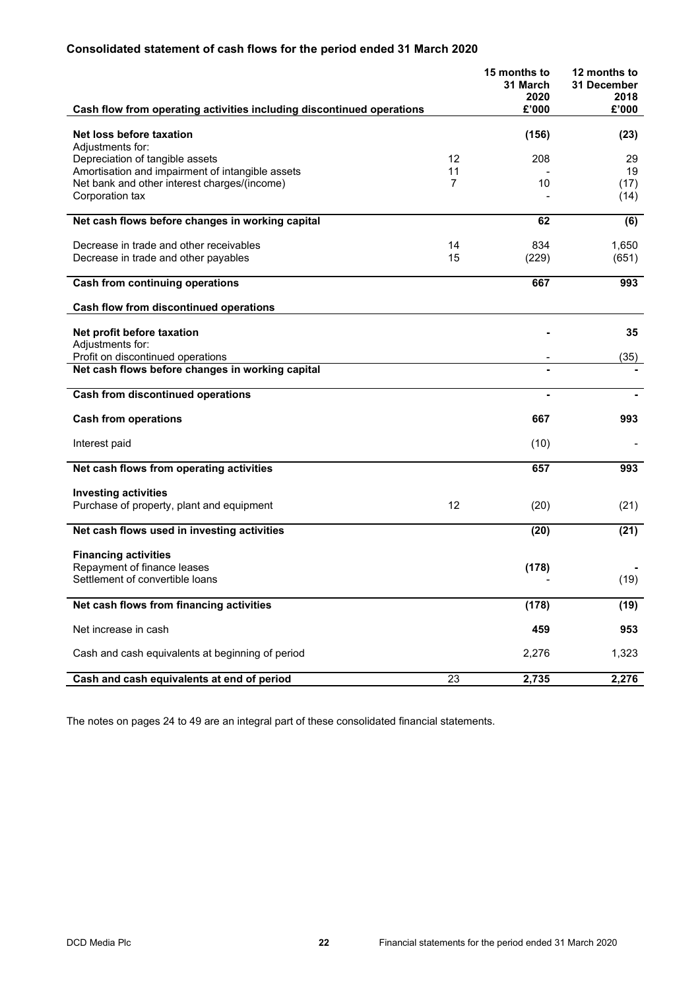## **Consolidated statement of cash flows for the period ended 31 March 2020**

| Cash flow from operating activities including discontinued operations                            |         | 15 months to<br>31 March<br>2020<br>£'000 | 12 months to<br>31 December<br>2018<br>£'000 |
|--------------------------------------------------------------------------------------------------|---------|-------------------------------------------|----------------------------------------------|
|                                                                                                  |         |                                           |                                              |
| Net loss before taxation<br>Adjustments for:                                                     |         | (156)                                     | (23)                                         |
| Depreciation of tangible assets                                                                  | 12      | 208                                       | 29                                           |
| Amortisation and impairment of intangible assets<br>Net bank and other interest charges/(income) | 11<br>7 | 10                                        | 19<br>(17)                                   |
| Corporation tax                                                                                  |         |                                           | (14)                                         |
| Net cash flows before changes in working capital                                                 |         | 62                                        | (6)                                          |
| Decrease in trade and other receivables                                                          | 14      | 834                                       | 1,650                                        |
| Decrease in trade and other payables                                                             | 15      | (229)                                     | (651)                                        |
| Cash from continuing operations                                                                  |         | 667                                       | 993                                          |
| Cash flow from discontinued operations                                                           |         |                                           |                                              |
| Net profit before taxation                                                                       |         |                                           | 35                                           |
| Adjustments for:<br>Profit on discontinued operations                                            |         |                                           | (35)                                         |
| Net cash flows before changes in working capital                                                 |         |                                           |                                              |
| <b>Cash from discontinued operations</b>                                                         |         | ä,                                        |                                              |
| <b>Cash from operations</b>                                                                      |         | 667                                       | 993                                          |
| Interest paid                                                                                    |         | (10)                                      |                                              |
| Net cash flows from operating activities                                                         |         | 657                                       | 993                                          |
| <b>Investing activities</b>                                                                      |         |                                           |                                              |
| Purchase of property, plant and equipment                                                        | 12      | (20)                                      | (21)                                         |
| Net cash flows used in investing activities                                                      |         | (20)                                      | (21)                                         |
| <b>Financing activities</b>                                                                      |         |                                           |                                              |
| Repayment of finance leases<br>Settlement of convertible loans                                   |         | (178)                                     |                                              |
|                                                                                                  |         |                                           | (19)                                         |
| Net cash flows from financing activities                                                         |         | (178)                                     | (19)                                         |
| Net increase in cash                                                                             |         | 459                                       | 953                                          |
| Cash and cash equivalents at beginning of period                                                 |         | 2,276                                     | 1,323                                        |
| Cash and cash equivalents at end of period                                                       | 23      | 2,735                                     | 2,276                                        |

The notes on pages 24 to 49 are an integral part of these consolidated financial statements.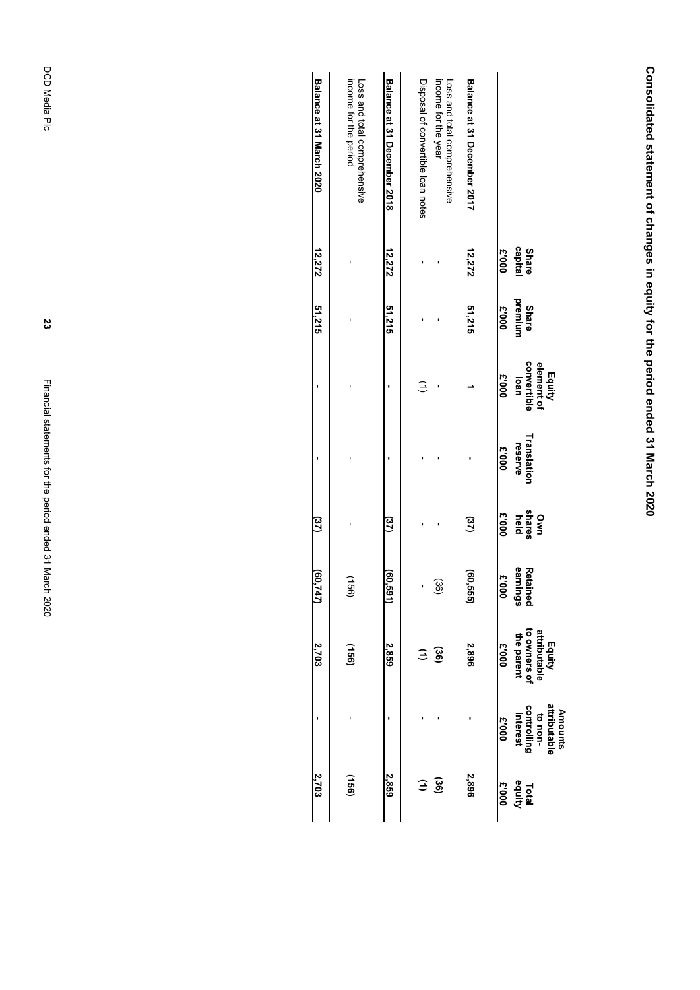|                                                       | capital<br><b>Share</b> | premium<br><b>Share</b> | convertible<br>element of<br>Equity<br>loan | Translation<br>reserve | shares<br><b>Own</b><br>held | <b>Retained</b><br>earnings | to owners of<br>the parent<br>attributable<br>Equity | attributable<br>to non-<br>controlling<br>interest<br><b>Amounts</b> | Total<br>equity |
|-------------------------------------------------------|-------------------------|-------------------------|---------------------------------------------|------------------------|------------------------------|-----------------------------|------------------------------------------------------|----------------------------------------------------------------------|-----------------|
| Balance at 31 December 2017                           | 12,272                  | 51,215                  |                                             |                        | હ્ય                          | (60,555)<br>£'000           | £'000<br>2,896                                       |                                                                      | 2,896           |
| income for the year<br>Loss and total comprehensive   |                         |                         |                                             |                        |                              | $\mathfrak{B}$              | (36)                                                 |                                                                      | 36)             |
| Disposal of convertible loan notes                    |                         |                         | Э                                           |                        |                              |                             |                                                      |                                                                      |                 |
| Bance at 31 December 2018                             | 12,272                  | 51,215                  |                                             |                        | $\overline{37}$              | (60,591                     | 2,859                                                |                                                                      | 2,859           |
| income for the period<br>Loss and total comprehensive |                         |                         |                                             |                        |                              | (156)                       | (991)                                                |                                                                      | (991)           |
| Balance at 31 March 2020                              | 12,272                  | 51,215                  |                                             |                        | 37                           | (60,747)                    | 2,703                                                |                                                                      | 2,703           |

**23**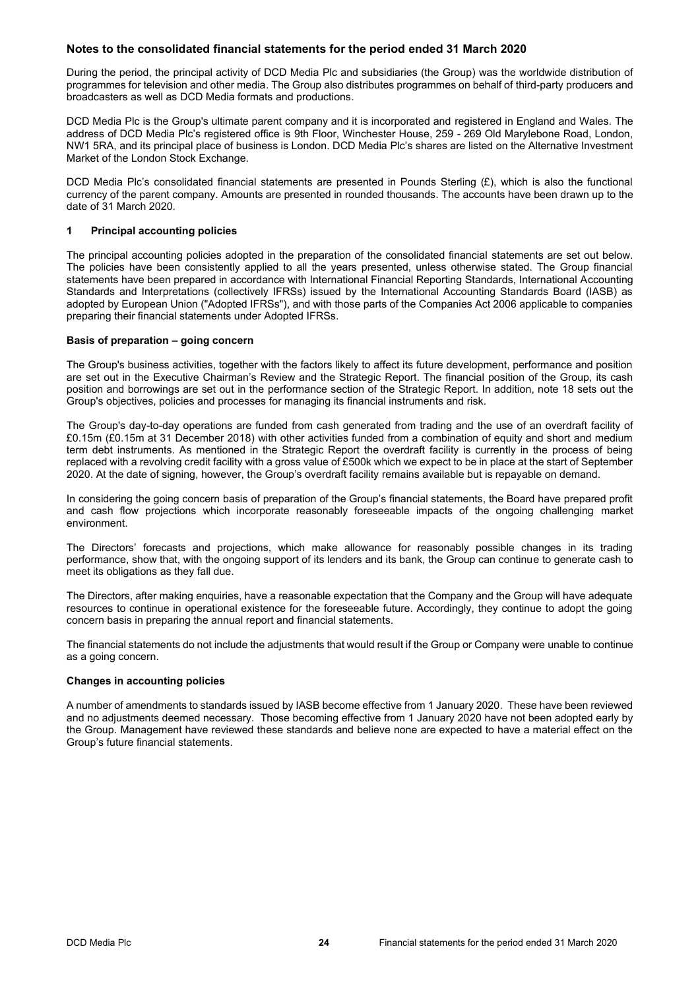During the period, the principal activity of DCD Media Plc and subsidiaries (the Group) was the worldwide distribution of programmes for television and other media. The Group also distributes programmes on behalf of third-party producers and broadcasters as well as DCD Media formats and productions.

DCD Media Plc is the Group's ultimate parent company and it is incorporated and registered in England and Wales. The address of DCD Media Plc's registered office is 9th Floor, Winchester House, 259 - 269 Old Marylebone Road, London, NW1 5RA, and its principal place of business is London. DCD Media Plc's shares are listed on the Alternative Investment Market of the London Stock Exchange.

DCD Media Plc's consolidated financial statements are presented in Pounds Sterling (£), which is also the functional currency of the parent company. Amounts are presented in rounded thousands. The accounts have been drawn up to the date of 31 March 2020.

#### **1 Principal accounting policies**

The principal accounting policies adopted in the preparation of the consolidated financial statements are set out below. The policies have been consistently applied to all the years presented, unless otherwise stated. The Group financial statements have been prepared in accordance with International Financial Reporting Standards, International Accounting Standards and Interpretations (collectively IFRSs) issued by the International Accounting Standards Board (IASB) as adopted by European Union ("Adopted IFRSs"), and with those parts of the Companies Act 2006 applicable to companies preparing their financial statements under Adopted IFRSs.

#### **Basis of preparation - going concern**

The Group's business activities, together with the factors likely to affect its future development, performance and position are set out in the Executive Chairman's Review and the Strategic Report. The financial position of the Group, its cash position and borrowings are set out in the performance section of the Strategic Report. In addition, note 18 sets out the Group's objectives, policies and processes for managing its financial instruments and risk.

The Group's day-to-day operations are funded from cash generated from trading and the use of an overdraft facility of £0.15m (£0.15m at 31 December 2018) with other activities funded from a combination of equity and short and medium term debt instruments. As mentioned in the Strategic Report the overdraft facility is currently in the process of being replaced with a revolving credit facility with a gross value of £500k which we expect to be in place at the start of September 2020. At the date of signing, however, the Group's overdraft facility remains available but is repayable on demand.

In considering the going concern basis of preparation of the Group's financial statements, the Board have prepared profit and cash flow projections which incorporate reasonably foreseeable impacts of the ongoing challenging market environment.

The Directors' forecasts and projections, which make allowance for reasonably possible changes in its trading performance, show that, with the ongoing support of its lenders and its bank, the Group can continue to generate cash to meet its obligations as they fall due.

The Directors, after making enquiries, have a reasonable expectation that the Company and the Group will have adequate resources to continue in operational existence for the foreseeable future. Accordingly, they continue to adopt the going concern basis in preparing the annual report and financial statements.

The financial statements do not include the adjustments that would result if the Group or Company were unable to continue as a going concern.

#### **Changes in accounting policies**

A number of amendments to standards issued by IASB become effective from 1 January 2020. These have been reviewed and no adjustments deemed necessary. Those becoming effective from 1 January 2020 have not been adopted early by the Group. Management have reviewed these standards and believe none are expected to have a material effect on the Group's future financial statements.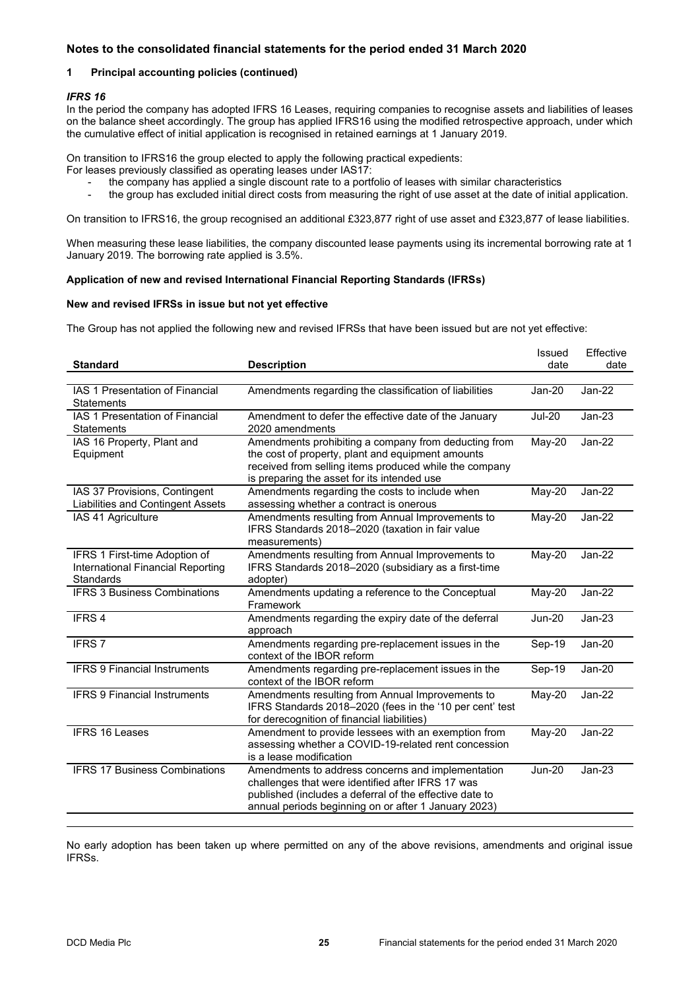## **1 Principal accounting policies (continued)**

#### *IFRS 16*

In the period the company has adopted IFRS 16 Leases, requiring companies to recognise assets and liabilities of leases on the balance sheet accordingly. The group has applied IFRS16 using the modified retrospective approach, under which the cumulative effect of initial application is recognised in retained earnings at 1 January 2019.

On transition to IFRS16 the group elected to apply the following practical expedients:

- For leases previously classified as operating leases under IAS17:
	- the company has applied a single discount rate to a portfolio of leases with similar characteristics
	- the group has excluded initial direct costs from measuring the right of use asset at the date of initial application.

On transition to IFRS16, the group recognised an additional £323,877 right of use asset and £323,877 of lease liabilities.

When measuring these lease liabilities, the company discounted lease payments using its incremental borrowing rate at 1 January 2019. The borrowing rate applied is 3.5%.

#### **Application of new and revised International Financial Reporting Standards (IFRSs)**

#### **New and revised IFRSs in issue but not yet effective**

The Group has not applied the following new and revised IFRSs that have been issued but are not yet effective:

|                                                                                 |                                                                                                                                                                                                                           | Issued        | Effective     |
|---------------------------------------------------------------------------------|---------------------------------------------------------------------------------------------------------------------------------------------------------------------------------------------------------------------------|---------------|---------------|
| <b>Standard</b>                                                                 | <b>Description</b>                                                                                                                                                                                                        | date          | date          |
|                                                                                 |                                                                                                                                                                                                                           |               |               |
| IAS 1 Presentation of Financial<br><b>Statements</b>                            | Amendments regarding the classification of liabilities                                                                                                                                                                    | $Jan-20$      | <b>Jan-22</b> |
| IAS 1 Presentation of Financial<br><b>Statements</b>                            | Amendment to defer the effective date of the January<br>2020 amendments                                                                                                                                                   | <b>Jul-20</b> | $Jan-23$      |
| IAS 16 Property, Plant and<br>Equipment                                         | Amendments prohibiting a company from deducting from<br>the cost of property, plant and equipment amounts<br>received from selling items produced while the company<br>is preparing the asset for its intended use        | $May-20$      | $Jan-22$      |
| IAS 37 Provisions, Contingent<br>Liabilities and Contingent Assets              | Amendments regarding the costs to include when<br>assessing whether a contract is onerous                                                                                                                                 | $May-20$      | <b>Jan-22</b> |
| IAS 41 Agriculture                                                              | Amendments resulting from Annual Improvements to<br>IFRS Standards 2018-2020 (taxation in fair value<br>measurements)                                                                                                     | May-20        | $Jan-22$      |
| IFRS 1 First-time Adoption of<br>International Financial Reporting<br>Standards | Amendments resulting from Annual Improvements to<br>IFRS Standards 2018-2020 (subsidiary as a first-time<br>adopter)                                                                                                      | $May-20$      | <b>Jan-22</b> |
| <b>IFRS 3 Business Combinations</b>                                             | Amendments updating a reference to the Conceptual<br>Framework                                                                                                                                                            | $May-20$      | $Jan-22$      |
| IFRS <sub>4</sub>                                                               | Amendments regarding the expiry date of the deferral<br>approach                                                                                                                                                          | <b>Jun-20</b> | $Jan-23$      |
| <b>IFRS7</b>                                                                    | Amendments regarding pre-replacement issues in the<br>context of the IBOR reform                                                                                                                                          | Sep-19        | $Jan-20$      |
| <b>IFRS 9 Financial Instruments</b>                                             | Amendments regarding pre-replacement issues in the<br>context of the IBOR reform                                                                                                                                          | Sep-19        | $Jan-20$      |
| <b>IFRS 9 Financial Instruments</b>                                             | Amendments resulting from Annual Improvements to<br>IFRS Standards 2018-2020 (fees in the '10 per cent' test<br>for derecognition of financial liabilities)                                                               | May-20        | $Jan-22$      |
| <b>IFRS 16 Leases</b>                                                           | Amendment to provide lessees with an exemption from<br>assessing whether a COVID-19-related rent concession<br>is a lease modification                                                                                    | $May-20$      | Jan-22        |
| <b>IFRS 17 Business Combinations</b>                                            | Amendments to address concerns and implementation<br>challenges that were identified after IFRS 17 was<br>published (includes a deferral of the effective date to<br>annual periods beginning on or after 1 January 2023) | $Jun-20$      | $Jan-23$      |

No early adoption has been taken up where permitted on any of the above revisions, amendments and original issue IFRSs.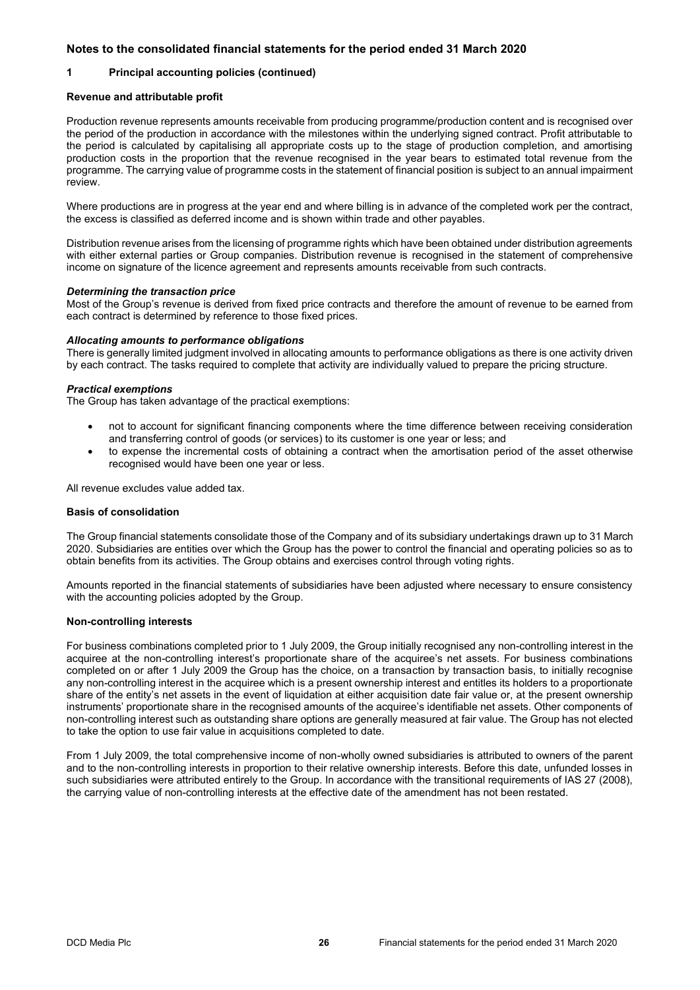#### **1 Principal accounting policies (continued)**

#### **Revenue and attributable profit**

Production revenue represents amounts receivable from producing programme/production content and is recognised over the period of the production in accordance with the milestones within the underlying signed contract. Profit attributable to the period is calculated by capitalising all appropriate costs up to the stage of production completion, and amortising production costs in the proportion that the revenue recognised in the year bears to estimated total revenue from the programme. The carrying value of programme costs in the statement of financial position is subject to an annual impairment review.

Where productions are in progress at the year end and where billing is in advance of the completed work per the contract, the excess is classified as deferred income and is shown within trade and other payables.

Distribution revenue arises from the licensing of programme rights which have been obtained under distribution agreements with either external parties or Group companies. Distribution revenue is recognised in the statement of comprehensive income on signature of the licence agreement and represents amounts receivable from such contracts.

#### *Determining the transaction price*

Most of the Group's revenue is derived from fixed price contracts and therefore the amount of revenue to be earned from each contract is determined by reference to those fixed prices.

#### *Allocating amounts to performance obligations*

There is generally limited judgment involved in allocating amounts to performance obligations as there is one activity driven by each contract. The tasks required to complete that activity are individually valued to prepare the pricing structure.

#### *Practical exemptions*

The Group has taken advantage of the practical exemptions:

- not to account for significant financing components where the time difference between receiving consideration and transferring control of goods (or services) to its customer is one year or less; and
- to expense the incremental costs of obtaining a contract when the amortisation period of the asset otherwise recognised would have been one year or less.

All revenue excludes value added tax.

#### **Basis of consolidation**

The Group financial statements consolidate those of the Company and of its subsidiary undertakings drawn up to 31 March 2020. Subsidiaries are entities over which the Group has the power to control the financial and operating policies so as to obtain benefits from its activities. The Group obtains and exercises control through voting rights.

Amounts reported in the financial statements of subsidiaries have been adjusted where necessary to ensure consistency with the accounting policies adopted by the Group.

#### **Non-controlling interests**

For business combinations completed prior to 1 July 2009, the Group initially recognised any non-controlling interest in the acquiree at the non-controlling interest's proportionate share of the acquiree's net assets. For business combinations completed on or after 1 July 2009 the Group has the choice, on a transaction by transaction basis, to initially recognise any non-controlling interest in the acquiree which is a present ownership interest and entitles its holders to a proportionate share of the entity's net assets in the event of liquidation at either acquisition date fair value or, at the present ownership instruments' proportionate share in the recognised amounts of the acquiree's identifiable net assets. Other components of non-controlling interest such as outstanding share options are generally measured at fair value. The Group has not elected to take the option to use fair value in acquisitions completed to date.

From 1 July 2009, the total comprehensive income of non-wholly owned subsidiaries is attributed to owners of the parent and to the non-controlling interests in proportion to their relative ownership interests. Before this date, unfunded losses in such subsidiaries were attributed entirely to the Group. In accordance with the transitional requirements of IAS 27 (2008), the carrying value of non-controlling interests at the effective date of the amendment has not been restated.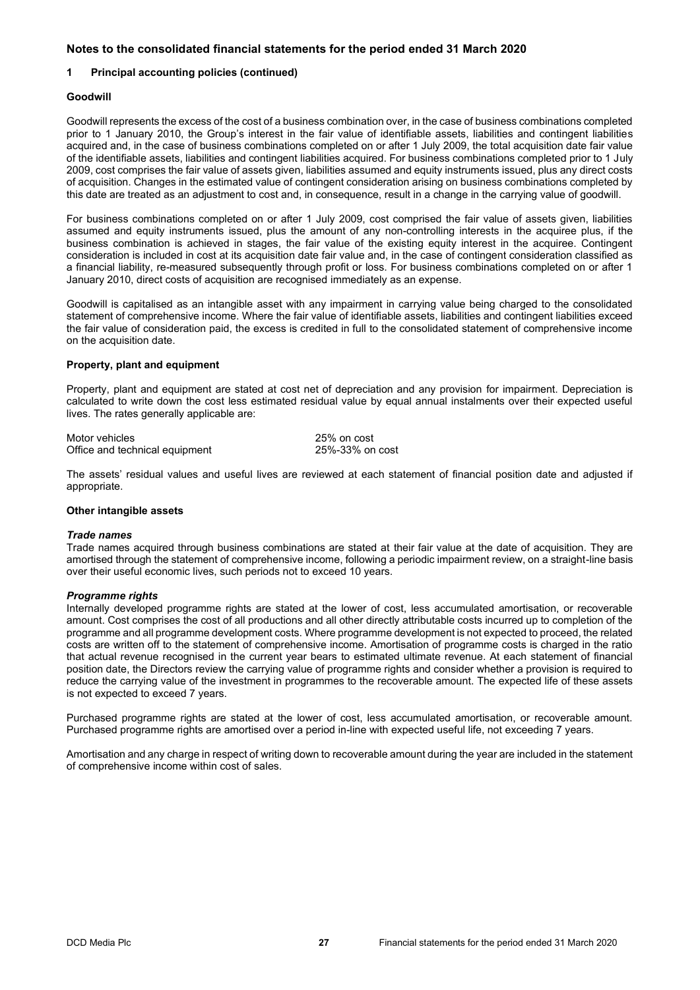#### **1 Principal accounting policies (continued)**

#### **Goodwill**

Goodwill represents the excess of the cost of a business combination over, in the case of business combinations completed prior to 1 January 2010, the Group's interest in the fair value of identifiable assets, liabilities and contingent liabilities acquired and, in the case of business combinations completed on or after 1 July 2009, the total acquisition date fair value of the identifiable assets, liabilities and contingent liabilities acquired. For business combinations completed prior to 1 July 2009, cost comprises the fair value of assets given, liabilities assumed and equity instruments issued, plus any direct costs of acquisition. Changes in the estimated value of contingent consideration arising on business combinations completed by this date are treated as an adjustment to cost and, in consequence, result in a change in the carrying value of goodwill.

For business combinations completed on or after 1 July 2009, cost comprised the fair value of assets given, liabilities assumed and equity instruments issued, plus the amount of any non-controlling interests in the acquiree plus, if the business combination is achieved in stages, the fair value of the existing equity interest in the acquiree. Contingent consideration is included in cost at its acquisition date fair value and, in the case of contingent consideration classified as a financial liability, re-measured subsequently through profit or loss. For business combinations completed on or after 1 January 2010, direct costs of acquisition are recognised immediately as an expense.

Goodwill is capitalised as an intangible asset with any impairment in carrying value being charged to the consolidated statement of comprehensive income. Where the fair value of identifiable assets, liabilities and contingent liabilities exceed the fair value of consideration paid, the excess is credited in full to the consolidated statement of comprehensive income on the acquisition date.

#### **Property, plant and equipment**

Property, plant and equipment are stated at cost net of depreciation and any provision for impairment. Depreciation is calculated to write down the cost less estimated residual value by equal annual instalments over their expected useful lives. The rates generally applicable are:

Motor vehicles 25% on cost Office and technical equipment 25%-33% on cost

The assets' residual values and useful lives are reviewed at each statement of financial position date and adjusted if appropriate.

#### **Other intangible assets**

#### *Trade names*

Trade names acquired through business combinations are stated at their fair value at the date of acquisition. They are amortised through the statement of comprehensive income, following a periodic impairment review, on a straight-line basis over their useful economic lives, such periods not to exceed 10 years.

## *Programme rights*

Internally developed programme rights are stated at the lower of cost, less accumulated amortisation, or recoverable amount. Cost comprises the cost of all productions and all other directly attributable costs incurred up to completion of the programme and all programme development costs. Where programme development is not expected to proceed, the related costs are written off to the statement of comprehensive income. Amortisation of programme costs is charged in the ratio that actual revenue recognised in the current year bears to estimated ultimate revenue. At each statement of financial position date, the Directors review the carrying value of programme rights and consider whether a provision is required to reduce the carrying value of the investment in programmes to the recoverable amount. The expected life of these assets is not expected to exceed 7 years.

Purchased programme rights are stated at the lower of cost, less accumulated amortisation, or recoverable amount. Purchased programme rights are amortised over a period in-line with expected useful life, not exceeding 7 years.

Amortisation and any charge in respect of writing down to recoverable amount during the year are included in the statement of comprehensive income within cost of sales.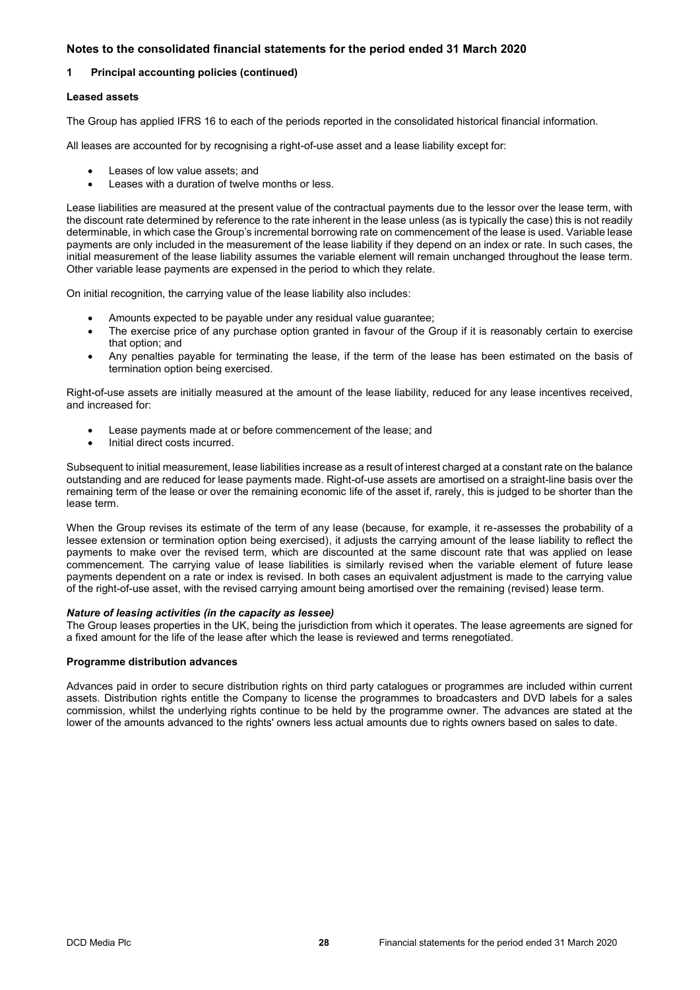## **1 Principal accounting policies (continued)**

#### **Leased assets**

The Group has applied IFRS 16 to each of the periods reported in the consolidated historical financial information.

All leases are accounted for by recognising a right-of-use asset and a lease liability except for:

- Leases of low value assets; and
- Leases with a duration of twelve months or less.

Lease liabilities are measured at the present value of the contractual payments due to the lessor over the lease term, with the discount rate determined by reference to the rate inherent in the lease unless (as is typically the case) this is not readily determinable, in which case the Group's incremental borrowing rate on commencement of the lease is used. Variable lease payments are only included in the measurement of the lease liability if they depend on an index or rate. In such cases, the initial measurement of the lease liability assumes the variable element will remain unchanged throughout the lease term. Other variable lease payments are expensed in the period to which they relate.

On initial recognition, the carrying value of the lease liability also includes:

- Amounts expected to be payable under any residual value quarantee;
- The exercise price of any purchase option granted in favour of the Group if it is reasonably certain to exercise that option; and
- Any penalties payable for terminating the lease, if the term of the lease has been estimated on the basis of termination option being exercised.

Right-of-use assets are initially measured at the amount of the lease liability, reduced for any lease incentives received, and increased for:

- Lease payments made at or before commencement of the lease; and
- $\bullet$  Initial direct costs incurred.

Subsequent to initial measurement, lease liabilities increase as a result of interest charged at a constant rate on the balance outstanding and are reduced for lease payments made. Right-of-use assets are amortised on a straight-line basis over the remaining term of the lease or over the remaining economic life of the asset if, rarely, this is judged to be shorter than the lease term.

When the Group revises its estimate of the term of any lease (because, for example, it re-assesses the probability of a lessee extension or termination option being exercised), it adjusts the carrying amount of the lease liability to reflect the payments to make over the revised term, which are discounted at the same discount rate that was applied on lease commencement. The carrying value of lease liabilities is similarly revised when the variable element of future lease payments dependent on a rate or index is revised. In both cases an equivalent adjustment is made to the carrying value of the right-of-use asset, with the revised carrying amount being amortised over the remaining (revised) lease term.

#### *Nature of leasing activities (in the capacity as lessee)*

The Group leases properties in the UK, being the jurisdiction from which it operates. The lease agreements are signed for a fixed amount for the life of the lease after which the lease is reviewed and terms renegotiated.

#### **Programme distribution advances**

Advances paid in order to secure distribution rights on third party catalogues or programmes are included within current assets. Distribution rights entitle the Company to license the programmes to broadcasters and DVD labels for a sales commission, whilst the underlying rights continue to be held by the programme owner. The advances are stated at the lower of the amounts advanced to the rights' owners less actual amounts due to rights owners based on sales to date.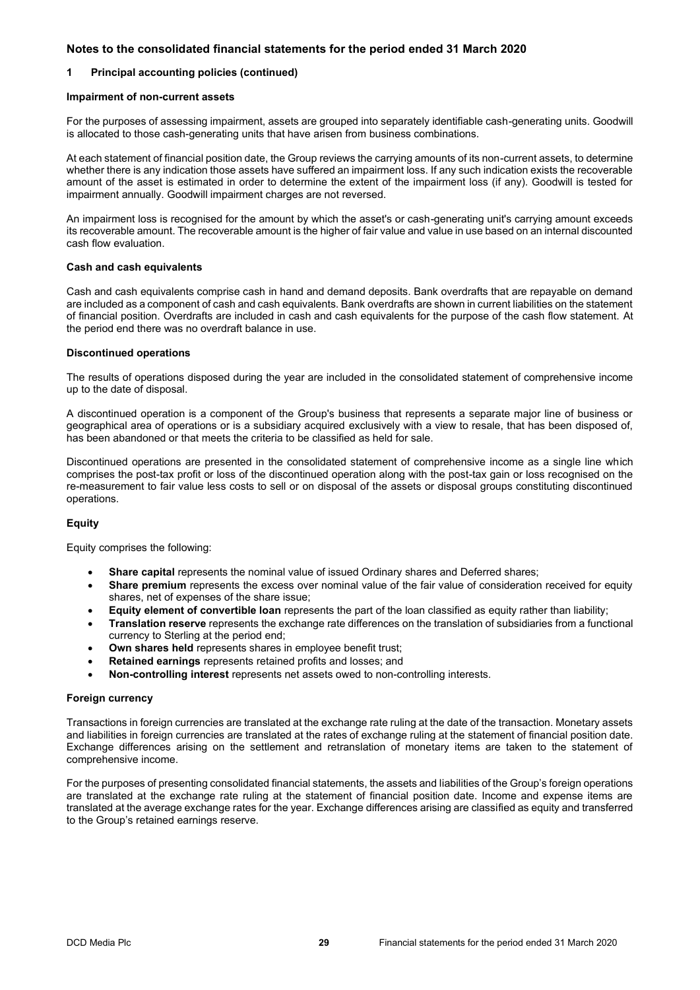## **1 Principal accounting policies (continued)**

#### **Impairment of non-current assets**

For the purposes of assessing impairment, assets are grouped into separately identifiable cash-generating units. Goodwill is allocated to those cash-generating units that have arisen from business combinations.

At each statement of financial position date, the Group reviews the carrying amounts of its non-current assets, to determine whether there is any indication those assets have suffered an impairment loss. If any such indication exists the recoverable amount of the asset is estimated in order to determine the extent of the impairment loss (if any). Goodwill is tested for impairment annually. Goodwill impairment charges are not reversed.

An impairment loss is recognised for the amount by which the asset's or cash-generating unit's carrying amount exceeds its recoverable amount. The recoverable amount is the higher of fair value and value in use based on an internal discounted cash flow evaluation.

#### **Cash and cash equivalents**

Cash and cash equivalents comprise cash in hand and demand deposits. Bank overdrafts that are repayable on demand are included as a component of cash and cash equivalents. Bank overdrafts are shown in current liabilities on the statement of financial position. Overdrafts are included in cash and cash equivalents for the purpose of the cash flow statement. At the period end there was no overdraft balance in use.

#### **Discontinued operations**

The results of operations disposed during the year are included in the consolidated statement of comprehensive income up to the date of disposal.

A discontinued operation is a component of the Group's business that represents a separate major line of business or geographical area of operations or is a subsidiary acquired exclusively with a view to resale, that has been disposed of, has been abandoned or that meets the criteria to be classified as held for sale.

Discontinued operations are presented in the consolidated statement of comprehensive income as a single line which comprises the post-tax profit or loss of the discontinued operation along with the post-tax gain or loss recognised on the re-measurement to fair value less costs to sell or on disposal of the assets or disposal groups constituting discontinued operations.

## **Equity**

Equity comprises the following:

- Share capital represents the nominal value of issued Ordinary shares and Deferred shares;
- Share premium represents the excess over nominal value of the fair value of consideration received for equity shares, net of expenses of the share issue;
- **Equity element of convertible loan** represents the part of the loan classified as equity rather than liability;
- x **Translation reserve** represents the exchange rate differences on the translation of subsidiaries from a functional currency to Sterling at the period end;
- Own shares held represents shares in employee benefit trust;
- x **Retained earnings** represents retained profits and losses; and
- x **Non-controlling interest** represents net assets owed to non-controlling interests.

#### **Foreign currency**

Transactions in foreign currencies are translated at the exchange rate ruling at the date of the transaction. Monetary assets and liabilities in foreign currencies are translated at the rates of exchange ruling at the statement of financial position date. Exchange differences arising on the settlement and retranslation of monetary items are taken to the statement of comprehensive income.

For the purposes of presenting consolidated financial statements, the assets and liabilities of the Group's foreign operations are translated at the exchange rate ruling at the statement of financial position date. Income and expense items are translated at the average exchange rates for the year. Exchange differences arising are classified as equity and transferred to the Group's retained earnings reserve.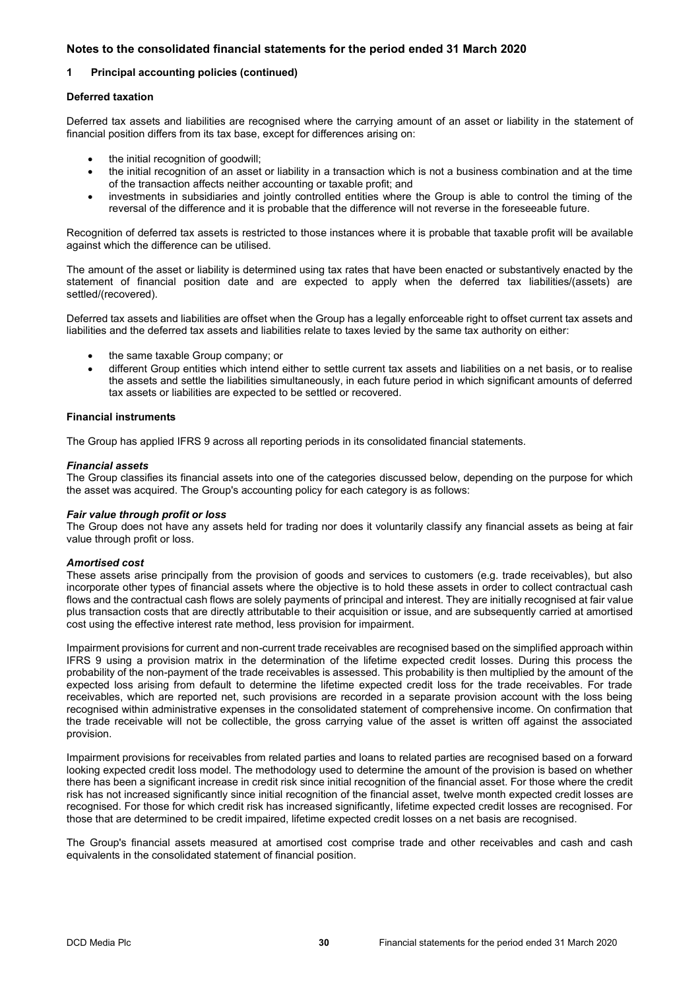## **1 Principal accounting policies (continued)**

#### **Deferred taxation**

Deferred tax assets and liabilities are recognised where the carrying amount of an asset or liability in the statement of financial position differs from its tax base, except for differences arising on:

- the initial recognition of goodwill;
- the initial recognition of an asset or liability in a transaction which is not a business combination and at the time of the transaction affects neither accounting or taxable profit; and
- investments in subsidiaries and jointly controlled entities where the Group is able to control the timing of the reversal of the difference and it is probable that the difference will not reverse in the foreseeable future.

Recognition of deferred tax assets is restricted to those instances where it is probable that taxable profit will be available against which the difference can be utilised.

The amount of the asset or liability is determined using tax rates that have been enacted or substantively enacted by the statement of financial position date and are expected to apply when the deferred tax liabilities/(assets) are settled/(recovered).

Deferred tax assets and liabilities are offset when the Group has a legally enforceable right to offset current tax assets and liabilities and the deferred tax assets and liabilities relate to taxes levied by the same tax authority on either:

- the same taxable Group company; or
- different Group entities which intend either to settle current tax assets and liabilities on a net basis, or to realise the assets and settle the liabilities simultaneously, in each future period in which significant amounts of deferred tax assets or liabilities are expected to be settled or recovered.

#### **Financial instruments**

The Group has applied IFRS 9 across all reporting periods in its consolidated financial statements.

#### *Financial assets*

The Group classifies its financial assets into one of the categories discussed below, depending on the purpose for which the asset was acquired. The Group's accounting policy for each category is as follows:

#### *Fair value through profit or loss*

The Group does not have any assets held for trading nor does it voluntarily classify any financial assets as being at fair value through profit or loss.

#### *Amortised cost*

These assets arise principally from the provision of goods and services to customers (e.g. trade receivables), but also incorporate other types of financial assets where the objective is to hold these assets in order to collect contractual cash flows and the contractual cash flows are solely payments of principal and interest. They are initially recognised at fair value plus transaction costs that are directly attributable to their acquisition or issue, and are subsequently carried at amortised cost using the effective interest rate method, less provision for impairment.

Impairment provisions for current and non-current trade receivables are recognised based on the simplified approach within IFRS 9 using a provision matrix in the determination of the lifetime expected credit losses. During this process the probability of the non-payment of the trade receivables is assessed. This probability is then multiplied by the amount of the expected loss arising from default to determine the lifetime expected credit loss for the trade receivables. For trade receivables, which are reported net, such provisions are recorded in a separate provision account with the loss being recognised within administrative expenses in the consolidated statement of comprehensive income. On confirmation that the trade receivable will not be collectible, the gross carrying value of the asset is written off against the associated provision.

Impairment provisions for receivables from related parties and loans to related parties are recognised based on a forward looking expected credit loss model. The methodology used to determine the amount of the provision is based on whether there has been a significant increase in credit risk since initial recognition of the financial asset. For those where the credit risk has not increased significantly since initial recognition of the financial asset, twelve month expected credit losses are recognised. For those for which credit risk has increased significantly, lifetime expected credit losses are recognised. For those that are determined to be credit impaired, lifetime expected credit losses on a net basis are recognised.

The Group's financial assets measured at amortised cost comprise trade and other receivables and cash and cash equivalents in the consolidated statement of financial position.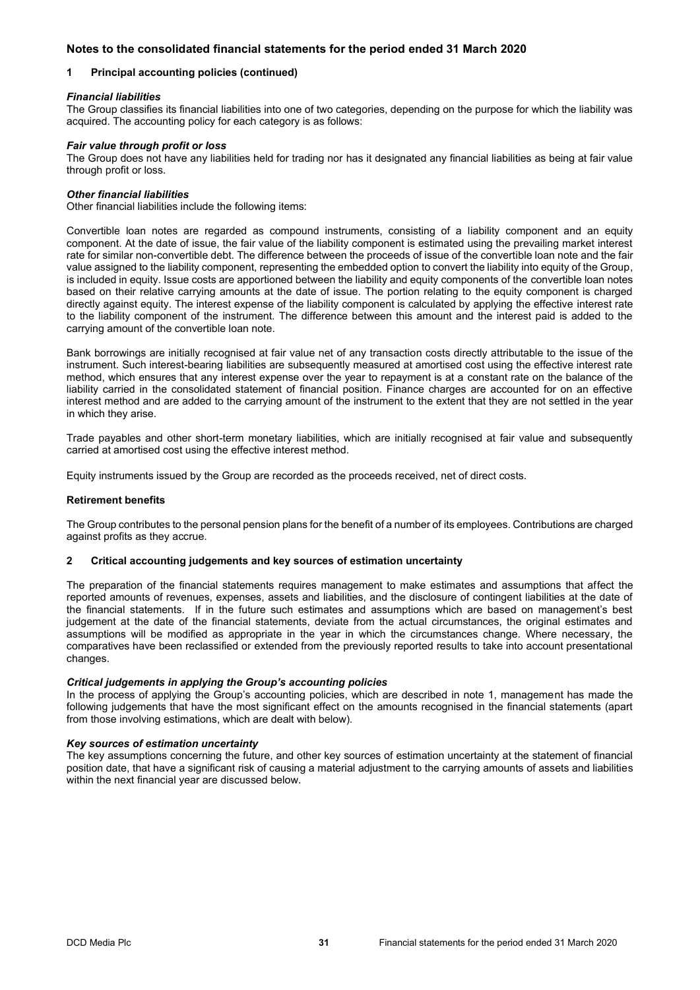#### **1 Principal accounting policies (continued)**

#### *Financial liabilities*

The Group classifies its financial liabilities into one of two categories, depending on the purpose for which the liability was acquired. The accounting policy for each category is as follows:

#### *Fair value through profit or loss*

The Group does not have any liabilities held for trading nor has it designated any financial liabilities as being at fair value through profit or loss.

#### *Other financial liabilities*

Other financial liabilities include the following items:

Convertible loan notes are regarded as compound instruments, consisting of a liability component and an equity component. At the date of issue, the fair value of the liability component is estimated using the prevailing market interest rate for similar non-convertible debt. The difference between the proceeds of issue of the convertible loan note and the fair value assigned to the liability component, representing the embedded option to convert the liability into equity of the Group, is included in equity. Issue costs are apportioned between the liability and equity components of the convertible loan notes based on their relative carrying amounts at the date of issue. The portion relating to the equity component is charged directly against equity. The interest expense of the liability component is calculated by applying the effective interest rate to the liability component of the instrument. The difference between this amount and the interest paid is added to the carrying amount of the convertible loan note.

Bank borrowings are initially recognised at fair value net of any transaction costs directly attributable to the issue of the instrument. Such interest-bearing liabilities are subsequently measured at amortised cost using the effective interest rate method, which ensures that any interest expense over the year to repayment is at a constant rate on the balance of the liability carried in the consolidated statement of financial position. Finance charges are accounted for on an effective interest method and are added to the carrying amount of the instrument to the extent that they are not settled in the year in which they arise.

Trade payables and other short-term monetary liabilities, which are initially recognised at fair value and subsequently carried at amortised cost using the effective interest method.

Equity instruments issued by the Group are recorded as the proceeds received, net of direct costs.

#### **Retirement benefits**

The Group contributes to the personal pension plans for the benefit of a number of its employees. Contributions are charged against profits as they accrue.

#### **2 Critical accounting judgements and key sources of estimation uncertainty**

The preparation of the financial statements requires management to make estimates and assumptions that affect the reported amounts of revenues, expenses, assets and liabilities, and the disclosure of contingent liabilities at the date of the financial statements. If in the future such estimates and assumptions which are based on management's best judgement at the date of the financial statements, deviate from the actual circumstances, the original estimates and assumptions will be modified as appropriate in the year in which the circumstances change. Where necessary, the comparatives have been reclassified or extended from the previously reported results to take into account presentational changes.

#### *Critical judgements in applying the Group's accounting policies*

In the process of applying the Group's accounting policies, which are described in note 1, management has made the following judgements that have the most significant effect on the amounts recognised in the financial statements (apart from those involving estimations, which are dealt with below).

#### *Key sources of estimation uncertainty*

The key assumptions concerning the future, and other key sources of estimation uncertainty at the statement of financial position date, that have a significant risk of causing a material adjustment to the carrying amounts of assets and liabilities within the next financial year are discussed below.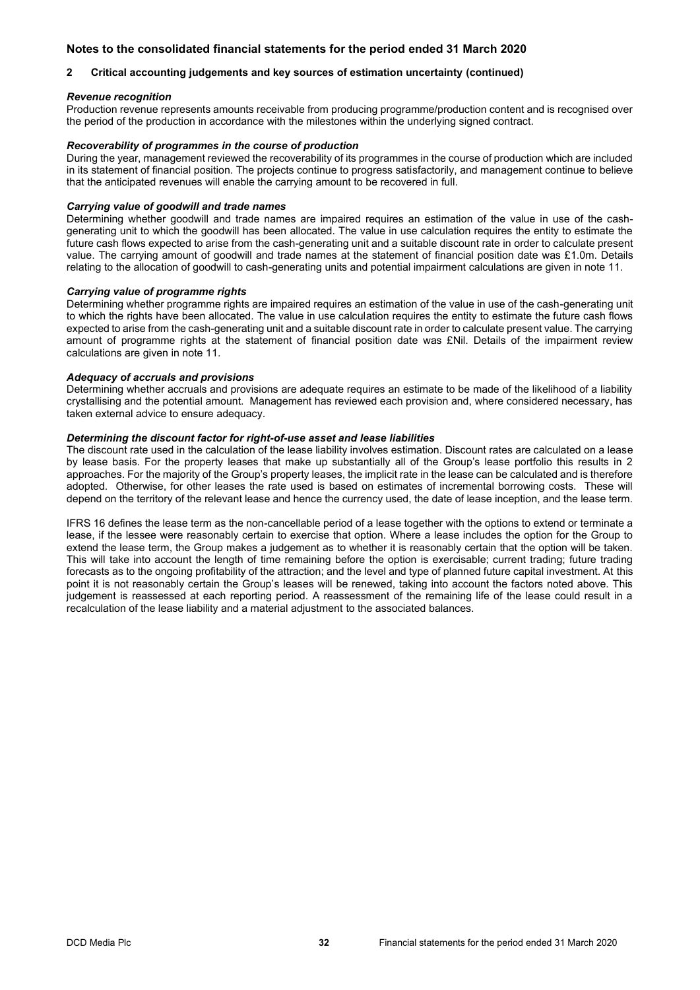## **2 Critical accounting judgements and key sources of estimation uncertainty (continued)**

#### *Revenue recognition*

Production revenue represents amounts receivable from producing programme/production content and is recognised over the period of the production in accordance with the milestones within the underlying signed contract.

#### *Recoverability of programmes in the course of production*

During the year, management reviewed the recoverability of its programmes in the course of production which are included in its statement of financial position. The projects continue to progress satisfactorily, and management continue to believe that the anticipated revenues will enable the carrying amount to be recovered in full.

#### *Carrying value of goodwill and trade names*

Determining whether goodwill and trade names are impaired requires an estimation of the value in use of the cashgenerating unit to which the goodwill has been allocated. The value in use calculation requires the entity to estimate the future cash flows expected to arise from the cash-generating unit and a suitable discount rate in order to calculate present value. The carrying amount of goodwill and trade names at the statement of financial position date was £1.0m. Details relating to the allocation of goodwill to cash-generating units and potential impairment calculations are given in note 11.

#### *Carrying value of programme rights*

Determining whether programme rights are impaired requires an estimation of the value in use of the cash-generating unit to which the rights have been allocated. The value in use calculation requires the entity to estimate the future cash flows expected to arise from the cash-generating unit and a suitable discount rate in order to calculate present value. The carrying amount of programme rights at the statement of financial position date was £Nil. Details of the impairment review calculations are given in note 11.

#### *Adequacy of accruals and provisions*

Determining whether accruals and provisions are adequate requires an estimate to be made of the likelihood of a liability crystallising and the potential amount. Management has reviewed each provision and, where considered necessary, has taken external advice to ensure adequacy.

#### *Determining the discount factor for right-of-use asset and lease liabilities*

The discount rate used in the calculation of the lease liability involves estimation. Discount rates are calculated on a lease by lease basis. For the property leases that make up substantially all of the Group's lease portfolio this results in 2 approaches. For the majority of the Group's property leases, the implicit rate in the lease can be calculated and is therefore adopted. Otherwise, for other leases the rate used is based on estimates of incremental borrowing costs. These will depend on the territory of the relevant lease and hence the currency used, the date of lease inception, and the lease term.

IFRS 16 defines the lease term as the non-cancellable period of a lease together with the options to extend or terminate a lease, if the lessee were reasonably certain to exercise that option. Where a lease includes the option for the Group to extend the lease term, the Group makes a judgement as to whether it is reasonably certain that the option will be taken. This will take into account the length of time remaining before the option is exercisable; current trading; future trading forecasts as to the ongoing profitability of the attraction; and the level and type of planned future capital investment. At this point it is not reasonably certain the Group's leases will be renewed, taking into account the factors noted above. This judgement is reassessed at each reporting period. A reassessment of the remaining life of the lease could result in a recalculation of the lease liability and a material adjustment to the associated balances.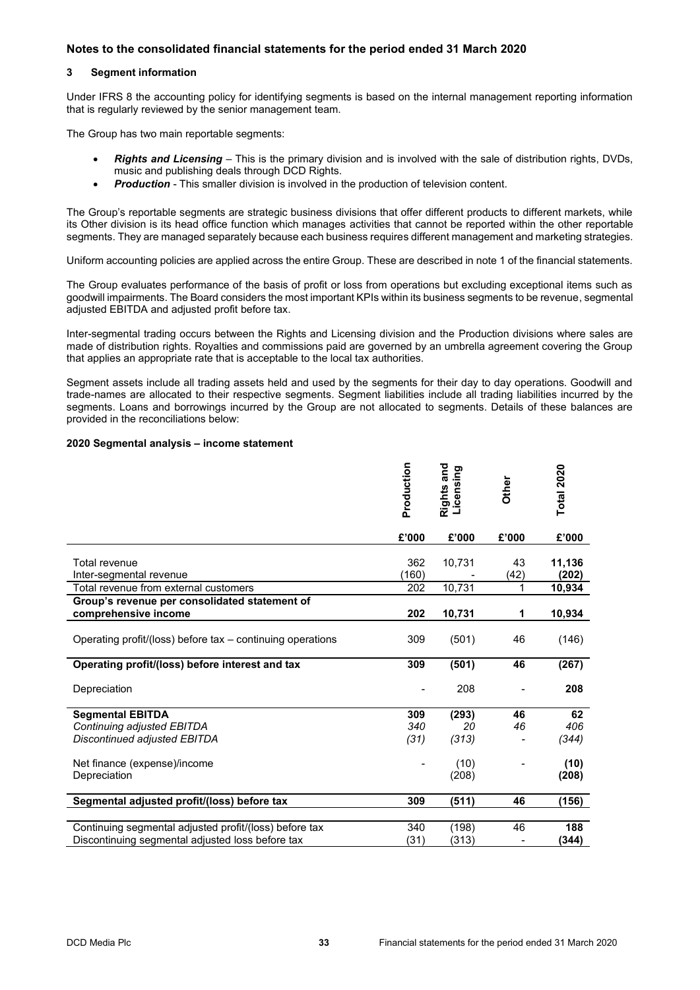#### **3 Segment information**

Under IFRS 8 the accounting policy for identifying segments is based on the internal management reporting information that is regularly reviewed by the senior management team.

The Group has two main reportable segments:

- **Rights and Licensing**  $-$  This is the primary division and is involved with the sale of distribution rights, DVDs, music and publishing deals through DCD Rights.
- **Production** This smaller division is involved in the production of television content.

The Group's reportable segments are strategic business divisions that offer different products to different markets, while its Other division is its head office function which manages activities that cannot be reported within the other reportable segments. They are managed separately because each business requires different management and marketing strategies.

Uniform accounting policies are applied across the entire Group. These are described in note 1 of the financial statements.

The Group evaluates performance of the basis of profit or loss from operations but excluding exceptional items such as goodwill impairments. The Board considers the most important KPIs within its business segments to be revenue, segmental adjusted EBITDA and adjusted profit before tax.

Inter-segmental trading occurs between the Rights and Licensing division and the Production divisions where sales are made of distribution rights. Royalties and commissions paid are governed by an umbrella agreement covering the Group that applies an appropriate rate that is acceptable to the local tax authorities.

Segment assets include all trading assets held and used by the segments for their day to day operations. Goodwill and trade-names are allocated to their respective segments. Segment liabilities include all trading liabilities incurred by the segments. Loans and borrowings incurred by the Group are not allocated to segments. Details of these balances are provided in the reconciliations below:

#### **2020 Segmental analysis ± income statement**

|                                                                       | Production   | Rights and<br>Licensing | Other      | <b>Total 2020</b> |
|-----------------------------------------------------------------------|--------------|-------------------------|------------|-------------------|
|                                                                       | £'000        | £'000                   | £'000      | £'000             |
| Total revenue<br>Inter-segmental revenue                              | 362<br>(160) | 10,731                  | 43<br>(42) | 11,136<br>(202)   |
| Total revenue from external customers                                 | 202          | 10,731                  | 1          | 10,934            |
| Group's revenue per consolidated statement of<br>comprehensive income | 202          | 10,731                  | 1          | 10,934            |
| Operating profit/(loss) before tax – continuing operations            | 309          | (501)                   | 46         | (146)             |
| Operating profit/(loss) before interest and tax                       | 309          | (501)                   | 46         | (267)             |
| Depreciation                                                          |              | 208                     |            | 208               |
| <b>Segmental EBITDA</b>                                               | 309          | (293)                   | 46         | 62                |
| Continuing adjusted EBITDA                                            | 340          | 20                      | 46         | 406               |
| Discontinued adjusted EBITDA                                          | (31)         | (313)                   |            | (344)             |
| Net finance (expense)/income<br>Depreciation                          |              | (10)<br>(208)           |            | (10)<br>(208)     |
| Segmental adjusted profit/(loss) before tax                           | 309          | (511)                   | 46         | (156)             |
|                                                                       |              |                         |            |                   |
| Continuing segmental adjusted profit/(loss) before tax                | 340          | (198)                   | 46         | 188               |
| Discontinuing segmental adjusted loss before tax                      | (31)         | (313)                   |            | (344)             |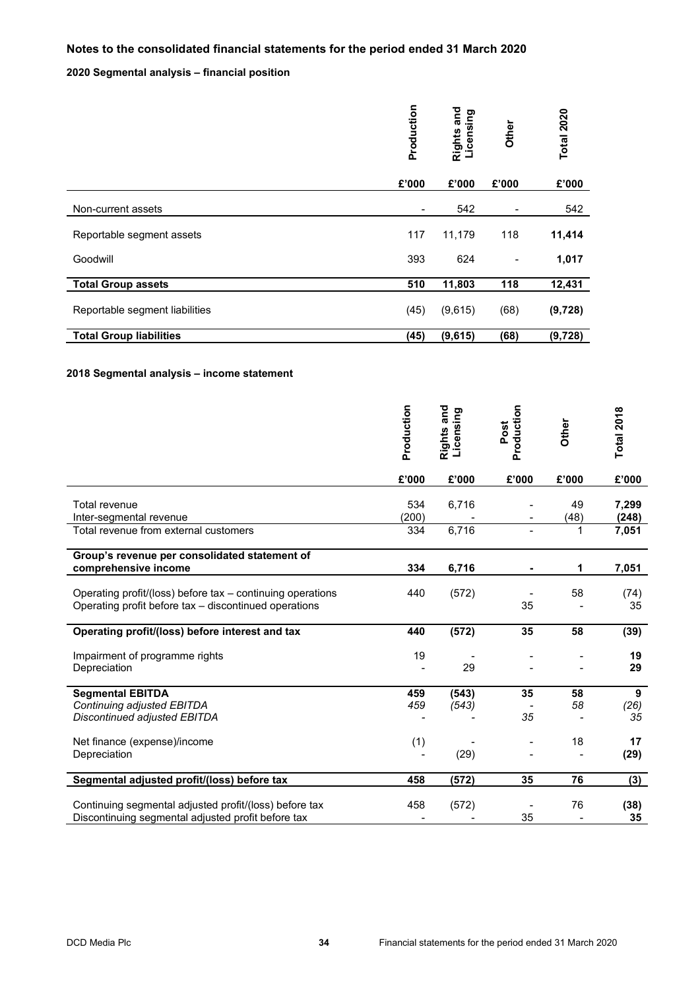## **2020 Segmental analysis ± financial position**

|                                | Production | Rights and<br>Licensing | Other | <b>Total 2020</b> |
|--------------------------------|------------|-------------------------|-------|-------------------|
|                                | £'000      | £'000                   | £'000 | £'000             |
| Non-current assets             |            | 542                     |       | 542               |
| Reportable segment assets      | 117        | 11,179                  | 118   | 11,414            |
| Goodwill                       | 393        | 624                     |       | 1,017             |
| <b>Total Group assets</b>      | 510        | 11,803                  | 118   | 12,431            |
| Reportable segment liabilities | (45)       | (9,615)                 | (68)  | (9, 728)          |
| <b>Total Group liabilities</b> | (45)       | (9,615)                 | (68)  | (9, 728)          |

|                                                                                                                     | Production   | Rights and<br>Licensing | Production<br>Post | Other      | <b>Total 2018</b> |
|---------------------------------------------------------------------------------------------------------------------|--------------|-------------------------|--------------------|------------|-------------------|
|                                                                                                                     | £'000        | £'000                   | £'000              | £'000      | £'000             |
| <b>Total revenue</b><br>Inter-segmental revenue                                                                     | 534<br>(200) | 6,716                   |                    | 49<br>(48) | 7,299<br>(248)    |
| Total revenue from external customers                                                                               | 334          | 6,716                   |                    | 1          | 7,051             |
| Group's revenue per consolidated statement of<br>comprehensive income                                               | 334          | 6,716                   |                    | 1          | 7,051             |
| Operating profit/(loss) before tax – continuing operations<br>Operating profit before tax - discontinued operations | 440          | (572)                   | 35                 | 58         | (74)<br>35        |
| Operating profit/(loss) before interest and tax                                                                     | 440          | (572)                   | 35                 | 58         | (39)              |
| Impairment of programme rights<br>Depreciation                                                                      | 19           | 29                      |                    |            | 19<br>29          |
| <b>Segmental EBITDA</b><br>Continuing adjusted EBITDA<br>Discontinued adjusted EBITDA                               | 459<br>459   | (543)<br>(543)          | 35<br>35           | 58<br>58   | 9<br>(26)<br>35   |
| Net finance (expense)/income<br>Depreciation                                                                        | (1)          | (29)                    |                    | 18         | 17<br>(29)        |
| Segmental adjusted profit/(loss) before tax                                                                         | 458          | (572)                   | 35                 | 76         | (3)               |
| Continuing segmental adjusted profit/(loss) before tax<br>Discontinuing segmental adjusted profit before tax        | 458          | (572)                   | 35                 | 76         | (38)<br>35        |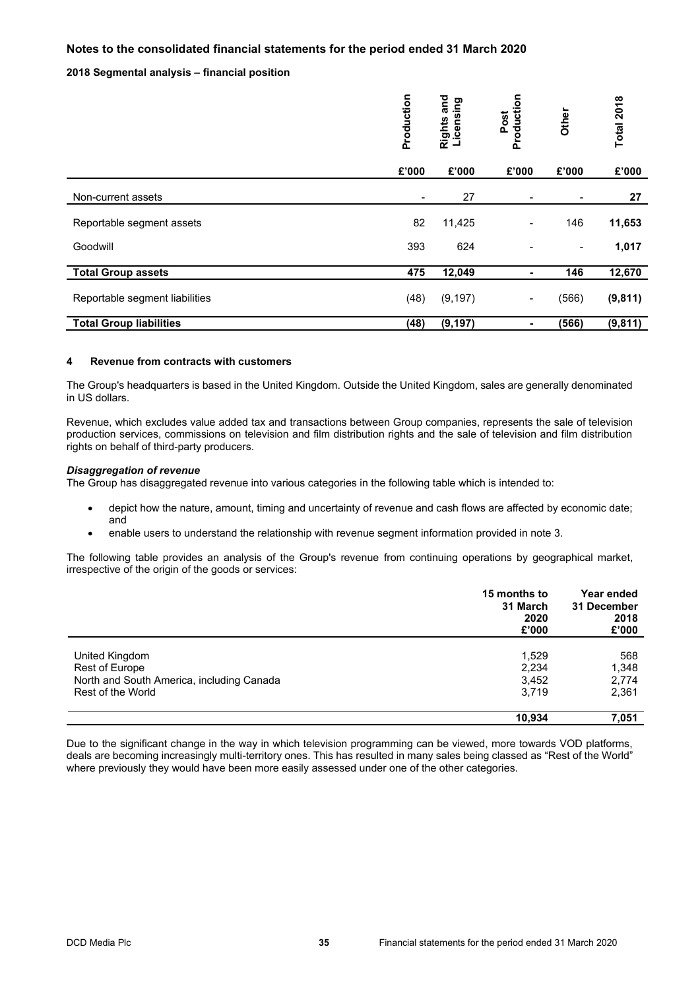## **2018 Segmental analysis ± financial position**

|                                | Production | and<br>Licensing<br><b>Rights</b> | Production<br>Post       | Other                    | <b>Total 2018</b> |
|--------------------------------|------------|-----------------------------------|--------------------------|--------------------------|-------------------|
|                                | £'000      | £'000                             | £'000                    | £'000                    | £'000             |
| Non-current assets             |            | 27                                |                          | $\overline{\phantom{a}}$ | 27                |
| Reportable segment assets      | 82         | 11,425                            | -                        | 146                      | 11,653            |
| Goodwill                       | 393        | 624                               |                          | $\overline{\phantom{a}}$ | 1,017             |
| <b>Total Group assets</b>      | 475        | 12,049                            | ۰                        | 146                      | 12,670            |
| Reportable segment liabilities | (48)       | (9, 197)                          | $\overline{\phantom{a}}$ | (566)                    | (9, 811)          |
| <b>Total Group liabilities</b> | (48)       | (9, 197)                          |                          | (566)                    | (9, 811)          |

#### **4 Revenue from contracts with customers**

The Group's headquarters is based in the United Kingdom. Outside the United Kingdom, sales are generally denominated in US dollars.

Revenue, which excludes value added tax and transactions between Group companies, represents the sale of television production services, commissions on television and film distribution rights and the sale of television and film distribution rights on behalf of third-party producers.

#### *Disaggregation of revenue*

The Group has disaggregated revenue into various categories in the following table which is intended to:

- depict how the nature, amount, timing and uncertainty of revenue and cash flows are affected by economic date; and
- enable users to understand the relationship with revenue segment information provided in note 3.

The following table provides an analysis of the Group's revenue from continuing operations by geographical market, irrespective of the origin of the goods or services:

|                                           | 15 months to<br>31 March<br>2020<br>£'000 | Year ended<br>31 December<br>2018<br>£'000 |
|-------------------------------------------|-------------------------------------------|--------------------------------------------|
|                                           |                                           |                                            |
| United Kingdom                            | 1.529                                     | 568                                        |
| Rest of Europe                            | 2,234                                     | 1,348                                      |
| North and South America, including Canada | 3,452                                     | 2,774                                      |
| Rest of the World                         | 3.719                                     | 2,361                                      |
|                                           | 10,934                                    | 7.051                                      |

Due to the significant change in the way in which television programming can be viewed, more towards VOD platforms, deals are becoming increasingly multi-territory ones. This has resulted in many sales being classed as "Rest of the World" where previously they would have been more easily assessed under one of the other categories.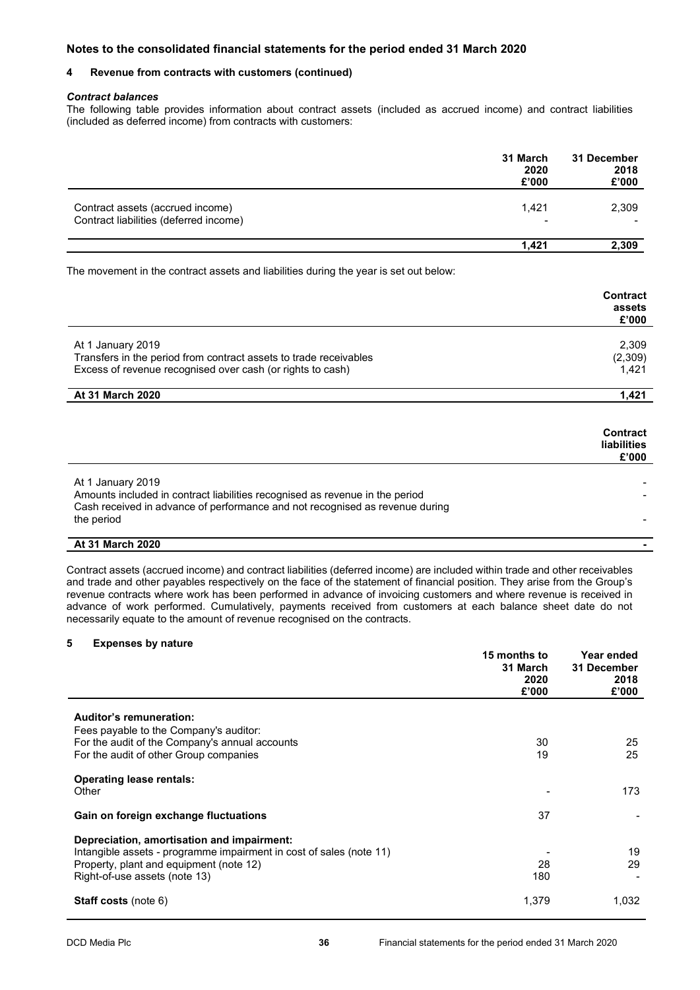## **4 Revenue from contracts with customers (continued)**

#### *Contract balances*

The following table provides information about contract assets (included as accrued income) and contract liabilities (included as deferred income) from contracts with customers:

|                                                                            | 31 March<br>2020<br>£'000 | 31 December<br>2018<br>£'000 |
|----------------------------------------------------------------------------|---------------------------|------------------------------|
| Contract assets (accrued income)<br>Contract liabilities (deferred income) | 1.421<br>-                | 2,309                        |
|                                                                            | 1.421                     | 2,309                        |

The movement in the contract assets and liabilities during the year is set out below:

|                                                                                                                                                                                                 | <b>Contract</b><br>assets<br>£'000      |
|-------------------------------------------------------------------------------------------------------------------------------------------------------------------------------------------------|-----------------------------------------|
| At 1 January 2019<br>Transfers in the period from contract assets to trade receivables<br>Excess of revenue recognised over cash (or rights to cash)                                            | 2,309<br>(2,309)<br>1,421               |
| <b>At 31 March 2020</b>                                                                                                                                                                         | 1,421                                   |
|                                                                                                                                                                                                 | Contract<br><b>liabilities</b><br>£'000 |
| At 1 January 2019<br>Amounts included in contract liabilities recognised as revenue in the period<br>Cash received in advance of performance and not recognised as revenue during<br>the period |                                         |
| At 31 March 2020                                                                                                                                                                                |                                         |

Contract assets (accrued income) and contract liabilities (deferred income) are included within trade and other receivables and trade and other payables respectively on the face of the statement of financial position. They arise from the Group's revenue contracts where work has been performed in advance of invoicing customers and where revenue is received in advance of work performed. Cumulatively, payments received from customers at each balance sheet date do not necessarily equate to the amount of revenue recognised on the contracts.

#### **5 Expenses by nature**

|                                                                                                                                                                                               | 15 months to<br>31 March<br>2020<br>£'000 | Year ended<br>31 December<br>2018<br>£'000 |
|-----------------------------------------------------------------------------------------------------------------------------------------------------------------------------------------------|-------------------------------------------|--------------------------------------------|
| <b>Auditor's remuneration:</b><br>Fees payable to the Company's auditor:                                                                                                                      |                                           |                                            |
| For the audit of the Company's annual accounts<br>For the audit of other Group companies                                                                                                      | 30<br>19                                  | 25<br>25                                   |
| <b>Operating lease rentals:</b><br>Other                                                                                                                                                      |                                           | 173                                        |
| Gain on foreign exchange fluctuations                                                                                                                                                         | 37                                        |                                            |
| Depreciation, amortisation and impairment:<br>Intangible assets - programme impairment in cost of sales (note 11)<br>Property, plant and equipment (note 12)<br>Right-of-use assets (note 13) | 28<br>180                                 | 19<br>29                                   |
| <b>Staff costs (note 6)</b>                                                                                                                                                                   | 1,379                                     | 1,032                                      |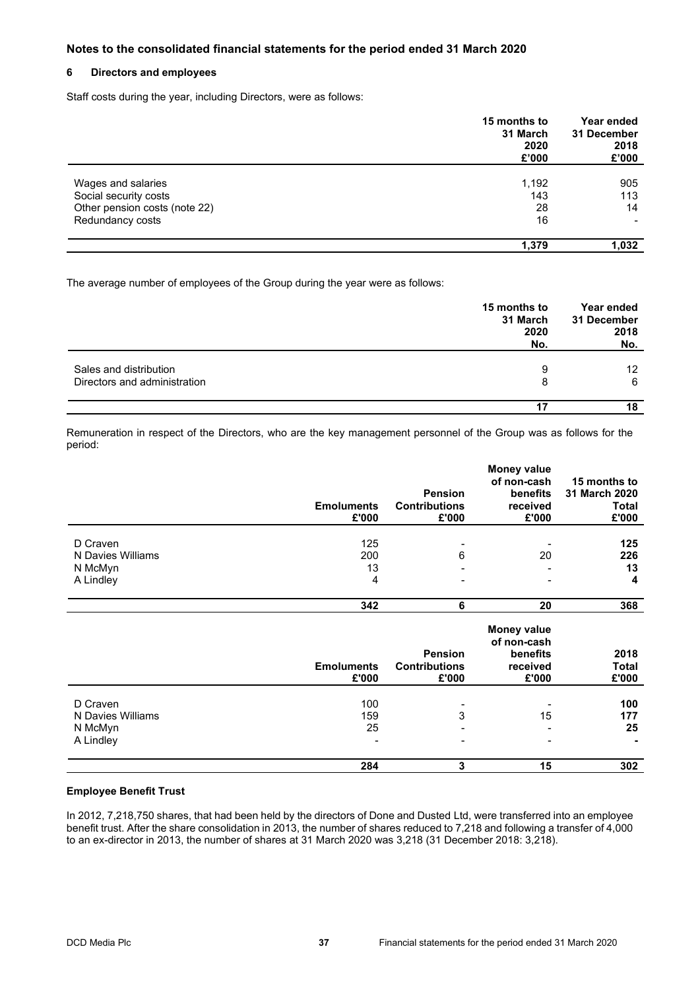## **6 Directors and employees**

Staff costs during the year, including Directors, were as follows:

|                               | 15 months to<br>31 March<br>2020<br>£'000 | Year ended<br>31 December<br>2018<br>£'000 |
|-------------------------------|-------------------------------------------|--------------------------------------------|
|                               |                                           |                                            |
| Wages and salaries            | 1,192                                     | 905                                        |
| Social security costs         | 143                                       | 113                                        |
| Other pension costs (note 22) | 28                                        | 14                                         |
| Redundancy costs              | 16                                        |                                            |
|                               | 1,379                                     | 1,032                                      |

The average number of employees of the Group during the year were as follows:

|                              | 15 months to<br>31 March<br>2020<br>No. | <b>Year ended</b><br>31 December<br>2018<br>No. |
|------------------------------|-----------------------------------------|-------------------------------------------------|
| Sales and distribution       | 9                                       | 12 <sup>°</sup>                                 |
| Directors and administration | 8                                       | 6                                               |
|                              |                                         | 18                                              |

Remuneration in respect of the Directors, who are the key management personnel of the Group was as follows for the period:

|                               | <b>Emoluments</b><br>£'000 | <b>Pension</b><br><b>Contributions</b><br>£'000 | <b>Money value</b><br>of non-cash<br>benefits<br>received<br>£'000 | 15 months to<br>31 March 2020<br><b>Total</b><br>£'000 |
|-------------------------------|----------------------------|-------------------------------------------------|--------------------------------------------------------------------|--------------------------------------------------------|
|                               |                            |                                                 |                                                                    |                                                        |
| D Craven<br>N Davies Williams | 125<br>200                 | 6                                               | 20                                                                 | 125<br>226                                             |
|                               |                            |                                                 |                                                                    |                                                        |
| N McMyn                       | 13                         | $\overline{\phantom{0}}$                        | $\overline{\phantom{a}}$                                           | 13                                                     |
| A Lindley                     | 4                          |                                                 | $\overline{\phantom{a}}$                                           | 4                                                      |
|                               | 342                        | 6                                               | 20                                                                 | 368                                                    |

|                   | <b>Emoluments</b><br>£'000 | <b>Pension</b><br><b>Contributions</b><br>£'000 | <b>Money value</b><br>of non-cash<br>benefits<br>received<br>£'000 | 2018<br><b>Total</b><br>£'000 |
|-------------------|----------------------------|-------------------------------------------------|--------------------------------------------------------------------|-------------------------------|
| D Craven          | 100                        | -                                               |                                                                    | 100                           |
| N Davies Williams | 159                        | 3                                               | 15                                                                 | 177                           |
| N McMyn           | 25                         | -                                               | $\overline{\phantom{a}}$                                           | 25                            |
| A Lindley         |                            |                                                 | $\overline{\phantom{a}}$                                           |                               |
|                   | 284                        |                                                 | 15                                                                 | 302                           |

## **Employee Benefit Trust**

In 2012, 7,218,750 shares, that had been held by the directors of Done and Dusted Ltd, were transferred into an employee benefit trust. After the share consolidation in 2013, the number of shares reduced to 7,218 and following a transfer of 4,000 to an ex-director in 2013, the number of shares at 31 March 2020 was 3,218 (31 December 2018: 3,218).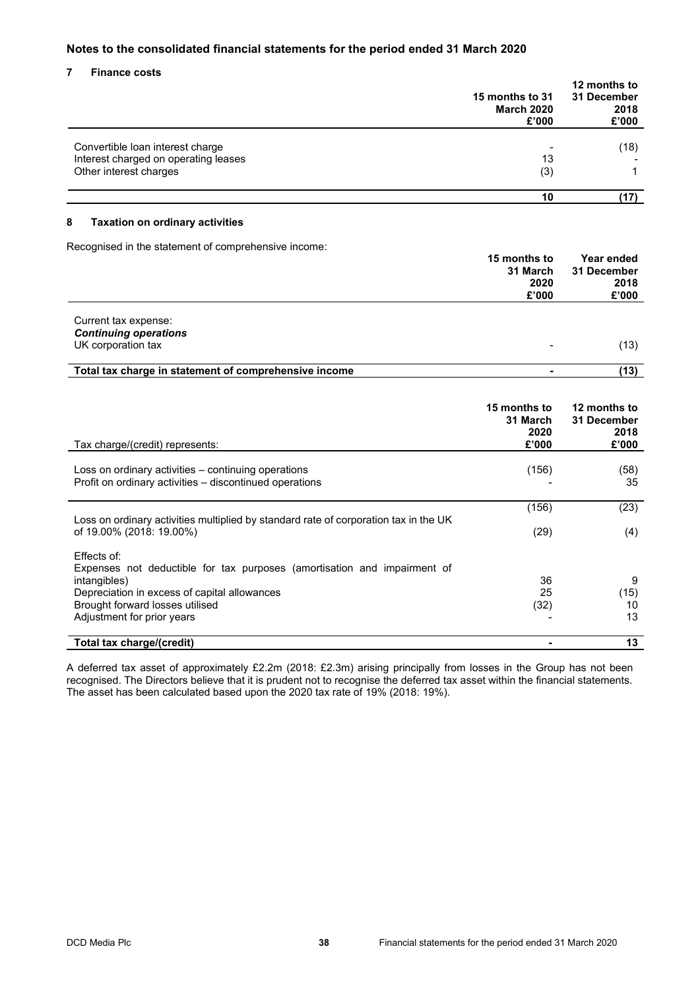#### **7 Finance costs**

|                                                                                                                  | 15 months to 31<br><b>March 2020</b><br>£'000 | 12 months to<br>31 December<br>2018<br>£'000 |
|------------------------------------------------------------------------------------------------------------------|-----------------------------------------------|----------------------------------------------|
| Convertible Ioan interest charge                                                                                 |                                               | (18)                                         |
| Interest charged on operating leases                                                                             | 13                                            |                                              |
| Other interest charges                                                                                           | (3)                                           | 1                                            |
|                                                                                                                  | 10                                            | (17)                                         |
| <b>Taxation on ordinary activities</b><br>8                                                                      |                                               |                                              |
| Recognised in the statement of comprehensive income:                                                             |                                               |                                              |
|                                                                                                                  | 15 months to<br>31 March<br>2020<br>£'000     | Year ended<br>31 December<br>2018<br>£'000   |
| Current tax expense:                                                                                             |                                               |                                              |
| <b>Continuing operations</b><br>UK corporation tax                                                               |                                               | (13)                                         |
| Total tax charge in statement of comprehensive income                                                            |                                               | (13)                                         |
| Tax charge/(credit) represents:                                                                                  | 15 months to<br>31 March<br>2020<br>£'000     | 12 months to<br>31 December<br>2018<br>£'000 |
| Loss on ordinary activities - continuing operations<br>Profit on ordinary activities - discontinued operations   | (156)                                         | (58)<br>35                                   |
|                                                                                                                  | (156)                                         | (23)                                         |
| Loss on ordinary activities multiplied by standard rate of corporation tax in the UK<br>of 19.00% (2018: 19.00%) | (29)                                          | (4)                                          |
| Effects of:<br>Expenses not deductible for tax purposes (amortisation and impairment of                          |                                               |                                              |
| intangibles)                                                                                                     | 36                                            | 9                                            |
| Depreciation in excess of capital allowances<br>Brought forward losses utilised                                  | 25<br>(32)                                    | (15)<br>10                                   |
| Adjustment for prior years                                                                                       |                                               | 13                                           |
| Total tax charge/(credit)                                                                                        | $\blacksquare$                                | 13                                           |
|                                                                                                                  |                                               |                                              |

A deferred tax asset of approximately £2.2m (2018: £2.3m) arising principally from losses in the Group has not been recognised. The Directors believe that it is prudent not to recognise the deferred tax asset within the financial statements. The asset has been calculated based upon the 2020 tax rate of 19% (2018: 19%).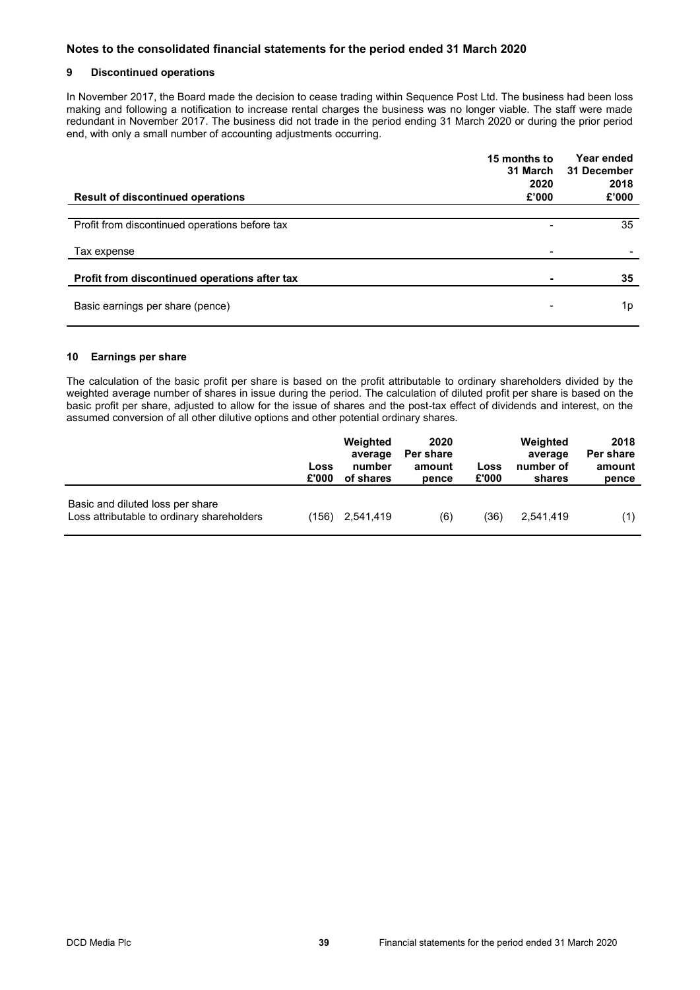#### **9 Discontinued operations**

In November 2017, the Board made the decision to cease trading within Sequence Post Ltd. The business had been loss making and following a notification to increase rental charges the business was no longer viable. The staff were made redundant in November 2017. The business did not trade in the period ending 31 March 2020 or during the prior period end, with only a small number of accounting adjustments occurring.

|                                                | 15 months to<br>31 March | Year ended<br>31 December |
|------------------------------------------------|--------------------------|---------------------------|
|                                                | 2020                     | 2018                      |
| <b>Result of discontinued operations</b>       | £'000                    | £'000                     |
|                                                |                          |                           |
| Profit from discontinued operations before tax |                          | 35                        |
| Tax expense                                    | -                        |                           |
| Profit from discontinued operations after tax  |                          | 35                        |
| Basic earnings per share (pence)               |                          | 1p                        |

#### **10 Earnings per share**

The calculation of the basic profit per share is based on the profit attributable to ordinary shareholders divided by the weighted average number of shares in issue during the period. The calculation of diluted profit per share is based on the basic profit per share, adjusted to allow for the issue of shares and the post-tax effect of dividends and interest, on the assumed conversion of all other dilutive options and other potential ordinary shares.

|                                                                                | Loss<br>£'000 | Weighted<br>average<br>number<br>of shares | 2020<br>Per share<br>amount<br>pence | Loss<br>£'000 | Weighted<br>average<br>number of<br>shares | 2018<br>Per share<br>amount<br>pence |
|--------------------------------------------------------------------------------|---------------|--------------------------------------------|--------------------------------------|---------------|--------------------------------------------|--------------------------------------|
| Basic and diluted loss per share<br>Loss attributable to ordinary shareholders | (156)         | 2,541,419                                  | (6)                                  | (36)          | 2,541,419                                  | '1)                                  |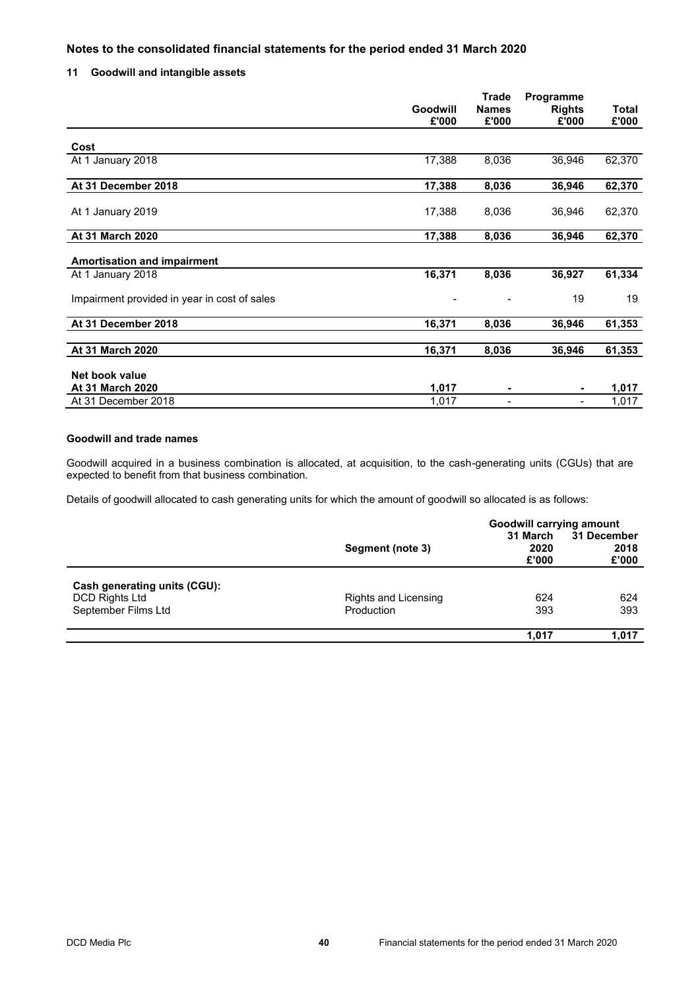## **11 Goodwill and intangible assets**

|                                              |          | <b>Trade</b> | Programme     |        |
|----------------------------------------------|----------|--------------|---------------|--------|
|                                              | Goodwill | <b>Names</b> | <b>Rights</b> | Total  |
|                                              | £'000    | £'000        | £'000         | £'000  |
|                                              |          |              |               |        |
| Cost                                         |          |              |               |        |
| At 1 January 2018                            | 17,388   | 8,036        | 36,946        | 62,370 |
| At 31 December 2018                          | 17,388   | 8,036        | 36,946        | 62,370 |
|                                              |          |              |               |        |
| At 1 January 2019                            | 17,388   | 8,036        | 36,946        | 62,370 |
| At 31 March 2020                             | 17,388   | 8,036        | 36,946        | 62,370 |
|                                              |          |              |               |        |
| <b>Amortisation and impairment</b>           |          |              |               |        |
| At 1 January 2018                            | 16,371   | 8,036        | 36,927        | 61,334 |
| Impairment provided in year in cost of sales |          |              | 19            | 19     |
|                                              |          |              |               |        |
| At 31 December 2018                          | 16,371   | 8,036        | 36,946        | 61,353 |
|                                              |          |              |               |        |
| At 31 March 2020                             | 16,371   | 8,036        | 36,946        | 61,353 |
|                                              |          |              |               |        |
| Net book value                               |          |              |               |        |
| <b>At 31 March 2020</b>                      | 1,017    | ٠            |               | 1,017  |
| At 31 December 2018                          | 1,017    | ۰            |               | 1,017  |

#### **Goodwill and trade names**

Goodwill acquired in a business combination is allocated, at acquisition, to the cash-generating units (CGUs) that are expected to benefit from that business combination.

Details of goodwill allocated to cash generating units for which the amount of goodwill so allocated is as follows:

|                                                                              | Segment (note 3)                          | Goodwill carrying amount<br>31 March<br>2020<br>£'000 | 31 December<br>2018<br>£'000 |
|------------------------------------------------------------------------------|-------------------------------------------|-------------------------------------------------------|------------------------------|
| Cash generating units (CGU):<br><b>DCD Rights Ltd</b><br>September Films Ltd | <b>Rights and Licensing</b><br>Production | 624<br>393                                            | 624<br>393                   |
|                                                                              |                                           | 1.017                                                 | 1,017                        |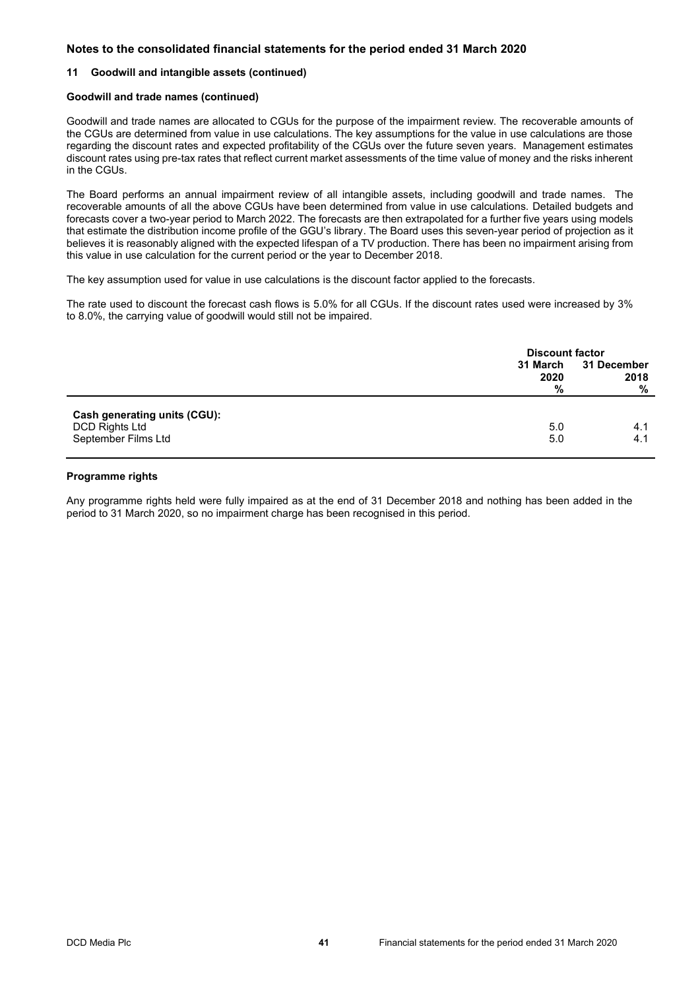## **11 Goodwill and intangible assets (continued)**

#### **Goodwill and trade names (continued)**

Goodwill and trade names are allocated to CGUs for the purpose of the impairment review. The recoverable amounts of the CGUs are determined from value in use calculations. The key assumptions for the value in use calculations are those regarding the discount rates and expected profitability of the CGUs over the future seven years. Management estimates discount rates using pre-tax rates that reflect current market assessments of the time value of money and the risks inherent in the CGUs.

The Board performs an annual impairment review of all intangible assets, including goodwill and trade names. The recoverable amounts of all the above CGUs have been determined from value in use calculations. Detailed budgets and forecasts cover a two-year period to March 2022. The forecasts are then extrapolated for a further five years using models that estimate the distribution income profile of the GGU's library. The Board uses this seven-year period of projection as it believes it is reasonably aligned with the expected lifespan of a TV production. There has been no impairment arising from this value in use calculation for the current period or the year to December 2018.

The key assumption used for value in use calculations is the discount factor applied to the forecasts.

The rate used to discount the forecast cash flows is 5.0% for all CGUs. If the discount rates used were increased by 3% to 8.0%, the carrying value of goodwill would still not be impaired.

|                                                                       |                       | <b>Discount factor</b>   |  |  |
|-----------------------------------------------------------------------|-----------------------|--------------------------|--|--|
|                                                                       | 31 March<br>2020<br>% | 31 December<br>2018<br>% |  |  |
| Cash generating units (CGU):<br>DCD Rights Ltd<br>September Films Ltd | 5.0<br>5.0            | 4.1<br>4.1               |  |  |

#### **Programme rights**

Any programme rights held were fully impaired as at the end of 31 December 2018 and nothing has been added in the period to 31 March 2020, so no impairment charge has been recognised in this period.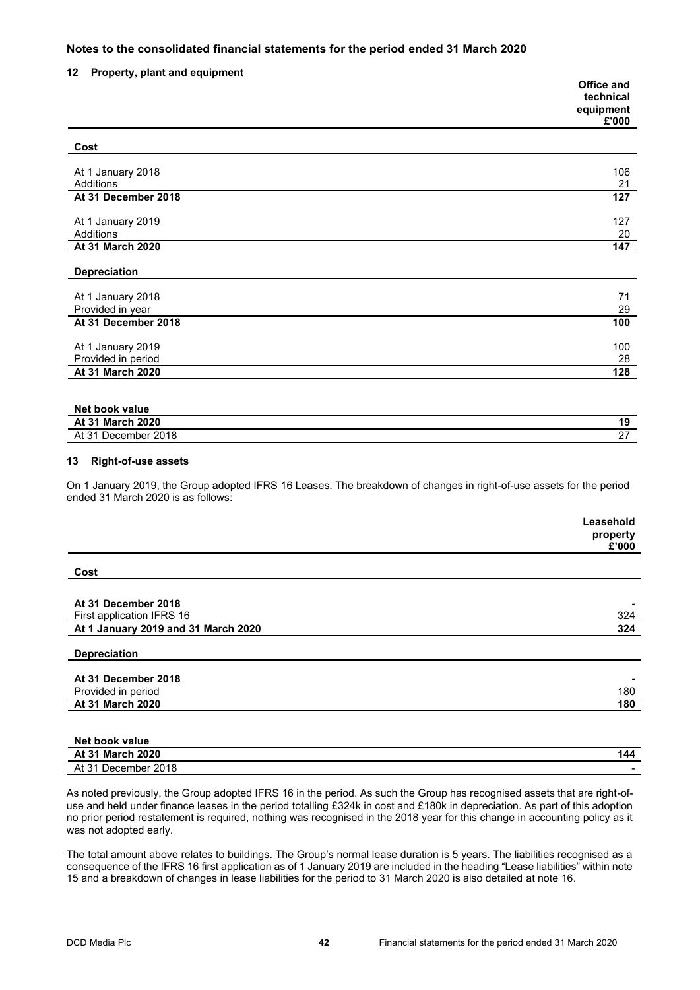## **12 Property, plant and equipment**

|                               | Office and<br>technical<br>equipment |
|-------------------------------|--------------------------------------|
|                               | £'000                                |
| Cost                          |                                      |
| At 1 January 2018             | 106                                  |
| Additions                     | 21                                   |
| At 31 December 2018           | 127                                  |
|                               |                                      |
| At 1 January 2019             | 127                                  |
| Additions<br>At 31 March 2020 | 20<br>147                            |
|                               |                                      |
| <b>Depreciation</b>           |                                      |
| At 1 January 2018             | 71                                   |
| Provided in year              | 29                                   |
| At 31 December 2018           | 100                                  |
| At 1 January 2019             | 100                                  |
| Provided in period            | 28                                   |
| At 31 March 2020              | 128                                  |
|                               |                                      |
| Net book value                |                                      |
| At 31 March 2020              | 19                                   |
| At 31 December 2018           | $\overline{27}$                      |

# **13 Right-of-use assets**

On 1 January 2019, the Group adopted IFRS 16 Leases. The breakdown of changes in right-of-use assets for the period ended 31 March 2020 is as follows:

|                                     | Leasehold<br>property<br>£'000 |
|-------------------------------------|--------------------------------|
| Cost                                |                                |
|                                     |                                |
| At 31 December 2018                 |                                |
| First application IFRS 16           | 324                            |
| At 1 January 2019 and 31 March 2020 | 324                            |
| <b>Depreciation</b>                 |                                |
|                                     |                                |
| At 31 December 2018                 |                                |
| Provided in period                  | 180                            |
| At 31 March 2020                    | 180                            |
| Net book value                      |                                |

| March<br>2020<br>At 31                          | 144                      |
|-------------------------------------------------|--------------------------|
| 2018<br>$\Omega$<br>Λŧ<br>December<br>่<br>ູບ ເ | $\overline{\phantom{0}}$ |

As noted previously, the Group adopted IFRS 16 in the period. As such the Group has recognised assets that are right-ofuse and held under finance leases in the period totalling £324k in cost and £180k in depreciation. As part of this adoption no prior period restatement is required, nothing was recognised in the 2018 year for this change in accounting policy as it was not adopted early.

The total amount above relates to buildings. The Group's normal lease duration is 5 years. The liabilities recognised as a consequence of the IFRS 16 first application as of 1 January 2019 are included in the heading "Lease liabilities" within note 15 and a breakdown of changes in lease liabilities for the period to 31 March 2020 is also detailed at note 16.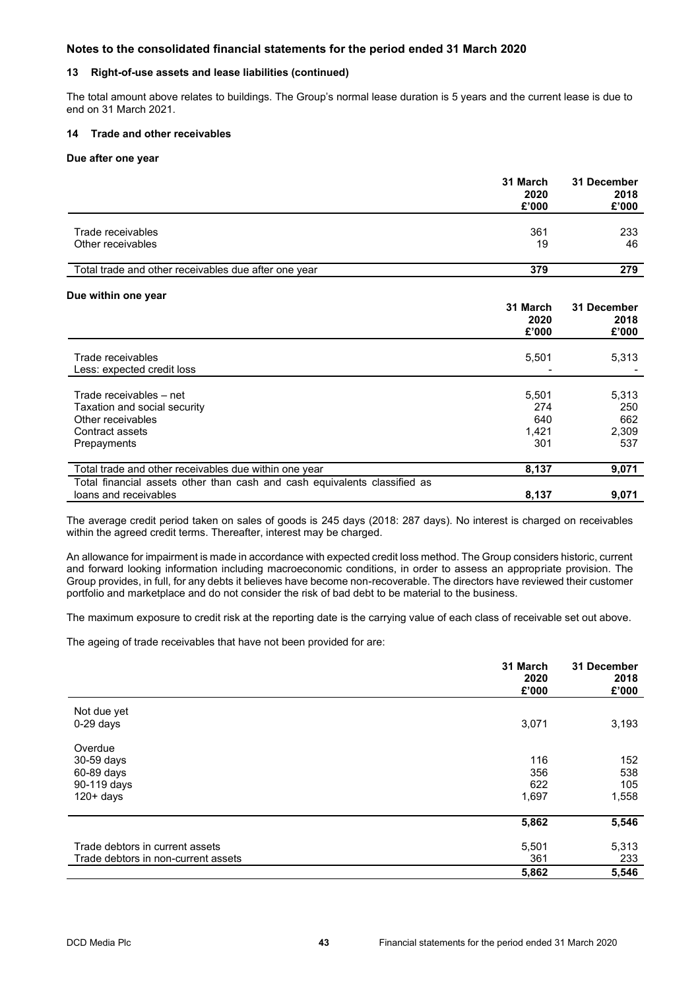#### **13 Right-of-use assets and lease liabilities (continued)**

The total amount above relates to buildings. The Group's normal lease duration is 5 years and the current lease is due to end on 31 March 2021.

#### **14 Trade and other receivables**

#### **Due after one year**

|                                                                           | 31 March<br>2020<br>£'000 | 31 December<br>2018<br>£'000 |
|---------------------------------------------------------------------------|---------------------------|------------------------------|
|                                                                           |                           |                              |
| Trade receivables                                                         | 361                       | 233                          |
| Other receivables                                                         | 19                        | 46                           |
| Total trade and other receivables due after one year                      | 379                       | 279                          |
| Due within one year                                                       |                           |                              |
|                                                                           | 31 March                  | 31 December                  |
|                                                                           | 2020                      | 2018                         |
|                                                                           | £'000                     | £'000                        |
|                                                                           |                           |                              |
| Trade receivables                                                         | 5,501                     | 5,313                        |
| Less: expected credit loss                                                |                           |                              |
| Trade receivables - net                                                   | 5,501                     | 5,313                        |
| Taxation and social security                                              | 274                       | 250                          |
| Other receivables                                                         | 640                       | 662                          |
| Contract assets                                                           | 1,421                     | 2,309                        |
| Prepayments                                                               | 301                       | 537                          |
| Total trade and other receivables due within one year                     | 8,137                     | 9,071                        |
| Total financial assets other than cash and cash equivalents classified as |                           |                              |
| loans and receivables                                                     | 8,137                     | 9,071                        |

The average credit period taken on sales of goods is 245 days (2018: 287 days). No interest is charged on receivables within the agreed credit terms. Thereafter, interest may be charged.

An allowance for impairment is made in accordance with expected credit loss method. The Group considers historic, current and forward looking information including macroeconomic conditions, in order to assess an appropriate provision. The Group provides, in full, for any debts it believes have become non-recoverable. The directors have reviewed their customer portfolio and marketplace and do not consider the risk of bad debt to be material to the business.

The maximum exposure to credit risk at the reporting date is the carrying value of each class of receivable set out above.

The ageing of trade receivables that have not been provided for are:

|                                                                        | 31 March<br>2020<br>£'000  | 31 December<br>2018<br>£'000 |
|------------------------------------------------------------------------|----------------------------|------------------------------|
| Not due yet<br>$0-29$ days                                             | 3,071                      | 3,193                        |
| Overdue<br>30-59 days<br>60-89 days<br>90-119 days<br>$120 + days$     | 116<br>356<br>622<br>1,697 | 152<br>538<br>105<br>1,558   |
|                                                                        | 5,862                      | 5,546                        |
| Trade debtors in current assets<br>Trade debtors in non-current assets | 5,501<br>361               | 5,313<br>233                 |
|                                                                        | 5,862                      | 5,546                        |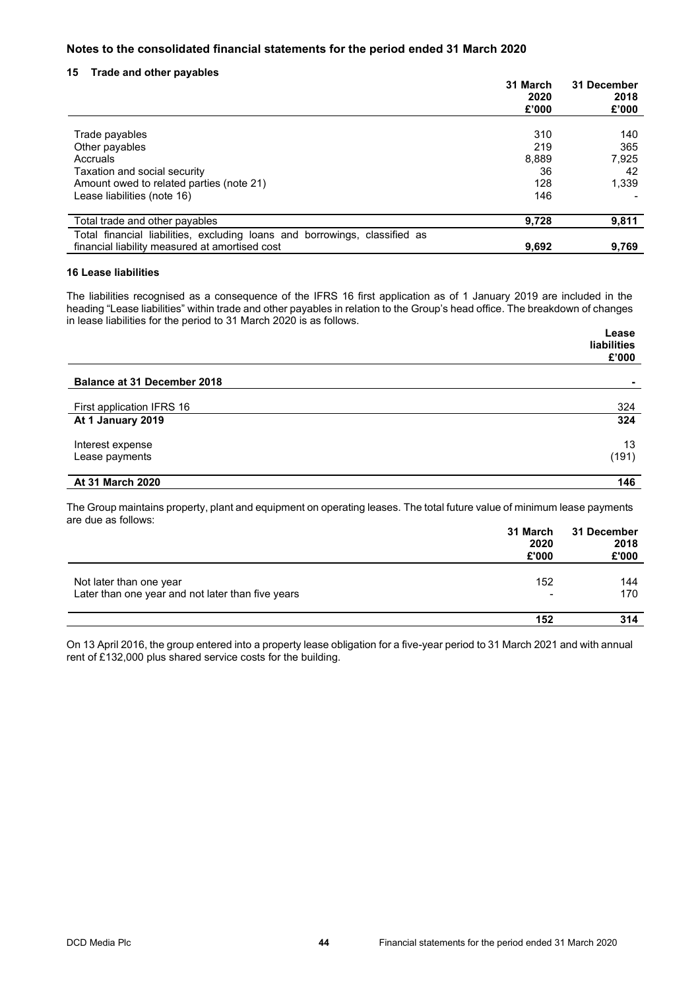## **15 Trade and other payables**

|                                                                            | 31 March<br>2020<br>£'000 | 31 December<br>2018<br>£'000 |
|----------------------------------------------------------------------------|---------------------------|------------------------------|
| Trade payables                                                             | 310                       | 140                          |
| Other payables                                                             | 219                       | 365                          |
| Accruals                                                                   | 8,889                     | 7,925                        |
| Taxation and social security                                               | 36                        | 42                           |
| Amount owed to related parties (note 21)                                   | 128                       | 1,339                        |
| Lease liabilities (note 16)                                                | 146                       |                              |
| Total trade and other payables                                             | 9,728                     | 9,811                        |
| Total financial liabilities, excluding loans and borrowings, classified as |                           |                              |
| financial liability measured at amortised cost                             | 9.692                     | 9.769                        |

#### **16 Lease liabilities**

The liabilities recognised as a consequence of the IFRS 16 first application as of 1 January 2019 are included in the heading "Lease liabilities" within trade and other payables in relation to the Group's head office. The breakdown of changes in lease liabilities for the period to 31 March 2020 is as follows.

|                                    | Lease<br><b>liabilities</b><br>£'000 |
|------------------------------------|--------------------------------------|
| <b>Balance at 31 December 2018</b> | ٠                                    |
| First application IFRS 16          | 324                                  |
| At 1 January 2019                  | 324                                  |
| Interest expense                   | 13                                   |
| Lease payments                     | (191)                                |
| <b>At 31 March 2020</b>            | 146                                  |

The Group maintains property, plant and equipment on operating leases. The total future value of minimum lease payments are due as follows:

|                                                   | 31 March<br>2020<br>£'000 | 31 December<br>2018<br>£'000 |
|---------------------------------------------------|---------------------------|------------------------------|
| Not later than one year                           | 152                       | 144                          |
| Later than one year and not later than five years | $\overline{\phantom{0}}$  | 170                          |
|                                                   | 152                       | 314                          |

On 13 April 2016, the group entered into a property lease obligation for a five-year period to 31 March 2021 and with annual rent of £132,000 plus shared service costs for the building.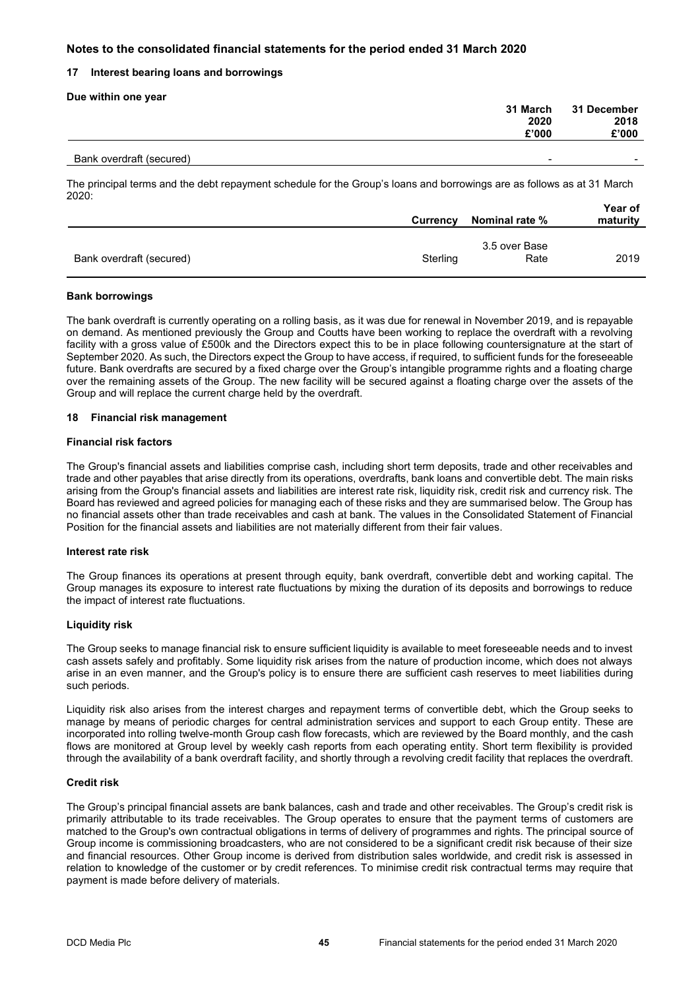## **17 Interest bearing loans and borrowings**

| Due within one year      | 31 March                 | 31 December              |
|--------------------------|--------------------------|--------------------------|
|                          | 2020                     | 2018                     |
|                          | £'000                    | £'000                    |
| Bank overdraft (secured) | $\overline{\phantom{0}}$ | $\overline{\phantom{0}}$ |

The principal terms and the debt repayment schedule for the Group's loans and borrowings are as follows as at 31 March 2020:

|                          | Currency | Nominal rate %        | Year of<br>maturity |
|--------------------------|----------|-----------------------|---------------------|
| Bank overdraft (secured) | Sterling | 3.5 over Base<br>Rate | 2019                |

#### **Bank borrowings**

**Due within one year**

The bank overdraft is currently operating on a rolling basis, as it was due for renewal in November 2019, and is repayable on demand. As mentioned previously the Group and Coutts have been working to replace the overdraft with a revolving facility with a gross value of £500k and the Directors expect this to be in place following countersignature at the start of September 2020. As such, the Directors expect the Group to have access, if required, to sufficient funds for the foreseeable future. Bank overdrafts are secured by a fixed charge over the Group's intangible programme rights and a floating charge over the remaining assets of the Group. The new facility will be secured against a floating charge over the assets of the Group and will replace the current charge held by the overdraft.

#### **18 Financial risk management**

#### **Financial risk factors**

The Group's financial assets and liabilities comprise cash, including short term deposits, trade and other receivables and trade and other payables that arise directly from its operations, overdrafts, bank loans and convertible debt. The main risks arising from the Group's financial assets and liabilities are interest rate risk, liquidity risk, credit risk and currency risk. The Board has reviewed and agreed policies for managing each of these risks and they are summarised below. The Group has no financial assets other than trade receivables and cash at bank. The values in the Consolidated Statement of Financial Position for the financial assets and liabilities are not materially different from their fair values.

#### **Interest rate risk**

The Group finances its operations at present through equity, bank overdraft, convertible debt and working capital. The Group manages its exposure to interest rate fluctuations by mixing the duration of its deposits and borrowings to reduce the impact of interest rate fluctuations.

#### **Liquidity risk**

The Group seeks to manage financial risk to ensure sufficient liquidity is available to meet foreseeable needs and to invest cash assets safely and profitably. Some liquidity risk arises from the nature of production income, which does not always arise in an even manner, and the Group's policy is to ensure there are sufficient cash reserves to meet liabilities during such periods.

Liquidity risk also arises from the interest charges and repayment terms of convertible debt, which the Group seeks to manage by means of periodic charges for central administration services and support to each Group entity. These are incorporated into rolling twelve-month Group cash flow forecasts, which are reviewed by the Board monthly, and the cash flows are monitored at Group level by weekly cash reports from each operating entity. Short term flexibility is provided through the availability of a bank overdraft facility, and shortly through a revolving credit facility that replaces the overdraft.

#### **Credit risk**

The Group's principal financial assets are bank balances, cash and trade and other receivables. The Group's credit risk is primarily attributable to its trade receivables. The Group operates to ensure that the payment terms of customers are matched to the Group's own contractual obligations in terms of delivery of programmes and rights. The principal source of Group income is commissioning broadcasters, who are not considered to be a significant credit risk because of their size and financial resources. Other Group income is derived from distribution sales worldwide, and credit risk is assessed in relation to knowledge of the customer or by credit references. To minimise credit risk contractual terms may require that payment is made before delivery of materials.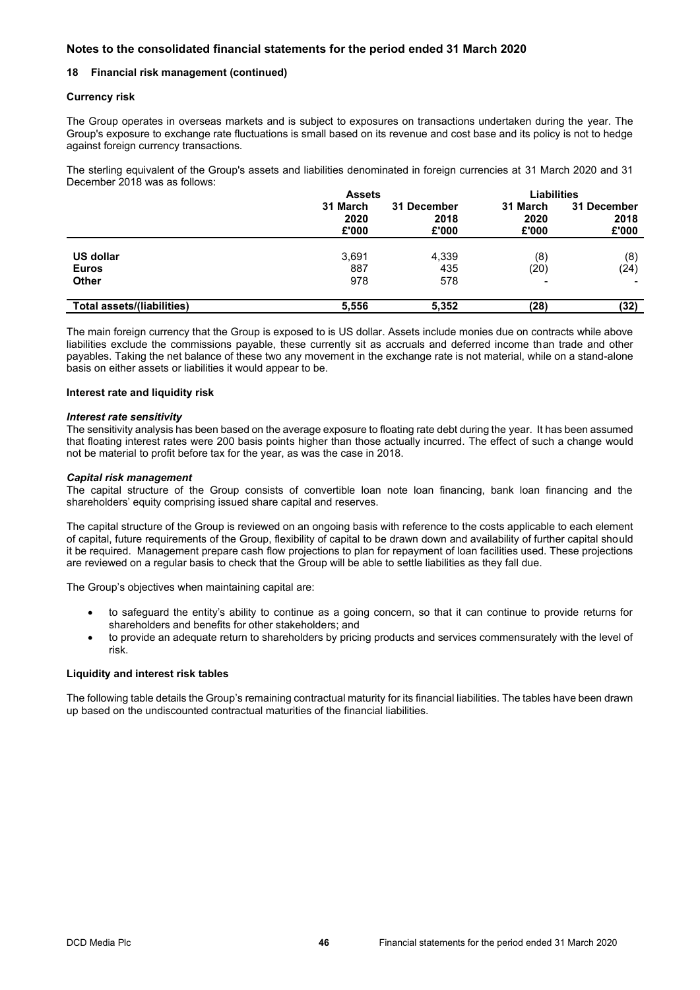## **18 Financial risk management (continued)**

#### **Currency risk**

The Group operates in overseas markets and is subject to exposures on transactions undertaken during the year. The Group's exposure to exchange rate fluctuations is small based on its revenue and cost base and its policy is not to hedge against foreign currency transactions.

The sterling equivalent of the Group's assets and liabilities denominated in foreign currencies at 31 March 2020 and 31 December 2018 was as follows:

|                                   | <b>Assets</b>    | <b>Liabilities</b>  |                          |                     |
|-----------------------------------|------------------|---------------------|--------------------------|---------------------|
|                                   | 31 March<br>2020 | 31 December<br>2018 | 31 March<br>2020         | 31 December<br>2018 |
|                                   | £'000            | £'000               | £'000                    | £'000               |
| <b>US dollar</b>                  | 3,691            | 4,339               | (8)                      | (8)                 |
| <b>Euros</b>                      | 887              | 435                 | (20)                     | (24)                |
| <b>Other</b>                      | 978              | 578                 | $\overline{\phantom{a}}$ |                     |
| <b>Total assets/(liabilities)</b> | 5,556            | 5,352               | (28)                     | (32)                |

The main foreign currency that the Group is exposed to is US dollar. Assets include monies due on contracts while above liabilities exclude the commissions payable, these currently sit as accruals and deferred income than trade and other payables. Taking the net balance of these two any movement in the exchange rate is not material, while on a stand-alone basis on either assets or liabilities it would appear to be.

#### **Interest rate and liquidity risk**

#### *Interest rate sensitivity*

The sensitivity analysis has been based on the average exposure to floating rate debt during the year. It has been assumed that floating interest rates were 200 basis points higher than those actually incurred. The effect of such a change would not be material to profit before tax for the year, as was the case in 2018.

#### *Capital risk management*

The capital structure of the Group consists of convertible loan note loan financing, bank loan financing and the shareholders' equity comprising issued share capital and reserves.

The capital structure of the Group is reviewed on an ongoing basis with reference to the costs applicable to each element of capital, future requirements of the Group, flexibility of capital to be drawn down and availability of further capital should it be required. Management prepare cash flow projections to plan for repayment of loan facilities used. These projections are reviewed on a regular basis to check that the Group will be able to settle liabilities as they fall due.

The Group's objectives when maintaining capital are:

- to safeguard the entity's ability to continue as a going concern, so that it can continue to provide returns for shareholders and benefits for other stakeholders; and
- to provide an adequate return to shareholders by pricing products and services commensurately with the level of risk.

#### **Liquidity and interest risk tables**

The following table details the Group's remaining contractual maturity for its financial liabilities. The tables have been drawn up based on the undiscounted contractual maturities of the financial liabilities.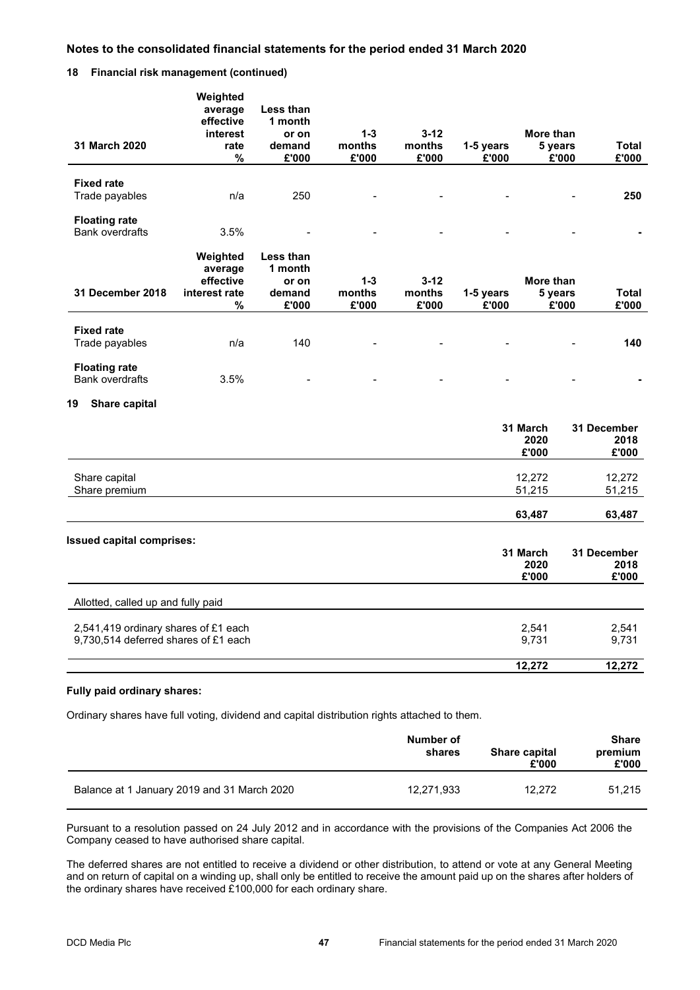### **18 Financial risk management (continued)**

| 31 March 2020                                  | Weighted<br>average<br>effective<br>interest<br>rate<br>$\%$ | Less than<br>1 month<br>or on<br>demand<br>£'000 | $1 - 3$<br>months<br>£'000 | $3 - 12$<br>months<br>£'000 | 1-5 years<br>£'000 | More than<br>5 years<br>£'000 | <b>Total</b><br>£'000 |
|------------------------------------------------|--------------------------------------------------------------|--------------------------------------------------|----------------------------|-----------------------------|--------------------|-------------------------------|-----------------------|
| <b>Fixed rate</b>                              |                                                              |                                                  |                            |                             |                    |                               |                       |
| Trade payables                                 | n/a                                                          | 250                                              |                            |                             |                    |                               | 250                   |
| <b>Floating rate</b><br><b>Bank overdrafts</b> | 3.5%                                                         |                                                  |                            |                             |                    |                               |                       |
|                                                | Weighted<br>average                                          | Less than<br>1 month                             |                            |                             |                    |                               |                       |
|                                                | effective                                                    | or on                                            | $1 - 3$                    | $3 - 12$                    |                    | More than                     |                       |
| 31 December 2018                               | interest rate<br>$\%$                                        | demand<br>£'000                                  | months<br>£'000            | months<br>£'000             | 1-5 years<br>£'000 | 5 years<br>£'000              | Total<br>£'000        |
| <b>Fixed rate</b>                              |                                                              |                                                  |                            |                             |                    |                               |                       |
| Trade payables                                 | n/a                                                          | 140                                              |                            |                             |                    |                               | 140                   |
| <b>Floating rate</b>                           |                                                              |                                                  |                            |                             |                    |                               |                       |
| <b>Bank overdrafts</b>                         | 3.5%                                                         |                                                  |                            |                             |                    |                               |                       |
| 19<br><b>Share capital</b>                     |                                                              |                                                  |                            |                             |                    |                               |                       |
|                                                |                                                              |                                                  |                            |                             |                    | 31 March                      | 31 December           |
|                                                |                                                              |                                                  |                            |                             |                    | 2020<br>£'000                 | 2018<br>£'000         |
|                                                |                                                              |                                                  |                            |                             |                    |                               |                       |
| Share capital                                  |                                                              |                                                  |                            |                             |                    | 12,272                        | 12,272                |
| Share premium                                  |                                                              |                                                  |                            |                             |                    | 51,215                        | 51,215                |
|                                                |                                                              |                                                  |                            |                             |                    | 63,487                        | 63,487                |
| <b>Issued capital comprises:</b>               |                                                              |                                                  |                            |                             |                    |                               |                       |
|                                                |                                                              |                                                  |                            |                             |                    | 31 March                      | 31 December           |
|                                                |                                                              |                                                  |                            |                             |                    | 2020                          | 2018                  |
|                                                |                                                              |                                                  |                            |                             |                    | £'000                         | £'000                 |
| Allotted, called up and fully paid             |                                                              |                                                  |                            |                             |                    |                               |                       |

|                                                                              | 12,272         | 12,272         |
|------------------------------------------------------------------------------|----------------|----------------|
| 2,541,419 ordinary shares of £1 each<br>9,730,514 deferred shares of £1 each | 2.541<br>9.731 | 2.541<br>9.731 |
|                                                                              |                |                |
| , monou, canca ap and rany paid                                              |                |                |

#### **Fully paid ordinary shares:**

Ordinary shares have full voting, dividend and capital distribution rights attached to them.

|                                             | Number of<br>shares | <b>Share capital</b><br>£'000 | <b>Share</b><br>premium<br>£'000 |
|---------------------------------------------|---------------------|-------------------------------|----------------------------------|
| Balance at 1 January 2019 and 31 March 2020 | 12.271.933          | 12.272                        | 51.215                           |

Pursuant to a resolution passed on 24 July 2012 and in accordance with the provisions of the Companies Act 2006 the Company ceased to have authorised share capital.

The deferred shares are not entitled to receive a dividend or other distribution, to attend or vote at any General Meeting and on return of capital on a winding up, shall only be entitled to receive the amount paid up on the shares after holders of the ordinary shares have received £100,000 for each ordinary share.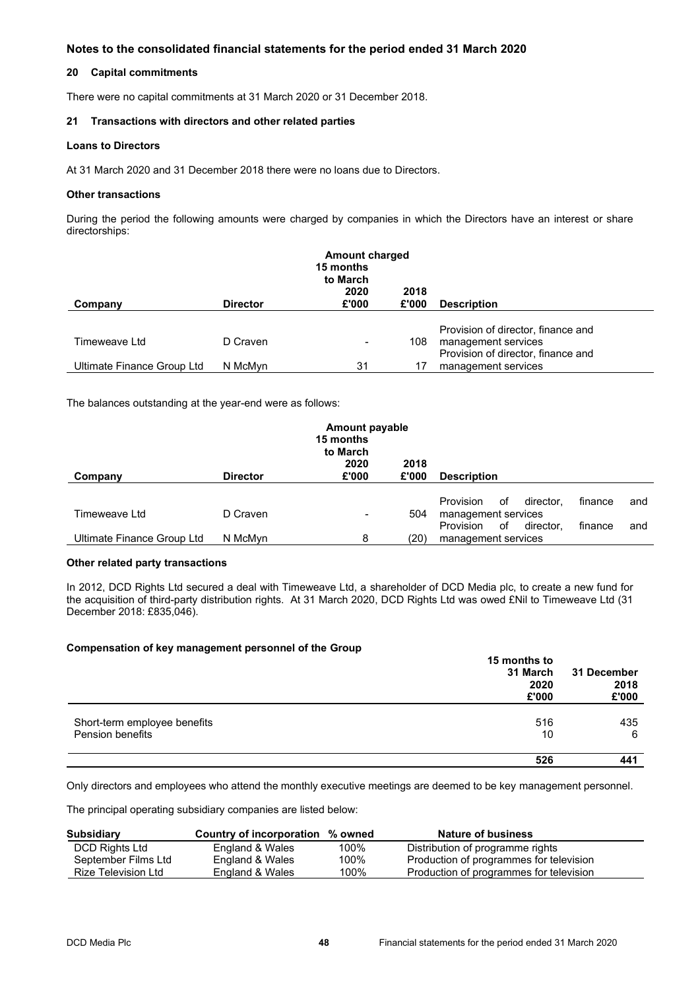## **20 Capital commitments**

There were no capital commitments at 31 March 2020 or 31 December 2018.

#### **21 Transactions with directors and other related parties**

#### **Loans to Directors**

At 31 March 2020 and 31 December 2018 there were no loans due to Directors.

#### **Other transactions**

During the period the following amounts were charged by companies in which the Directors have an interest or share directorships:

| <b>Amount charged</b>      |                 |                                        |               |                                                                                                 |  |
|----------------------------|-----------------|----------------------------------------|---------------|-------------------------------------------------------------------------------------------------|--|
| Company                    | <b>Director</b> | 15 months<br>to March<br>2020<br>£'000 | 2018<br>£'000 | <b>Description</b>                                                                              |  |
|                            |                 |                                        |               |                                                                                                 |  |
| Timeweave Ltd              | D Craven        | $\overline{\phantom{a}}$               | 108           | Provision of director, finance and<br>management services<br>Provision of director, finance and |  |
| Ultimate Finance Group Ltd | N McMyn         | 31                                     | 17            | management services                                                                             |  |

The balances outstanding at the year-end were as follows:

| Amount payable             |                 |                           |               |                                                                       |
|----------------------------|-----------------|---------------------------|---------------|-----------------------------------------------------------------------|
|                            |                 | 15 months                 |               |                                                                       |
| Company                    | <b>Director</b> | to March<br>2020<br>£'000 | 2018<br>£'000 | <b>Description</b>                                                    |
|                            |                 |                           |               | Provision<br>οf<br>finance<br>director.<br>and                        |
| Timeweave Ltd              | D Craven        | $\overline{\phantom{0}}$  | 504           | management services<br>Provision<br>οf<br>finance<br>director.<br>and |
| Ultimate Finance Group Ltd | N McMyn         | 8                         | (20)          | management services                                                   |

#### **Other related party transactions**

In 2012, DCD Rights Ltd secured a deal with Timeweave Ltd, a shareholder of DCD Media plc, to create a new fund for the acquisition of third-party distribution rights. At 31 March 2020, DCD Rights Ltd was owed £Nil to Timeweave Ltd (31 December 2018: £835,046).

## **Compensation of key management personnel of the Group**

|                                                  | 15 months to<br>31 March<br>2020<br>£'000 | 31 December<br>2018<br>£'000 |
|--------------------------------------------------|-------------------------------------------|------------------------------|
| Short-term employee benefits<br>Pension benefits | 516<br>10                                 | 435<br>6                     |
|                                                  | 526                                       | 441                          |

Only directors and employees who attend the monthly executive meetings are deemed to be key management personnel.

The principal operating subsidiary companies are listed below:

| <b>Subsidiary</b>   | Country of incorporation | % owned | Nature of business                      |
|---------------------|--------------------------|---------|-----------------------------------------|
| DCD Rights Ltd      | England & Wales          | 100%    | Distribution of programme rights        |
| September Films Ltd | England & Wales          | 100%    | Production of programmes for television |
| Rize Television Ltd | England & Wales          | 100%    | Production of programmes for television |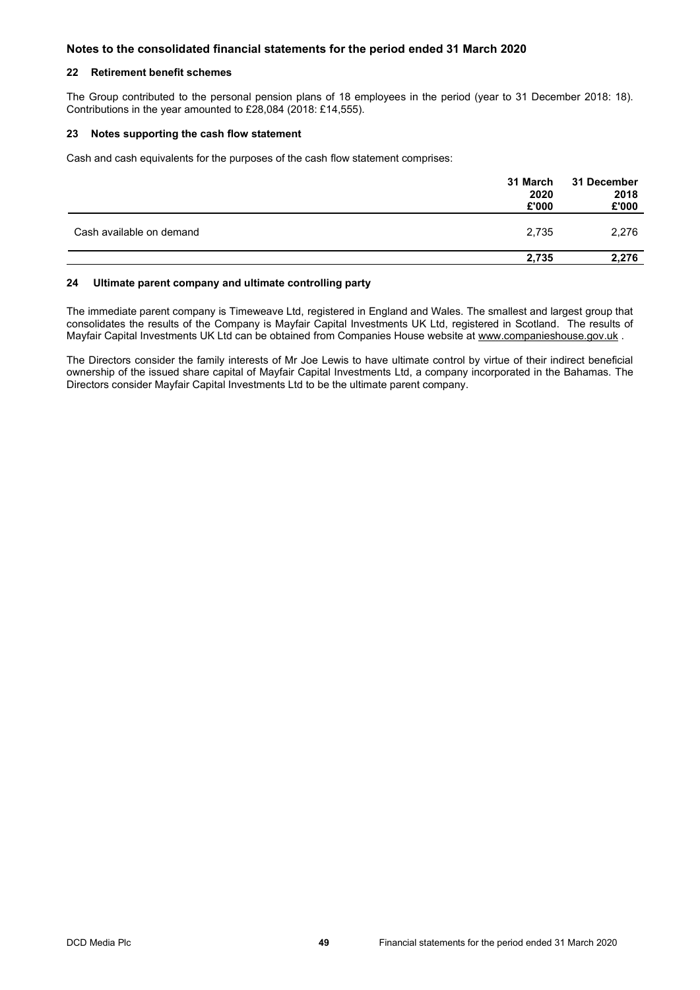## **22 Retirement benefit schemes**

The Group contributed to the personal pension plans of 18 employees in the period (year to 31 December 2018: 18). Contributions in the year amounted to £28,084 (2018: £14,555).

#### **23 Notes supporting the cash flow statement**

Cash and cash equivalents for the purposes of the cash flow statement comprises:

|                          | 31 March<br>2020<br>£'000 | 31 December<br>2018<br>£'000 |
|--------------------------|---------------------------|------------------------------|
| Cash available on demand | 2,735                     | 2,276                        |
|                          | 2,735                     | 2,276                        |

#### **24 Ultimate parent company and ultimate controlling party**

The immediate parent company is Timeweave Ltd, registered in England and Wales. The smallest and largest group that consolidates the results of the Company is Mayfair Capital Investments UK Ltd, registered in Scotland. The results of Mayfair Capital Investments UK Ltd can be obtained from Companies House website at www.companieshouse.gov.uk .

The Directors consider the family interests of Mr Joe Lewis to have ultimate control by virtue of their indirect beneficial ownership of the issued share capital of Mayfair Capital Investments Ltd, a company incorporated in the Bahamas. The Directors consider Mayfair Capital Investments Ltd to be the ultimate parent company.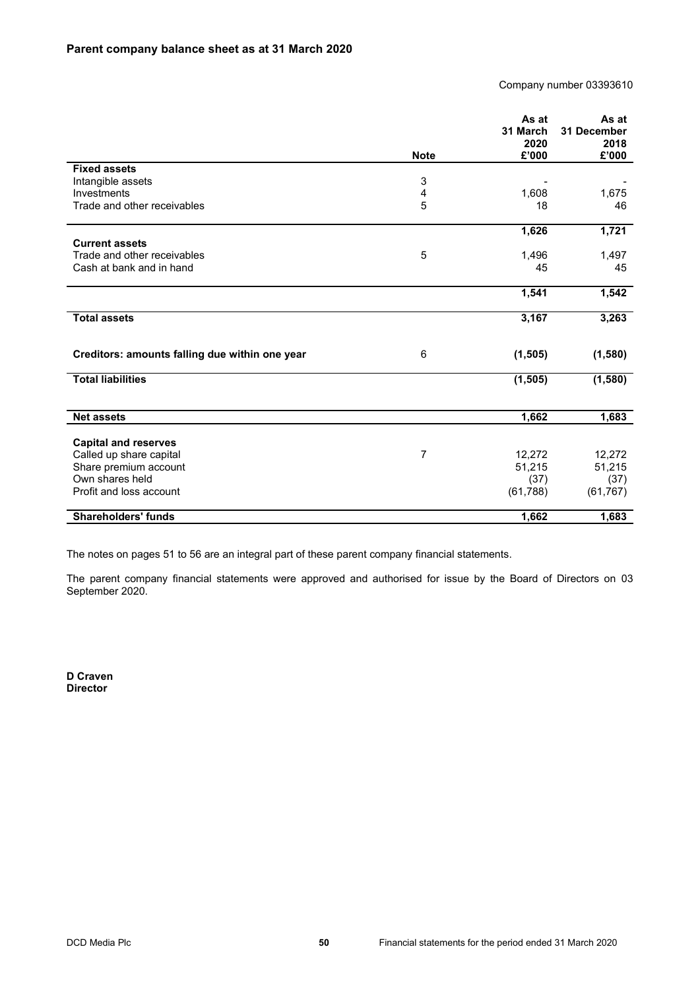Company number 03393610

|                                                | <b>Note</b>    | As at<br>31 March<br>2020<br>£'000 | As at<br>31 December<br>2018<br>£'000 |
|------------------------------------------------|----------------|------------------------------------|---------------------------------------|
| <b>Fixed assets</b>                            |                |                                    |                                       |
| Intangible assets                              | 3              |                                    |                                       |
| Investments                                    | $\overline{4}$ | 1,608                              | 1,675                                 |
| Trade and other receivables                    | 5              | 18                                 | 46                                    |
|                                                |                | 1,626                              | 1,721                                 |
| <b>Current assets</b>                          |                |                                    |                                       |
| Trade and other receivables                    | 5              | 1,496                              | 1,497                                 |
| Cash at bank and in hand                       |                | 45                                 | 45                                    |
|                                                |                | 1,541                              | 1,542                                 |
| <b>Total assets</b>                            |                | 3,167                              | 3,263                                 |
| Creditors: amounts falling due within one year | 6              | (1,505)                            | (1,580)                               |
| <b>Total liabilities</b>                       |                | (1, 505)                           | (1,580)                               |
|                                                |                |                                    |                                       |
| <b>Net assets</b>                              |                | 1,662                              | 1,683                                 |
|                                                |                |                                    |                                       |
| <b>Capital and reserves</b>                    |                |                                    |                                       |
| Called up share capital                        | 7              | 12,272                             | 12,272                                |
| Share premium account                          |                | 51,215                             | 51,215                                |
| Own shares held                                |                | (37)                               | (37)                                  |
| Profit and loss account                        |                | (61, 788)                          | (61, 767)                             |
| <b>Shareholders' funds</b>                     |                | 1,662                              | 1,683                                 |

The notes on pages 51 to 56 are an integral part of these parent company financial statements.

The parent company financial statements were approved and authorised for issue by the Board of Directors on 03 September 2020.

**D Craven Director**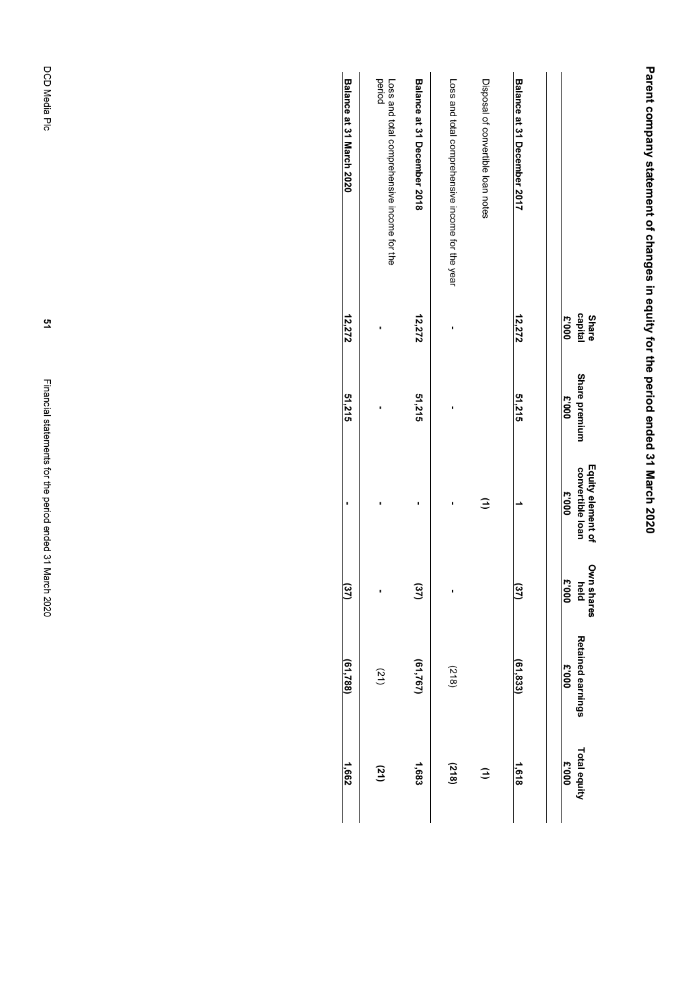| I                               |
|---------------------------------|
|                                 |
|                                 |
|                                 |
|                                 |
| <b>Section 2018</b>             |
|                                 |
|                                 |
|                                 |
|                                 |
|                                 |
|                                 |
|                                 |
|                                 |
|                                 |
|                                 |
|                                 |
|                                 |
|                                 |
|                                 |
|                                 |
| שנמופווופוור הו הוופווופס ווו ר |
|                                 |
|                                 |
|                                 |
|                                 |
|                                 |
|                                 |
|                                 |
| $\frac{2}{3}$                   |
|                                 |
|                                 |
|                                 |
|                                 |
|                                 |
|                                 |
|                                 |
|                                 |
|                                 |
|                                 |
|                                 |
|                                 |
|                                 |
|                                 |
|                                 |
|                                 |
|                                 |
|                                 |
|                                 |
|                                 |
|                                 |
|                                 |
| י בין בופט הבקופה הבקומה -<br>י |
| 1 March 2020                    |
|                                 |
|                                 |
|                                 |
|                                 |
|                                 |
|                                 |
| $\frac{1}{2}$                   |
|                                 |
|                                 |

|                                                       | Share<br>capital<br>000.3 | Share premium<br>5'000 | Equity element of<br>convertible loan<br>5'000 | Own shares<br>£'000<br>held | Retained earnings<br>£'000 | <b>Total equity</b><br>£'000 |
|-------------------------------------------------------|---------------------------|------------------------|------------------------------------------------|-----------------------------|----------------------------|------------------------------|
| Balance at 31 December 2017                           | 12,272                    | 51,215                 |                                                | (37)                        | (61, 833)                  | 1,618                        |
| Disposal of convertible loan notes                    |                           |                        | Э                                              |                             |                            | Э                            |
| Loss and total comprehensive income for the year      |                           |                        |                                                | ı                           | (218)                      | (218)                        |
| Bance at 31 December 2018                             | 12,272                    | 51,215                 |                                                | હ્ય                         | (61,767)                   | 1,683                        |
| period<br>Loss and total comprehensive income for the |                           |                        |                                                |                             | (21)                       | $\widetilde{z}$              |
| Balance at 31 March 2020                              | 12,272                    | 51,215                 |                                                | હ્યુ                        | (61,788)                   | 1,662                        |

**51**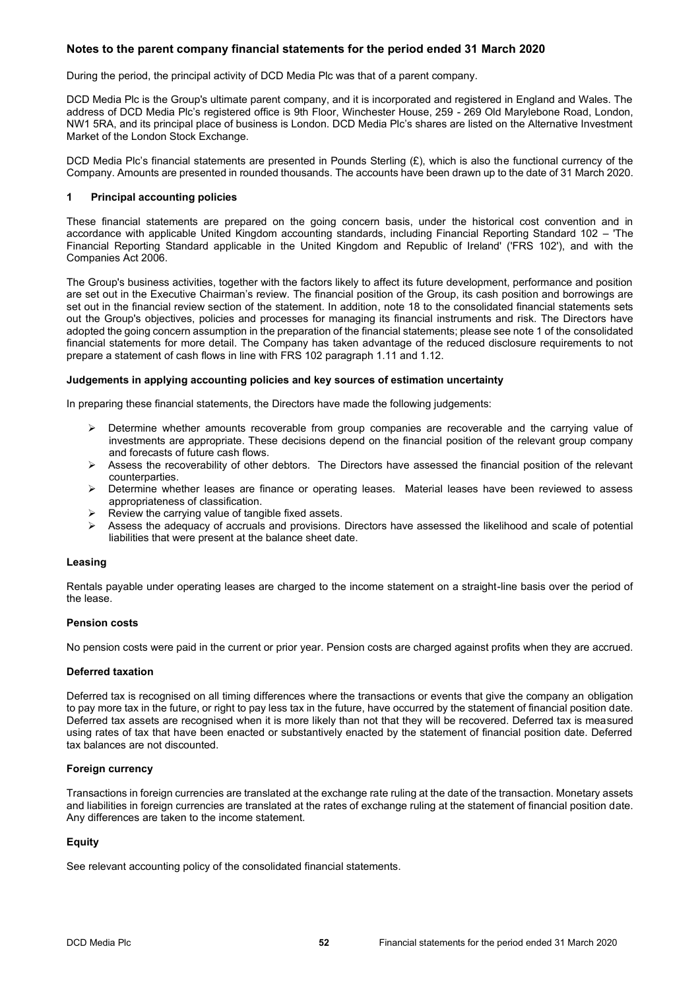During the period, the principal activity of DCD Media Plc was that of a parent company.

DCD Media Plc is the Group's ultimate parent company, and it is incorporated and registered in England and Wales. The address of DCD Media Plc's registered office is 9th Floor, Winchester House, 259 - 269 Old Marylebone Road, London, NW1 5RA, and its principal place of business is London. DCD Media Plc's shares are listed on the Alternative Investment Market of the London Stock Exchange.

DCD Media Plc's financial statements are presented in Pounds Sterling  $(E)$ , which is also the functional currency of the Company. Amounts are presented in rounded thousands. The accounts have been drawn up to the date of 31 March 2020.

#### **1 Principal accounting policies**

These financial statements are prepared on the going concern basis, under the historical cost convention and in accordance with applicable United Kingdom accounting standards, including Financial Reporting Standard 102 - 'The Financial Reporting Standard applicable in the United Kingdom and Republic of Ireland' ('FRS 102'), and with the Companies Act 2006.

The Group's business activities, together with the factors likely to affect its future development, performance and position are set out in the Executive Chairman's review. The financial position of the Group, its cash position and borrowings are set out in the financial review section of the statement. In addition, note 18 to the consolidated financial statements sets out the Group's objectives, policies and processes for managing its financial instruments and risk. The Directors have adopted the going concern assumption in the preparation of the financial statements; please see note 1 of the consolidated financial statements for more detail. The Company has taken advantage of the reduced disclosure requirements to not prepare a statement of cash flows in line with FRS 102 paragraph 1.11 and 1.12.

#### **Judgements in applying accounting policies and key sources of estimation uncertainty**

In preparing these financial statements, the Directors have made the following judgements:

- Determine whether amounts recoverable from group companies are recoverable and the carrying value of investments are appropriate. These decisions depend on the financial position of the relevant group company and forecasts of future cash flows.
- $\triangleright$  Assess the recoverability of other debtors. The Directors have assessed the financial position of the relevant counterparties.
- $\triangleright$  Determine whether leases are finance or operating leases. Material leases have been reviewed to assess appropriateness of classification.
- $\triangleright$  Review the carrying value of tangible fixed assets.
- Assess the adequacy of accruals and provisions. Directors have assessed the likelihood and scale of potential liabilities that were present at the balance sheet date.

#### **Leasing**

Rentals payable under operating leases are charged to the income statement on a straight-line basis over the period of the lease.

#### **Pension costs**

No pension costs were paid in the current or prior year. Pension costs are charged against profits when they are accrued.

#### **Deferred taxation**

Deferred tax is recognised on all timing differences where the transactions or events that give the company an obligation to pay more tax in the future, or right to pay less tax in the future, have occurred by the statement of financial position date. Deferred tax assets are recognised when it is more likely than not that they will be recovered. Deferred tax is measured using rates of tax that have been enacted or substantively enacted by the statement of financial position date. Deferred tax balances are not discounted.

#### **Foreign currency**

Transactions in foreign currencies are translated at the exchange rate ruling at the date of the transaction. Monetary assets and liabilities in foreign currencies are translated at the rates of exchange ruling at the statement of financial position date. Any differences are taken to the income statement.

#### **Equity**

See relevant accounting policy of the consolidated financial statements.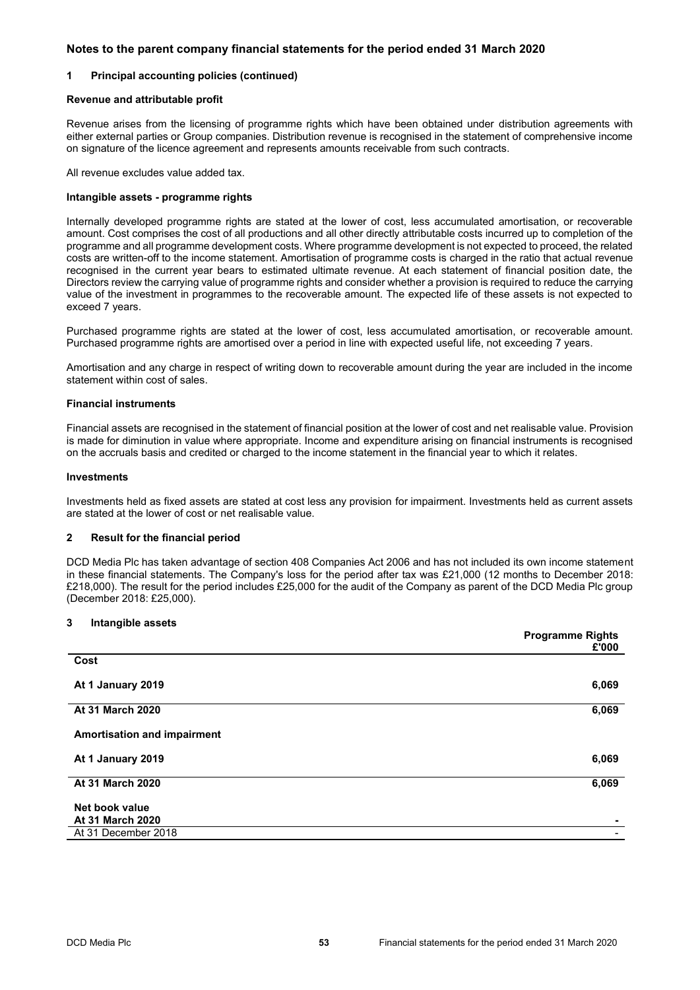#### **1 Principal accounting policies (continued)**

#### **Revenue and attributable profit**

Revenue arises from the licensing of programme rights which have been obtained under distribution agreements with either external parties or Group companies. Distribution revenue is recognised in the statement of comprehensive income on signature of the licence agreement and represents amounts receivable from such contracts.

All revenue excludes value added tax.

#### **Intangible assets - programme rights**

Internally developed programme rights are stated at the lower of cost, less accumulated amortisation, or recoverable amount. Cost comprises the cost of all productions and all other directly attributable costs incurred up to completion of the programme and all programme development costs. Where programme development is not expected to proceed, the related costs are written-off to the income statement. Amortisation of programme costs is charged in the ratio that actual revenue recognised in the current year bears to estimated ultimate revenue. At each statement of financial position date, the Directors review the carrying value of programme rights and consider whether a provision is required to reduce the carrying value of the investment in programmes to the recoverable amount. The expected life of these assets is not expected to exceed 7 years.

Purchased programme rights are stated at the lower of cost, less accumulated amortisation, or recoverable amount. Purchased programme rights are amortised over a period in line with expected useful life, not exceeding 7 years.

Amortisation and any charge in respect of writing down to recoverable amount during the year are included in the income statement within cost of sales.

#### **Financial instruments**

Financial assets are recognised in the statement of financial position at the lower of cost and net realisable value. Provision is made for diminution in value where appropriate. Income and expenditure arising on financial instruments is recognised on the accruals basis and credited or charged to the income statement in the financial year to which it relates.

#### **Investments**

Investments held as fixed assets are stated at cost less any provision for impairment. Investments held as current assets are stated at the lower of cost or net realisable value.

#### **2 Result for the financial period**

DCD Media Plc has taken advantage of section 408 Companies Act 2006 and has not included its own income statement in these financial statements. The Company's loss for the period after tax was £21,000 (12 months to December 2018: £218,000). The result for the period includes £25,000 for the audit of the Company as parent of the DCD Media Plc group (December 2018: £25,000).

#### **3 Intangible assets**

|                                    | <b>Programme Rights</b><br>£'000 |
|------------------------------------|----------------------------------|
| Cost                               |                                  |
| At 1 January 2019                  | 6,069                            |
| At 31 March 2020                   | 6,069                            |
| <b>Amortisation and impairment</b> |                                  |
| At 1 January 2019                  | 6,069                            |
| At 31 March 2020                   | 6,069                            |
| Net book value                     |                                  |
| <b>At 31 March 2020</b>            |                                  |
| At 31 December 2018                |                                  |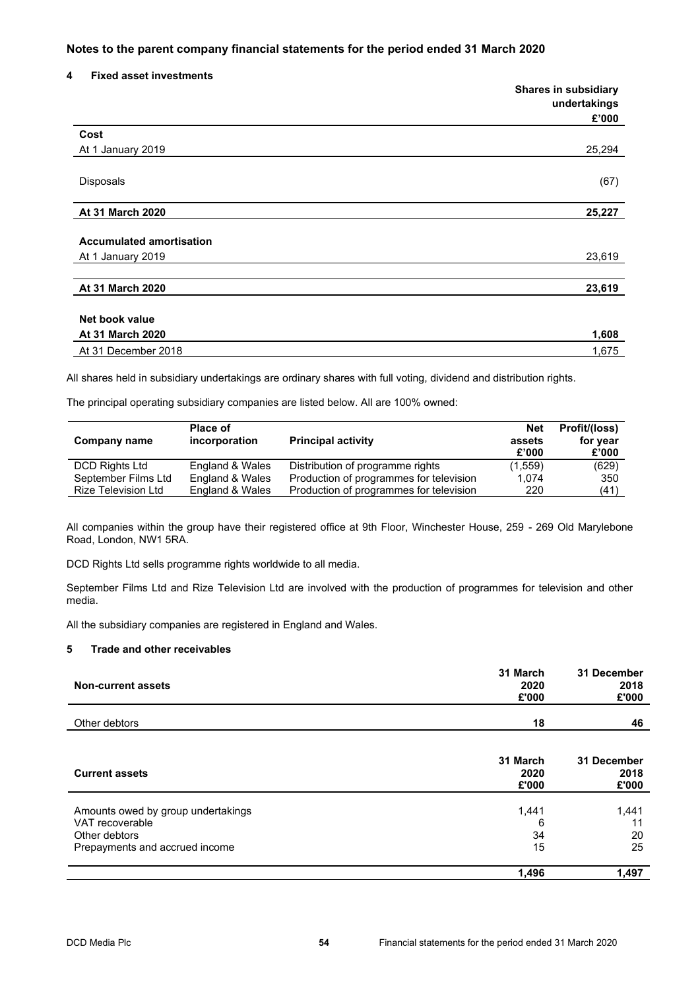# **4 Fixed asset investments Shares in subsidiary undertakings ¶000 Cost**  At 1 January 2019 25,294 Disposals (67) **At 31 March 2020 25,227 Accumulated amortisation** At 1 January 2019 23,619 **At 31 March 2020 23,619 Net book value**

| <b>At 31 March 2020</b> | .608 |
|-------------------------|------|
| At 31 December 2018     | .675 |

All shares held in subsidiary undertakings are ordinary shares with full voting, dividend and distribution rights.

The principal operating subsidiary companies are listed below. All are 100% owned:

| Company name               | Place of<br>incorporation | <b>Principal activity</b>               | <b>Net</b><br>assets<br>£'000 | Profit/(loss)<br>for year<br>£'000 |
|----------------------------|---------------------------|-----------------------------------------|-------------------------------|------------------------------------|
| DCD Rights Ltd             | England & Wales           | Distribution of programme rights        | (1,559)                       | (629)                              |
| September Films Ltd        | England & Wales           | Production of programmes for television | 1.074                         | 350                                |
| <b>Rize Television Ltd</b> | England & Wales           | Production of programmes for television | 220                           | (41)                               |

All companies within the group have their registered office at 9th Floor, Winchester House, 259 - 269 Old Marylebone Road, London, NW1 5RA.

DCD Rights Ltd sells programme rights worldwide to all media.

September Films Ltd and Rize Television Ltd are involved with the production of programmes for television and other media.

All the subsidiary companies are registered in England and Wales.

#### **5 Trade and other receivables**

| <b>Non-current assets</b>                                                                                | 31 March<br>2020<br>£'000 | 31 December<br>2018<br>£'000 |
|----------------------------------------------------------------------------------------------------------|---------------------------|------------------------------|
| Other debtors                                                                                            | 18                        | 46                           |
| <b>Current assets</b>                                                                                    | 31 March<br>2020<br>£'000 | 31 December<br>2018<br>£'000 |
| Amounts owed by group undertakings<br>VAT recoverable<br>Other debtors<br>Prepayments and accrued income | 1,441<br>6<br>34<br>15    | 1,441<br>11<br>20<br>25      |
|                                                                                                          | 1,496                     | 1,497                        |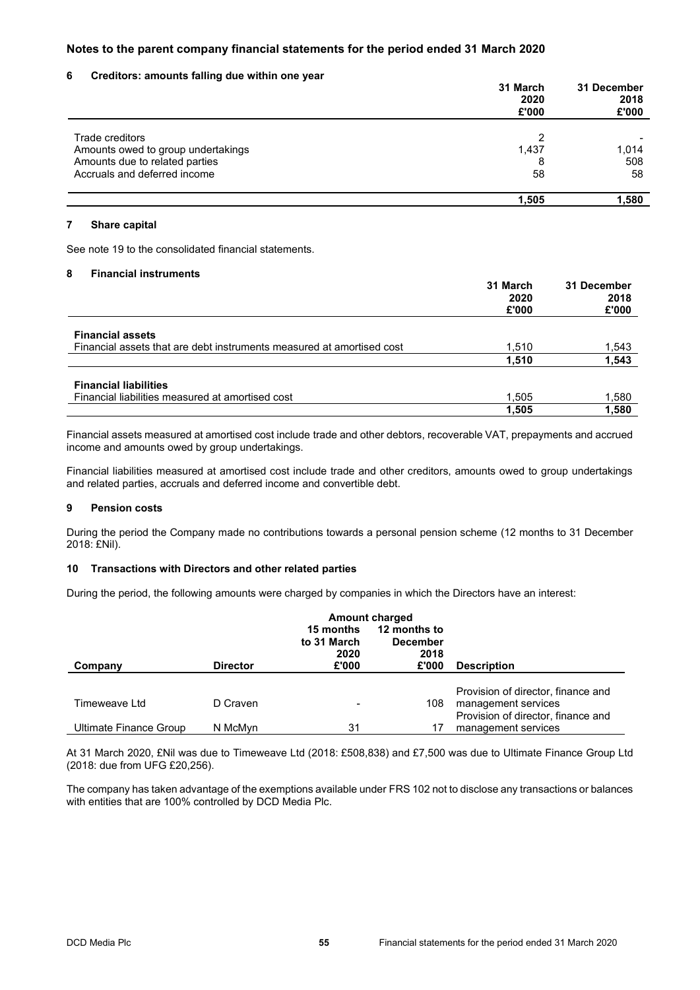## **6 Creditors: amounts falling due within one year**

| creations, announte family due mumm one your | 31 March<br>2020<br>£'000 | 31 December<br>2018<br>£'000 |
|----------------------------------------------|---------------------------|------------------------------|
| Trade creditors                              |                           |                              |
| Amounts owed to group undertakings           | 1,437                     | 1,014                        |
| Amounts due to related parties               | 8                         | 508                          |
| Accruals and deferred income                 | 58                        | 58                           |
|                                              | 1,505                     | 1,580                        |

## **7 Share capital**

See note 19 to the consolidated financial statements.

## **8 Financial instruments**

|                                                                       | 31 March<br>2020 | 31 December<br>2018 |
|-----------------------------------------------------------------------|------------------|---------------------|
|                                                                       | £'000            | £'000               |
| <b>Financial assets</b>                                               |                  |                     |
| Financial assets that are debt instruments measured at amortised cost | 1.510            | 1,543               |
|                                                                       | 1,510            | 1,543               |
| <b>Financial liabilities</b>                                          |                  |                     |
| Financial liabilities measured at amortised cost                      | 1,505            | 1,580               |
|                                                                       | 1,505            | 1,580               |

Financial assets measured at amortised cost include trade and other debtors, recoverable VAT, prepayments and accrued income and amounts owed by group undertakings.

Financial liabilities measured at amortised cost include trade and other creditors, amounts owed to group undertakings and related parties, accruals and deferred income and convertible debt.

## **9 Pension costs**

During the period the Company made no contributions towards a personal pension scheme (12 months to 31 December 2018: £Nil).

## **10 Transactions with Directors and other related parties**

During the period, the following amounts were charged by companies in which the Directors have an interest:

|                        | <b>Amount charged</b> |                                                  |                                                  |                                                                                                 |
|------------------------|-----------------------|--------------------------------------------------|--------------------------------------------------|-------------------------------------------------------------------------------------------------|
| Company                | <b>Director</b>       | <b>15 months</b><br>to 31 March<br>2020<br>£'000 | 12 months to<br><b>December</b><br>2018<br>£'000 | <b>Description</b>                                                                              |
|                        |                       |                                                  |                                                  |                                                                                                 |
| Timeweave Ltd          | D Craven              |                                                  | 108                                              | Provision of director, finance and<br>management services<br>Provision of director, finance and |
| Ultimate Finance Group | N McMvn               | 31                                               | 17                                               | management services                                                                             |

At 31 March 2020, £Nil was due to Timeweave Ltd (2018: £508,838) and £7,500 was due to Ultimate Finance Group Ltd (2018: due from UFG £20,256).

The company has taken advantage of the exemptions available under FRS 102 not to disclose any transactions or balances with entities that are 100% controlled by DCD Media Plc.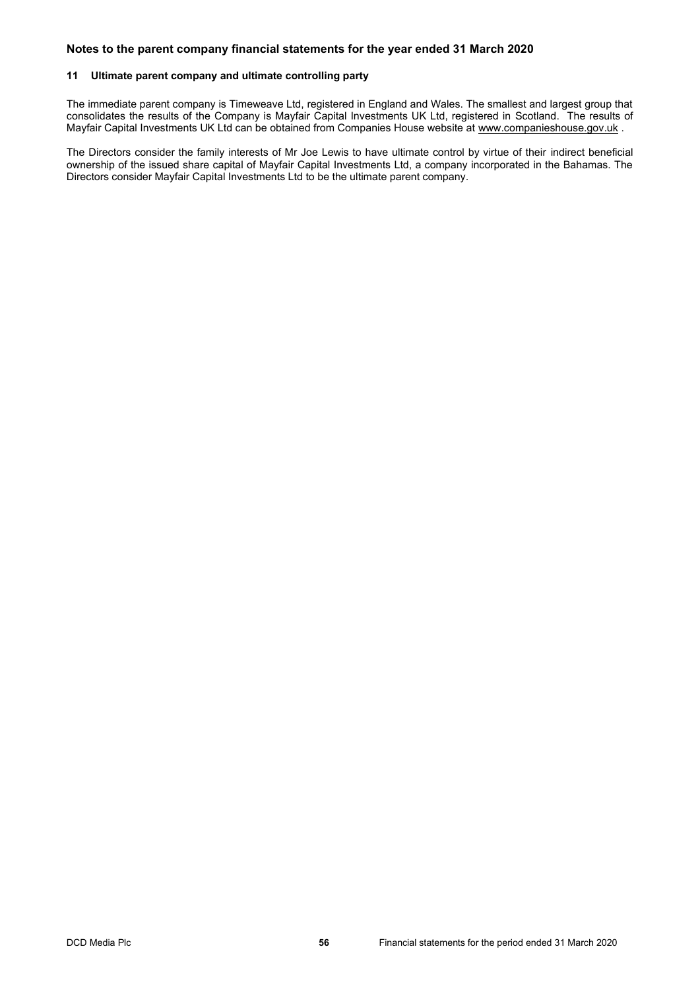## **11 Ultimate parent company and ultimate controlling party**

The immediate parent company is Timeweave Ltd, registered in England and Wales. The smallest and largest group that consolidates the results of the Company is Mayfair Capital Investments UK Ltd, registered in Scotland. The results of Mayfair Capital Investments UK Ltd can be obtained from Companies House website at www.companieshouse.gov.uk .

The Directors consider the family interests of Mr Joe Lewis to have ultimate control by virtue of their indirect beneficial ownership of the issued share capital of Mayfair Capital Investments Ltd, a company incorporated in the Bahamas. The Directors consider Mayfair Capital Investments Ltd to be the ultimate parent company.